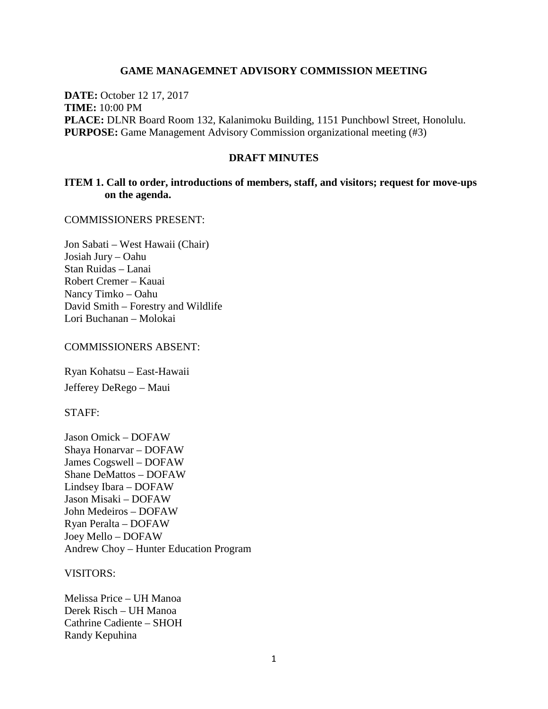#### **GAME MANAGEMNET ADVISORY COMMISSION MEETING**

**DATE:** October 12 17, 2017 **TIME:** 10:00 PM **PLACE:** DLNR Board Room 132, Kalanimoku Building, 1151 Punchbowl Street, Honolulu. **PURPOSE:** Game Management Advisory Commission organizational meeting (#3)

### **DRAFT MINUTES**

### **ITEM 1. Call to order, introductions of members, staff, and visitors; request for move-ups on the agenda.**

COMMISSIONERS PRESENT:

Jon Sabati – West Hawaii (Chair) Josiah Jury – Oahu Stan Ruidas – Lanai Robert Cremer – Kauai Nancy Timko – Oahu David Smith – Forestry and Wildlife Lori Buchanan – Molokai

### COMMISSIONERS ABSENT:

Ryan Kohatsu – East-Hawaii Jefferey DeRego – Maui

#### STAFF:

Jason Omick – DOFAW Shaya Honarvar – DOFAW James Cogswell – DOFAW Shane DeMattos – DOFAW Lindsey Ibara – DOFAW Jason Misaki – DOFAW John Medeiros – DOFAW Ryan Peralta – DOFAW Joey Mello – DOFAW Andrew Choy – Hunter Education Program

### VISITORS:

Melissa Price – UH Manoa Derek Risch – UH Manoa Cathrine Cadiente – SHOH Randy Kepuhina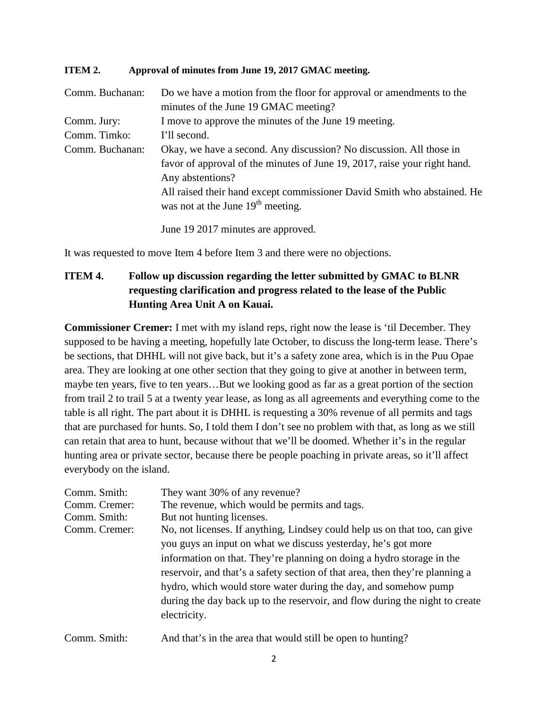### **ITEM 2. Approval of minutes from June 19, 2017 GMAC meeting.**

| Comm. Buchanan: | Do we have a motion from the floor for approval or amendments to the<br>minutes of the June 19 GMAC meeting?   |
|-----------------|----------------------------------------------------------------------------------------------------------------|
| Comm. Jury:     | I move to approve the minutes of the June 19 meeting.                                                          |
| Comm. Timko:    | I'll second.                                                                                                   |
| Comm. Buchanan: | Okay, we have a second. Any discussion? No discussion. All those in                                            |
|                 | favor of approval of the minutes of June 19, 2017, raise your right hand.                                      |
|                 | Any abstentions?                                                                                               |
|                 | All raised their hand except commissioner David Smith who abstained. He<br>was not at the June $19th$ meeting. |
|                 |                                                                                                                |

June 19 2017 minutes are approved.

It was requested to move Item 4 before Item 3 and there were no objections.

# **ITEM 4. Follow up discussion regarding the letter submitted by GMAC to BLNR requesting clarification and progress related to the lease of the Public Hunting Area Unit A on Kauai.**

**Commissioner Cremer:** I met with my island reps, right now the lease is 'til December. They supposed to be having a meeting, hopefully late October, to discuss the long-term lease. There's be sections, that DHHL will not give back, but it's a safety zone area, which is in the Puu Opae area. They are looking at one other section that they going to give at another in between term, maybe ten years, five to ten years…But we looking good as far as a great portion of the section from trail 2 to trail 5 at a twenty year lease, as long as all agreements and everything come to the table is all right. The part about it is DHHL is requesting a 30% revenue of all permits and tags that are purchased for hunts. So, I told them I don't see no problem with that, as long as we still can retain that area to hunt, because without that we'll be doomed. Whether it's in the regular hunting area or private sector, because there be people poaching in private areas, so it'll affect everybody on the island.

| Comm. Smith:  | They want 30% of any revenue?                                                |
|---------------|------------------------------------------------------------------------------|
| Comm. Cremer: | The revenue, which would be permits and tags.                                |
| Comm. Smith:  | But not hunting licenses.                                                    |
| Comm. Cremer: | No, not licenses. If anything, Lindsey could help us on that too, can give   |
|               | you guys an input on what we discuss yesterday, he's got more                |
|               | information on that. They're planning on doing a hydro storage in the        |
|               | reservoir, and that's a safety section of that area, then they're planning a |
|               | hydro, which would store water during the day, and somehow pump              |
|               | during the day back up to the reservoir, and flow during the night to create |
|               | electricity.                                                                 |
|               |                                                                              |

Comm. Smith: And that's in the area that would still be open to hunting?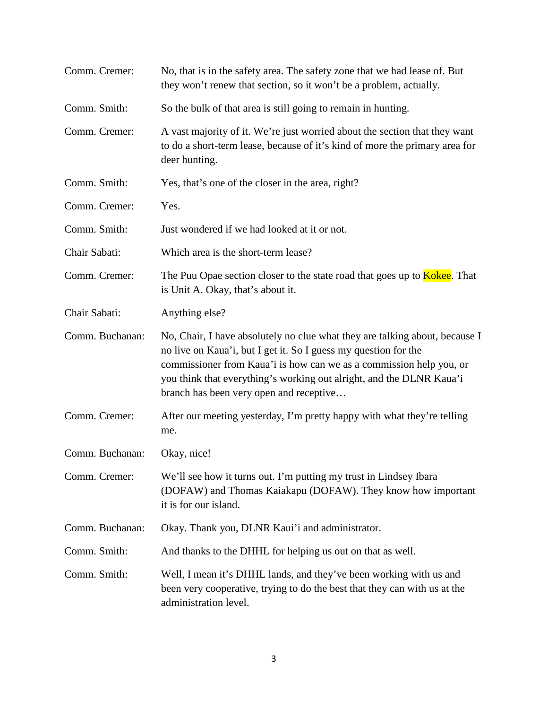| Comm. Cremer:   | No, that is in the safety area. The safety zone that we had lease of. But<br>they won't renew that section, so it won't be a problem, actually.                                                                                                                                                                                          |
|-----------------|------------------------------------------------------------------------------------------------------------------------------------------------------------------------------------------------------------------------------------------------------------------------------------------------------------------------------------------|
| Comm. Smith:    | So the bulk of that area is still going to remain in hunting.                                                                                                                                                                                                                                                                            |
| Comm. Cremer:   | A vast majority of it. We're just worried about the section that they want<br>to do a short-term lease, because of it's kind of more the primary area for<br>deer hunting.                                                                                                                                                               |
| Comm. Smith:    | Yes, that's one of the closer in the area, right?                                                                                                                                                                                                                                                                                        |
| Comm. Cremer:   | Yes.                                                                                                                                                                                                                                                                                                                                     |
| Comm. Smith:    | Just wondered if we had looked at it or not.                                                                                                                                                                                                                                                                                             |
| Chair Sabati:   | Which area is the short-term lease?                                                                                                                                                                                                                                                                                                      |
| Comm. Cremer:   | The Puu Opae section closer to the state road that goes up to <b>Kokee</b> . That<br>is Unit A. Okay, that's about it.                                                                                                                                                                                                                   |
| Chair Sabati:   | Anything else?                                                                                                                                                                                                                                                                                                                           |
| Comm. Buchanan: | No, Chair, I have absolutely no clue what they are talking about, because I<br>no live on Kaua'i, but I get it. So I guess my question for the<br>commissioner from Kaua'i is how can we as a commission help you, or<br>you think that everything's working out alright, and the DLNR Kaua'i<br>branch has been very open and receptive |
| Comm. Cremer:   | After our meeting yesterday, I'm pretty happy with what they're telling<br>me.                                                                                                                                                                                                                                                           |
| Comm. Buchanan: | Okay, nice!                                                                                                                                                                                                                                                                                                                              |
| Comm. Cremer:   | We'll see how it turns out. I'm putting my trust in Lindsey Ibara<br>(DOFAW) and Thomas Kaiakapu (DOFAW). They know how important<br>it is for our island.                                                                                                                                                                               |
| Comm. Buchanan: | Okay. Thank you, DLNR Kaui'i and administrator.                                                                                                                                                                                                                                                                                          |
| Comm. Smith:    | And thanks to the DHHL for helping us out on that as well.                                                                                                                                                                                                                                                                               |
| Comm. Smith:    | Well, I mean it's DHHL lands, and they've been working with us and<br>been very cooperative, trying to do the best that they can with us at the<br>administration level.                                                                                                                                                                 |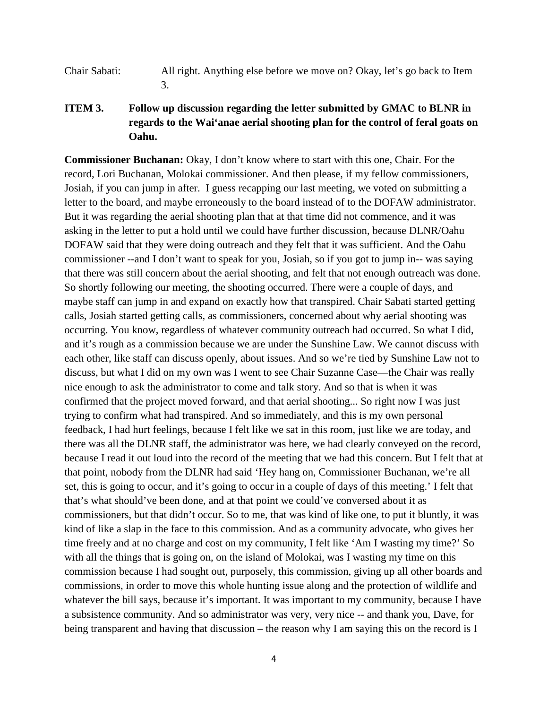- Chair Sabati: All right. Anything else before we move on? Okay, let's go back to Item 3.
- **ITEM 3. Follow up discussion regarding the letter submitted by GMAC to BLNR in regards to the Wai'anae aerial shooting plan for the control of feral goats on Oahu.**

**Commissioner Buchanan:** Okay, I don't know where to start with this one, Chair. For the record, Lori Buchanan, Molokai commissioner. And then please, if my fellow commissioners, Josiah, if you can jump in after. I guess recapping our last meeting, we voted on submitting a letter to the board, and maybe erroneously to the board instead of to the DOFAW administrator. But it was regarding the aerial shooting plan that at that time did not commence, and it was asking in the letter to put a hold until we could have further discussion, because DLNR/Oahu DOFAW said that they were doing outreach and they felt that it was sufficient. And the Oahu commissioner --and I don't want to speak for you, Josiah, so if you got to jump in-- was saying that there was still concern about the aerial shooting, and felt that not enough outreach was done. So shortly following our meeting, the shooting occurred. There were a couple of days, and maybe staff can jump in and expand on exactly how that transpired. Chair Sabati started getting calls, Josiah started getting calls, as commissioners, concerned about why aerial shooting was occurring. You know, regardless of whatever community outreach had occurred. So what I did, and it's rough as a commission because we are under the Sunshine Law. We cannot discuss with each other, like staff can discuss openly, about issues. And so we're tied by Sunshine Law not to discuss, but what I did on my own was I went to see Chair Suzanne Case—the Chair was really nice enough to ask the administrator to come and talk story. And so that is when it was confirmed that the project moved forward, and that aerial shooting... So right now I was just trying to confirm what had transpired. And so immediately, and this is my own personal feedback, I had hurt feelings, because I felt like we sat in this room, just like we are today, and there was all the DLNR staff, the administrator was here, we had clearly conveyed on the record, because I read it out loud into the record of the meeting that we had this concern. But I felt that at that point, nobody from the DLNR had said 'Hey hang on, Commissioner Buchanan, we're all set, this is going to occur, and it's going to occur in a couple of days of this meeting.' I felt that that's what should've been done, and at that point we could've conversed about it as commissioners, but that didn't occur. So to me, that was kind of like one, to put it bluntly, it was kind of like a slap in the face to this commission. And as a community advocate, who gives her time freely and at no charge and cost on my community, I felt like 'Am I wasting my time?' So with all the things that is going on, on the island of Molokai, was I wasting my time on this commission because I had sought out, purposely, this commission, giving up all other boards and commissions, in order to move this whole hunting issue along and the protection of wildlife and whatever the bill says, because it's important. It was important to my community, because I have a subsistence community. And so administrator was very, very nice -- and thank you, Dave, for being transparent and having that discussion – the reason why I am saying this on the record is I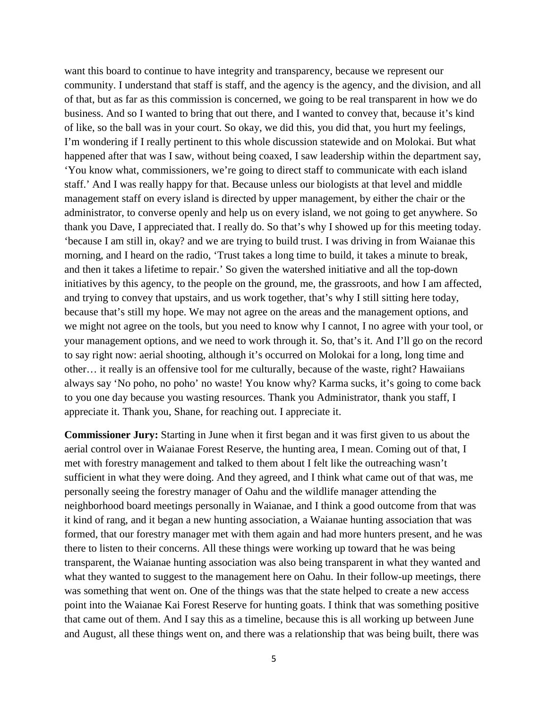want this board to continue to have integrity and transparency, because we represent our community. I understand that staff is staff, and the agency is the agency, and the division, and all of that, but as far as this commission is concerned, we going to be real transparent in how we do business. And so I wanted to bring that out there, and I wanted to convey that, because it's kind of like, so the ball was in your court. So okay, we did this, you did that, you hurt my feelings, I'm wondering if I really pertinent to this whole discussion statewide and on Molokai. But what happened after that was I saw, without being coaxed, I saw leadership within the department say, 'You know what, commissioners, we're going to direct staff to communicate with each island staff.' And I was really happy for that. Because unless our biologists at that level and middle management staff on every island is directed by upper management, by either the chair or the administrator, to converse openly and help us on every island, we not going to get anywhere. So thank you Dave, I appreciated that. I really do. So that's why I showed up for this meeting today. 'because I am still in, okay? and we are trying to build trust. I was driving in from Waianae this morning, and I heard on the radio, 'Trust takes a long time to build, it takes a minute to break, and then it takes a lifetime to repair.' So given the watershed initiative and all the top-down initiatives by this agency, to the people on the ground, me, the grassroots, and how I am affected, and trying to convey that upstairs, and us work together, that's why I still sitting here today, because that's still my hope. We may not agree on the areas and the management options, and we might not agree on the tools, but you need to know why I cannot, I no agree with your tool, or your management options, and we need to work through it. So, that's it. And I'll go on the record to say right now: aerial shooting, although it's occurred on Molokai for a long, long time and other… it really is an offensive tool for me culturally, because of the waste, right? Hawaiians always say 'No poho, no poho' no waste! You know why? Karma sucks, it's going to come back to you one day because you wasting resources. Thank you Administrator, thank you staff, I appreciate it. Thank you, Shane, for reaching out. I appreciate it.

**Commissioner Jury:** Starting in June when it first began and it was first given to us about the aerial control over in Waianae Forest Reserve, the hunting area, I mean. Coming out of that, I met with forestry management and talked to them about I felt like the outreaching wasn't sufficient in what they were doing. And they agreed, and I think what came out of that was, me personally seeing the forestry manager of Oahu and the wildlife manager attending the neighborhood board meetings personally in Waianae, and I think a good outcome from that was it kind of rang, and it began a new hunting association, a Waianae hunting association that was formed, that our forestry manager met with them again and had more hunters present, and he was there to listen to their concerns. All these things were working up toward that he was being transparent, the Waianae hunting association was also being transparent in what they wanted and what they wanted to suggest to the management here on Oahu. In their follow-up meetings, there was something that went on. One of the things was that the state helped to create a new access point into the Waianae Kai Forest Reserve for hunting goats. I think that was something positive that came out of them. And I say this as a timeline, because this is all working up between June and August, all these things went on, and there was a relationship that was being built, there was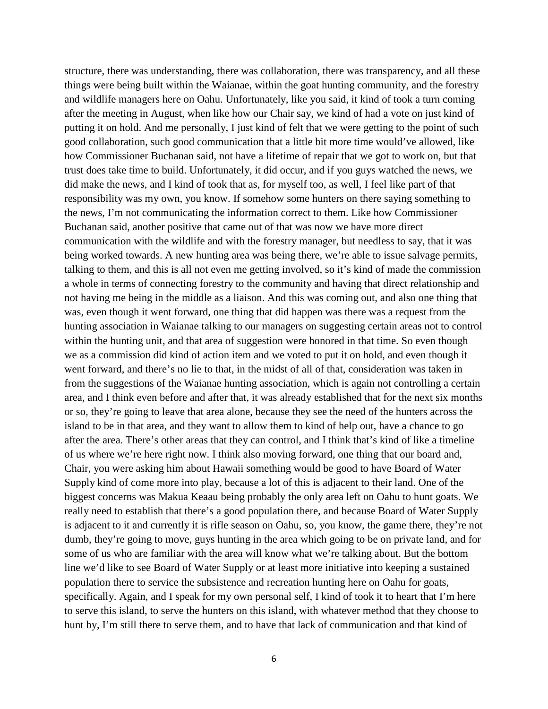structure, there was understanding, there was collaboration, there was transparency, and all these things were being built within the Waianae, within the goat hunting community, and the forestry and wildlife managers here on Oahu. Unfortunately, like you said, it kind of took a turn coming after the meeting in August, when like how our Chair say, we kind of had a vote on just kind of putting it on hold. And me personally, I just kind of felt that we were getting to the point of such good collaboration, such good communication that a little bit more time would've allowed, like how Commissioner Buchanan said, not have a lifetime of repair that we got to work on, but that trust does take time to build. Unfortunately, it did occur, and if you guys watched the news, we did make the news, and I kind of took that as, for myself too, as well, I feel like part of that responsibility was my own, you know. If somehow some hunters on there saying something to the news, I'm not communicating the information correct to them. Like how Commissioner Buchanan said, another positive that came out of that was now we have more direct communication with the wildlife and with the forestry manager, but needless to say, that it was being worked towards. A new hunting area was being there, we're able to issue salvage permits, talking to them, and this is all not even me getting involved, so it's kind of made the commission a whole in terms of connecting forestry to the community and having that direct relationship and not having me being in the middle as a liaison. And this was coming out, and also one thing that was, even though it went forward, one thing that did happen was there was a request from the hunting association in Waianae talking to our managers on suggesting certain areas not to control within the hunting unit, and that area of suggestion were honored in that time. So even though we as a commission did kind of action item and we voted to put it on hold, and even though it went forward, and there's no lie to that, in the midst of all of that, consideration was taken in from the suggestions of the Waianae hunting association, which is again not controlling a certain area, and I think even before and after that, it was already established that for the next six months or so, they're going to leave that area alone, because they see the need of the hunters across the island to be in that area, and they want to allow them to kind of help out, have a chance to go after the area. There's other areas that they can control, and I think that's kind of like a timeline of us where we're here right now. I think also moving forward, one thing that our board and, Chair, you were asking him about Hawaii something would be good to have Board of Water Supply kind of come more into play, because a lot of this is adjacent to their land. One of the biggest concerns was Makua Keaau being probably the only area left on Oahu to hunt goats. We really need to establish that there's a good population there, and because Board of Water Supply is adjacent to it and currently it is rifle season on Oahu, so, you know, the game there, they're not dumb, they're going to move, guys hunting in the area which going to be on private land, and for some of us who are familiar with the area will know what we're talking about. But the bottom line we'd like to see Board of Water Supply or at least more initiative into keeping a sustained population there to service the subsistence and recreation hunting here on Oahu for goats, specifically. Again, and I speak for my own personal self, I kind of took it to heart that I'm here to serve this island, to serve the hunters on this island, with whatever method that they choose to hunt by, I'm still there to serve them, and to have that lack of communication and that kind of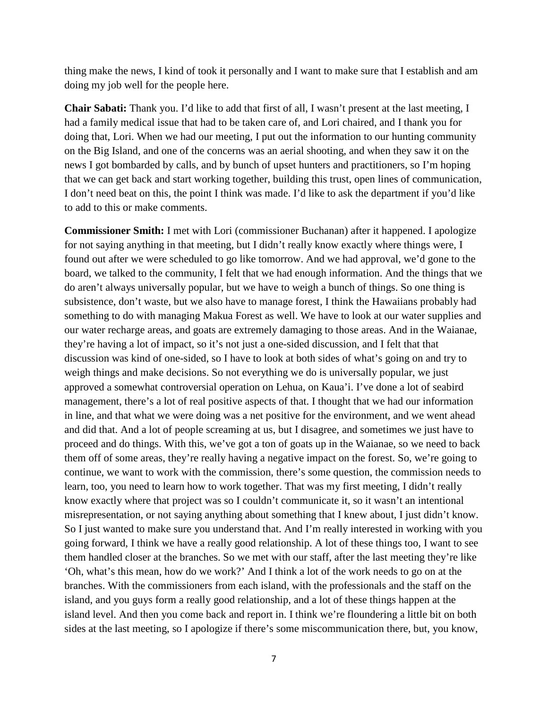thing make the news, I kind of took it personally and I want to make sure that I establish and am doing my job well for the people here.

**Chair Sabati:** Thank you. I'd like to add that first of all, I wasn't present at the last meeting, I had a family medical issue that had to be taken care of, and Lori chaired, and I thank you for doing that, Lori. When we had our meeting, I put out the information to our hunting community on the Big Island, and one of the concerns was an aerial shooting, and when they saw it on the news I got bombarded by calls, and by bunch of upset hunters and practitioners, so I'm hoping that we can get back and start working together, building this trust, open lines of communication, I don't need beat on this, the point I think was made. I'd like to ask the department if you'd like to add to this or make comments.

**Commissioner Smith:** I met with Lori (commissioner Buchanan) after it happened. I apologize for not saying anything in that meeting, but I didn't really know exactly where things were, I found out after we were scheduled to go like tomorrow. And we had approval, we'd gone to the board, we talked to the community, I felt that we had enough information. And the things that we do aren't always universally popular, but we have to weigh a bunch of things. So one thing is subsistence, don't waste, but we also have to manage forest, I think the Hawaiians probably had something to do with managing Makua Forest as well. We have to look at our water supplies and our water recharge areas, and goats are extremely damaging to those areas. And in the Waianae, they're having a lot of impact, so it's not just a one-sided discussion, and I felt that that discussion was kind of one-sided, so I have to look at both sides of what's going on and try to weigh things and make decisions. So not everything we do is universally popular, we just approved a somewhat controversial operation on Lehua, on Kaua'i. I've done a lot of seabird management, there's a lot of real positive aspects of that. I thought that we had our information in line, and that what we were doing was a net positive for the environment, and we went ahead and did that. And a lot of people screaming at us, but I disagree, and sometimes we just have to proceed and do things. With this, we've got a ton of goats up in the Waianae, so we need to back them off of some areas, they're really having a negative impact on the forest. So, we're going to continue, we want to work with the commission, there's some question, the commission needs to learn, too, you need to learn how to work together. That was my first meeting, I didn't really know exactly where that project was so I couldn't communicate it, so it wasn't an intentional misrepresentation, or not saying anything about something that I knew about, I just didn't know. So I just wanted to make sure you understand that. And I'm really interested in working with you going forward, I think we have a really good relationship. A lot of these things too, I want to see them handled closer at the branches. So we met with our staff, after the last meeting they're like 'Oh, what's this mean, how do we work?' And I think a lot of the work needs to go on at the branches. With the commissioners from each island, with the professionals and the staff on the island, and you guys form a really good relationship, and a lot of these things happen at the island level. And then you come back and report in. I think we're floundering a little bit on both sides at the last meeting, so I apologize if there's some miscommunication there, but, you know,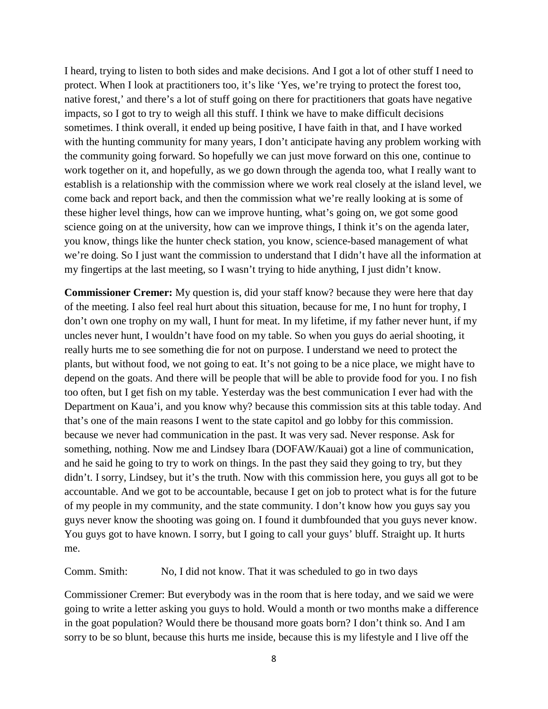I heard, trying to listen to both sides and make decisions. And I got a lot of other stuff I need to protect. When I look at practitioners too, it's like 'Yes, we're trying to protect the forest too, native forest,' and there's a lot of stuff going on there for practitioners that goats have negative impacts, so I got to try to weigh all this stuff. I think we have to make difficult decisions sometimes. I think overall, it ended up being positive, I have faith in that, and I have worked with the hunting community for many years, I don't anticipate having any problem working with the community going forward. So hopefully we can just move forward on this one, continue to work together on it, and hopefully, as we go down through the agenda too, what I really want to establish is a relationship with the commission where we work real closely at the island level, we come back and report back, and then the commission what we're really looking at is some of these higher level things, how can we improve hunting, what's going on, we got some good science going on at the university, how can we improve things, I think it's on the agenda later, you know, things like the hunter check station, you know, science-based management of what we're doing. So I just want the commission to understand that I didn't have all the information at my fingertips at the last meeting, so I wasn't trying to hide anything, I just didn't know.

**Commissioner Cremer:** My question is, did your staff know? because they were here that day of the meeting. I also feel real hurt about this situation, because for me, I no hunt for trophy, I don't own one trophy on my wall, I hunt for meat. In my lifetime, if my father never hunt, if my uncles never hunt, I wouldn't have food on my table. So when you guys do aerial shooting, it really hurts me to see something die for not on purpose. I understand we need to protect the plants, but without food, we not going to eat. It's not going to be a nice place, we might have to depend on the goats. And there will be people that will be able to provide food for you. I no fish too often, but I get fish on my table. Yesterday was the best communication I ever had with the Department on Kaua'i, and you know why? because this commission sits at this table today. And that's one of the main reasons I went to the state capitol and go lobby for this commission. because we never had communication in the past. It was very sad. Never response. Ask for something, nothing. Now me and Lindsey Ibara (DOFAW/Kauai) got a line of communication, and he said he going to try to work on things. In the past they said they going to try, but they didn't. I sorry, Lindsey, but it's the truth. Now with this commission here, you guys all got to be accountable. And we got to be accountable, because I get on job to protect what is for the future of my people in my community, and the state community. I don't know how you guys say you guys never know the shooting was going on. I found it dumbfounded that you guys never know. You guys got to have known. I sorry, but I going to call your guys' bluff. Straight up. It hurts me.

Comm. Smith: No, I did not know. That it was scheduled to go in two days

Commissioner Cremer: But everybody was in the room that is here today, and we said we were going to write a letter asking you guys to hold. Would a month or two months make a difference in the goat population? Would there be thousand more goats born? I don't think so. And I am sorry to be so blunt, because this hurts me inside, because this is my lifestyle and I live off the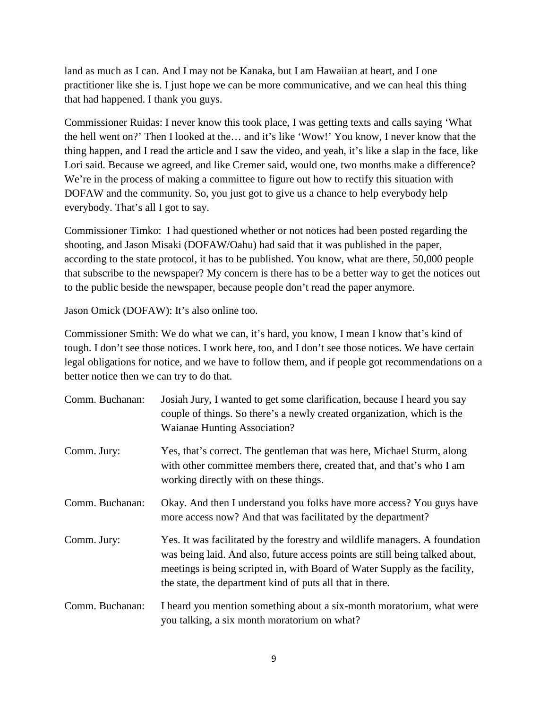land as much as I can. And I may not be Kanaka, but I am Hawaiian at heart, and I one practitioner like she is. I just hope we can be more communicative, and we can heal this thing that had happened. I thank you guys.

Commissioner Ruidas: I never know this took place, I was getting texts and calls saying 'What the hell went on?' Then I looked at the… and it's like 'Wow!' You know, I never know that the thing happen, and I read the article and I saw the video, and yeah, it's like a slap in the face, like Lori said. Because we agreed, and like Cremer said, would one, two months make a difference? We're in the process of making a committee to figure out how to rectify this situation with DOFAW and the community. So, you just got to give us a chance to help everybody help everybody. That's all I got to say.

Commissioner Timko: I had questioned whether or not notices had been posted regarding the shooting, and Jason Misaki (DOFAW/Oahu) had said that it was published in the paper, according to the state protocol, it has to be published. You know, what are there, 50,000 people that subscribe to the newspaper? My concern is there has to be a better way to get the notices out to the public beside the newspaper, because people don't read the paper anymore.

Jason Omick (DOFAW): It's also online too.

Commissioner Smith: We do what we can, it's hard, you know, I mean I know that's kind of tough. I don't see those notices. I work here, too, and I don't see those notices. We have certain legal obligations for notice, and we have to follow them, and if people got recommendations on a better notice then we can try to do that.

| Comm. Buchanan: | Josiah Jury, I wanted to get some clarification, because I heard you say<br>couple of things. So there's a newly created organization, which is the<br><b>Waianae Hunting Association?</b>                                                                                                             |
|-----------------|--------------------------------------------------------------------------------------------------------------------------------------------------------------------------------------------------------------------------------------------------------------------------------------------------------|
| Comm. Jury:     | Yes, that's correct. The gentleman that was here, Michael Sturm, along<br>with other committee members there, created that, and that's who I am<br>working directly with on these things.                                                                                                              |
| Comm. Buchanan: | Okay. And then I understand you folks have more access? You guys have<br>more access now? And that was facilitated by the department?                                                                                                                                                                  |
| Comm. Jury:     | Yes. It was facilitated by the forestry and wildlife managers. A foundation<br>was being laid. And also, future access points are still being talked about,<br>meetings is being scripted in, with Board of Water Supply as the facility,<br>the state, the department kind of puts all that in there. |
| Comm. Buchanan: | I heard you mention something about a six-month moratorium, what were<br>you talking, a six month moratorium on what?                                                                                                                                                                                  |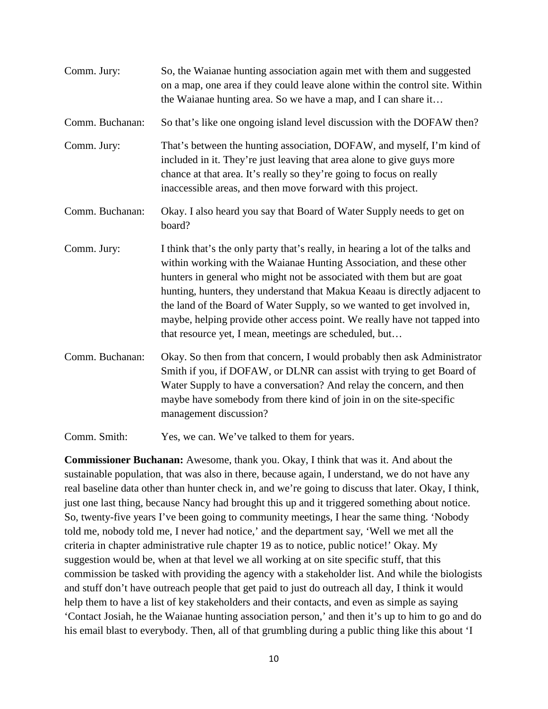| Comm. Jury:     | So, the Waianae hunting association again met with them and suggested<br>on a map, one area if they could leave alone within the control site. Within<br>the Waianae hunting area. So we have a map, and I can share it                                                                                                                                                                                                                                                                                                         |
|-----------------|---------------------------------------------------------------------------------------------------------------------------------------------------------------------------------------------------------------------------------------------------------------------------------------------------------------------------------------------------------------------------------------------------------------------------------------------------------------------------------------------------------------------------------|
| Comm. Buchanan: | So that's like one ongoing island level discussion with the DOFAW then?                                                                                                                                                                                                                                                                                                                                                                                                                                                         |
| Comm. Jury:     | That's between the hunting association, DOFAW, and myself, I'm kind of<br>included in it. They're just leaving that area alone to give guys more<br>chance at that area. It's really so they're going to focus on really<br>inaccessible areas, and then move forward with this project.                                                                                                                                                                                                                                        |
| Comm. Buchanan: | Okay. I also heard you say that Board of Water Supply needs to get on<br>board?                                                                                                                                                                                                                                                                                                                                                                                                                                                 |
| Comm. Jury:     | I think that's the only party that's really, in hearing a lot of the talks and<br>within working with the Waianae Hunting Association, and these other<br>hunters in general who might not be associated with them but are goat<br>hunting, hunters, they understand that Makua Keaau is directly adjacent to<br>the land of the Board of Water Supply, so we wanted to get involved in,<br>maybe, helping provide other access point. We really have not tapped into<br>that resource yet, I mean, meetings are scheduled, but |
| Comm. Buchanan: | Okay. So then from that concern, I would probably then ask Administrator<br>Smith if you, if DOFAW, or DLNR can assist with trying to get Board of<br>Water Supply to have a conversation? And relay the concern, and then<br>maybe have somebody from there kind of join in on the site-specific<br>management discussion?                                                                                                                                                                                                     |
| Comm. Smith:    | Yes, we can. We've talked to them for years.                                                                                                                                                                                                                                                                                                                                                                                                                                                                                    |

**Commissioner Buchanan:** Awesome, thank you. Okay, I think that was it. And about the sustainable population, that was also in there, because again, I understand, we do not have any real baseline data other than hunter check in, and we're going to discuss that later. Okay, I think, just one last thing, because Nancy had brought this up and it triggered something about notice. So, twenty-five years I've been going to community meetings, I hear the same thing. 'Nobody told me, nobody told me, I never had notice,' and the department say, 'Well we met all the criteria in chapter administrative rule chapter 19 as to notice, public notice!' Okay. My suggestion would be, when at that level we all working at on site specific stuff, that this commission be tasked with providing the agency with a stakeholder list. And while the biologists and stuff don't have outreach people that get paid to just do outreach all day, I think it would help them to have a list of key stakeholders and their contacts, and even as simple as saying 'Contact Josiah, he the Waianae hunting association person,' and then it's up to him to go and do his email blast to everybody. Then, all of that grumbling during a public thing like this about 'I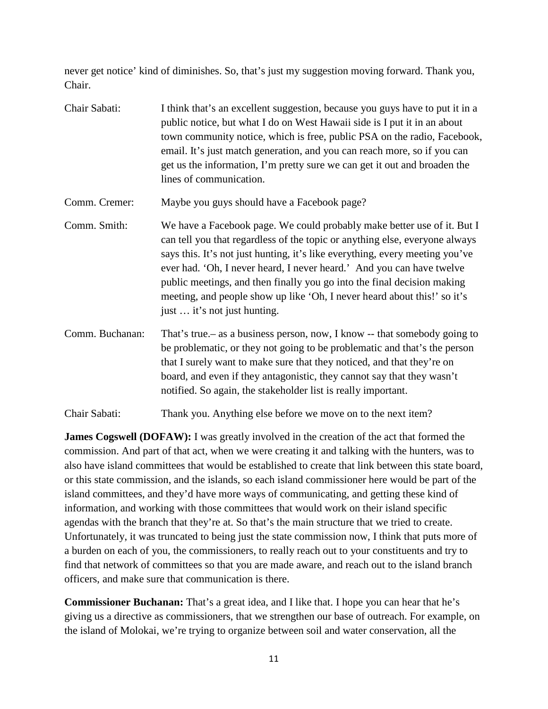never get notice' kind of diminishes. So, that's just my suggestion moving forward. Thank you, Chair.

- Chair Sabati: I think that's an excellent suggestion, because you guys have to put it in a public notice, but what I do on West Hawaii side is I put it in an about town community notice, which is free, public PSA on the radio, Facebook, email. It's just match generation, and you can reach more, so if you can get us the information, I'm pretty sure we can get it out and broaden the lines of communication. Comm. Cremer: Maybe you guys should have a Facebook page? Comm. Smith: We have a Facebook page. We could probably make better use of it. But I can tell you that regardless of the topic or anything else, everyone always says this. It's not just hunting, it's like everything, every meeting you've ever had. 'Oh, I never heard, I never heard.' And you can have twelve public meetings, and then finally you go into the final decision making meeting, and people show up like 'Oh, I never heard about this!' so it's just … it's not just hunting. Comm. Buchanan: That's true.– as a business person, now, I know -- that somebody going to be problematic, or they not going to be problematic and that's the person that I surely want to make sure that they noticed, and that they're on board, and even if they antagonistic, they cannot say that they wasn't
- Chair Sabati: Thank you. Anything else before we move on to the next item?

**James Cogswell (DOFAW):** I was greatly involved in the creation of the act that formed the commission. And part of that act, when we were creating it and talking with the hunters, was to also have island committees that would be established to create that link between this state board, or this state commission, and the islands, so each island commissioner here would be part of the island committees, and they'd have more ways of communicating, and getting these kind of information, and working with those committees that would work on their island specific agendas with the branch that they're at. So that's the main structure that we tried to create. Unfortunately, it was truncated to being just the state commission now, I think that puts more of a burden on each of you, the commissioners, to really reach out to your constituents and try to find that network of committees so that you are made aware, and reach out to the island branch officers, and make sure that communication is there.

notified. So again, the stakeholder list is really important.

**Commissioner Buchanan:** That's a great idea, and I like that. I hope you can hear that he's giving us a directive as commissioners, that we strengthen our base of outreach. For example, on the island of Molokai, we're trying to organize between soil and water conservation, all the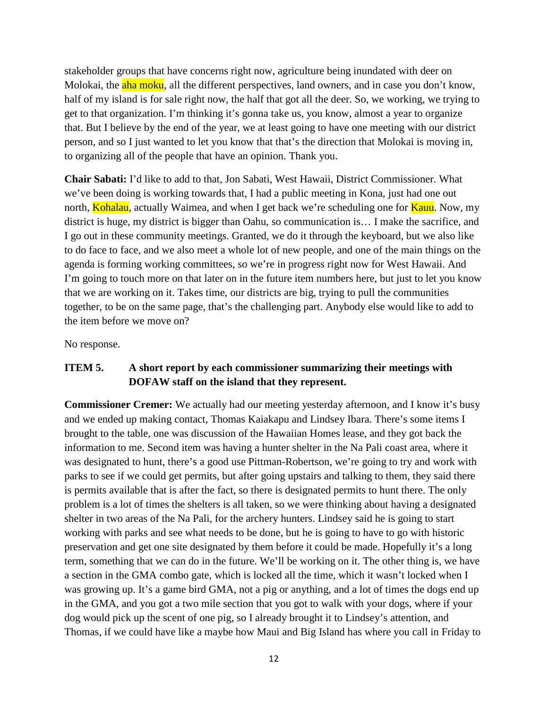stakeholder groups that have concerns right now, agriculture being inundated with deer on Molokai, the **aha moku**, all the different perspectives, land owners, and in case you don't know, half of my island is for sale right now, the half that got all the deer. So, we working, we trying to get to that organization. I'm thinking it's gonna take us, you know, almost a year to organize that. But I believe by the end of the year, we at least going to have one meeting with our district person, and so I just wanted to let you know that that's the direction that Molokai is moving in, to organizing all of the people that have an opinion. Thank you.

**Chair Sabati:** I'd like to add to that, Jon Sabati, West Hawaii, District Commissioner. What we've been doing is working towards that, I had a public meeting in Kona, just had one out north, **Kohalau**, actually Waimea, and when I get back we're scheduling one for **Kauu**. Now, my district is huge, my district is bigger than Oahu, so communication is… I make the sacrifice, and I go out in these community meetings. Granted, we do it through the keyboard, but we also like to do face to face, and we also meet a whole lot of new people, and one of the main things on the agenda is forming working committees, so we're in progress right now for West Hawaii. And I'm going to touch more on that later on in the future item numbers here, but just to let you know that we are working on it. Takes time, our districts are big, trying to pull the communities together, to be on the same page, that's the challenging part. Anybody else would like to add to the item before we move on?

No response.

### **ITEM 5. A short report by each commissioner summarizing their meetings with DOFAW staff on the island that they represent.**

**Commissioner Cremer:** We actually had our meeting yesterday afternoon, and I know it's busy and we ended up making contact, Thomas Kaiakapu and Lindsey Ibara. There's some items I brought to the table, one was discussion of the Hawaiian Homes lease, and they got back the information to me. Second item was having a hunter shelter in the Na Pali coast area, where it was designated to hunt, there's a good use Pittman-Robertson, we're going to try and work with parks to see if we could get permits, but after going upstairs and talking to them, they said there is permits available that is after the fact, so there is designated permits to hunt there. The only problem is a lot of times the shelters is all taken, so we were thinking about having a designated shelter in two areas of the Na Pali, for the archery hunters. Lindsey said he is going to start working with parks and see what needs to be done, but he is going to have to go with historic preservation and get one site designated by them before it could be made. Hopefully it's a long term, something that we can do in the future. We'll be working on it. The other thing is, we have a section in the GMA combo gate, which is locked all the time, which it wasn't locked when I was growing up. It's a game bird GMA, not a pig or anything, and a lot of times the dogs end up in the GMA, and you got a two mile section that you got to walk with your dogs, where if your dog would pick up the scent of one pig, so I already brought it to Lindsey's attention, and Thomas, if we could have like a maybe how Maui and Big Island has where you call in Friday to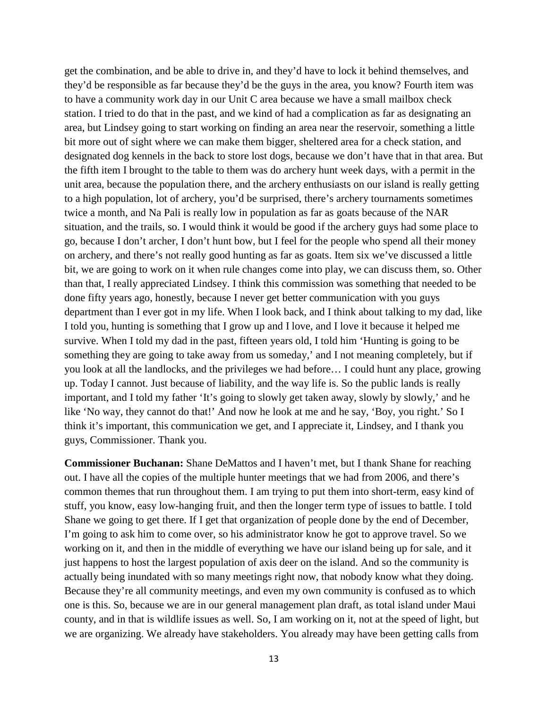get the combination, and be able to drive in, and they'd have to lock it behind themselves, and they'd be responsible as far because they'd be the guys in the area, you know? Fourth item was to have a community work day in our Unit C area because we have a small mailbox check station. I tried to do that in the past, and we kind of had a complication as far as designating an area, but Lindsey going to start working on finding an area near the reservoir, something a little bit more out of sight where we can make them bigger, sheltered area for a check station, and designated dog kennels in the back to store lost dogs, because we don't have that in that area. But the fifth item I brought to the table to them was do archery hunt week days, with a permit in the unit area, because the population there, and the archery enthusiasts on our island is really getting to a high population, lot of archery, you'd be surprised, there's archery tournaments sometimes twice a month, and Na Pali is really low in population as far as goats because of the NAR situation, and the trails, so. I would think it would be good if the archery guys had some place to go, because I don't archer, I don't hunt bow, but I feel for the people who spend all their money on archery, and there's not really good hunting as far as goats. Item six we've discussed a little bit, we are going to work on it when rule changes come into play, we can discuss them, so. Other than that, I really appreciated Lindsey. I think this commission was something that needed to be done fifty years ago, honestly, because I never get better communication with you guys department than I ever got in my life. When I look back, and I think about talking to my dad, like I told you, hunting is something that I grow up and I love, and I love it because it helped me survive. When I told my dad in the past, fifteen years old, I told him 'Hunting is going to be something they are going to take away from us someday,' and I not meaning completely, but if you look at all the landlocks, and the privileges we had before… I could hunt any place, growing up. Today I cannot. Just because of liability, and the way life is. So the public lands is really important, and I told my father 'It's going to slowly get taken away, slowly by slowly,' and he like 'No way, they cannot do that!' And now he look at me and he say, 'Boy, you right.' So I think it's important, this communication we get, and I appreciate it, Lindsey, and I thank you guys, Commissioner. Thank you.

**Commissioner Buchanan:** Shane DeMattos and I haven't met, but I thank Shane for reaching out. I have all the copies of the multiple hunter meetings that we had from 2006, and there's common themes that run throughout them. I am trying to put them into short-term, easy kind of stuff, you know, easy low-hanging fruit, and then the longer term type of issues to battle. I told Shane we going to get there. If I get that organization of people done by the end of December, I'm going to ask him to come over, so his administrator know he got to approve travel. So we working on it, and then in the middle of everything we have our island being up for sale, and it just happens to host the largest population of axis deer on the island. And so the community is actually being inundated with so many meetings right now, that nobody know what they doing. Because they're all community meetings, and even my own community is confused as to which one is this. So, because we are in our general management plan draft, as total island under Maui county, and in that is wildlife issues as well. So, I am working on it, not at the speed of light, but we are organizing. We already have stakeholders. You already may have been getting calls from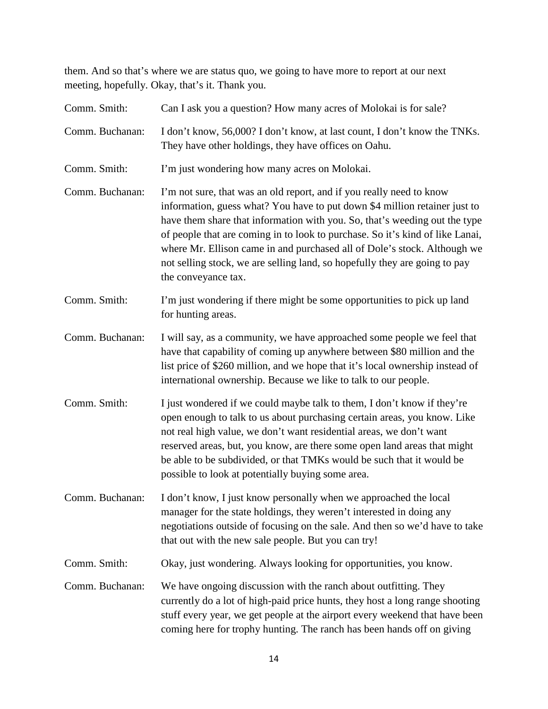them. And so that's where we are status quo, we going to have more to report at our next meeting, hopefully. Okay, that's it. Thank you.

| Comm. Smith:    | Can I ask you a question? How many acres of Molokai is for sale?                                                                                                                                                                                                                                                                                                                                                                                                                                   |
|-----------------|----------------------------------------------------------------------------------------------------------------------------------------------------------------------------------------------------------------------------------------------------------------------------------------------------------------------------------------------------------------------------------------------------------------------------------------------------------------------------------------------------|
| Comm. Buchanan: | I don't know, 56,000? I don't know, at last count, I don't know the TNKs.<br>They have other holdings, they have offices on Oahu.                                                                                                                                                                                                                                                                                                                                                                  |
| Comm. Smith:    | I'm just wondering how many acres on Molokai.                                                                                                                                                                                                                                                                                                                                                                                                                                                      |
| Comm. Buchanan: | I'm not sure, that was an old report, and if you really need to know<br>information, guess what? You have to put down \$4 million retainer just to<br>have them share that information with you. So, that's weeding out the type<br>of people that are coming in to look to purchase. So it's kind of like Lanai,<br>where Mr. Ellison came in and purchased all of Dole's stock. Although we<br>not selling stock, we are selling land, so hopefully they are going to pay<br>the conveyance tax. |
| Comm. Smith:    | I'm just wondering if there might be some opportunities to pick up land<br>for hunting areas.                                                                                                                                                                                                                                                                                                                                                                                                      |
| Comm. Buchanan: | I will say, as a community, we have approached some people we feel that<br>have that capability of coming up anywhere between \$80 million and the<br>list price of \$260 million, and we hope that it's local ownership instead of<br>international ownership. Because we like to talk to our people.                                                                                                                                                                                             |
| Comm. Smith:    | I just wondered if we could maybe talk to them, I don't know if they're<br>open enough to talk to us about purchasing certain areas, you know. Like<br>not real high value, we don't want residential areas, we don't want<br>reserved areas, but, you know, are there some open land areas that might<br>be able to be subdivided, or that TMKs would be such that it would be<br>possible to look at potentially buying some area.                                                               |
| Comm. Buchanan: | I don't know, I just know personally when we approached the local<br>manager for the state holdings, they weren't interested in doing any<br>negotiations outside of focusing on the sale. And then so we'd have to take<br>that out with the new sale people. But you can try!                                                                                                                                                                                                                    |
| Comm. Smith:    | Okay, just wondering. Always looking for opportunities, you know.                                                                                                                                                                                                                                                                                                                                                                                                                                  |
| Comm. Buchanan: | We have ongoing discussion with the ranch about outfitting. They<br>currently do a lot of high-paid price hunts, they host a long range shooting<br>stuff every year, we get people at the airport every weekend that have been<br>coming here for trophy hunting. The ranch has been hands off on giving                                                                                                                                                                                          |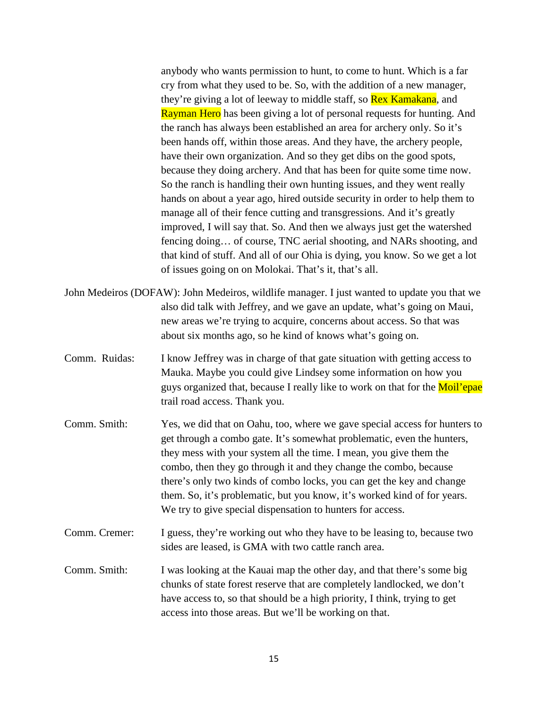anybody who wants permission to hunt, to come to hunt. Which is a far cry from what they used to be. So, with the addition of a new manager, they're giving a lot of leeway to middle staff, so **Rex Kamakana**, and Rayman Hero has been giving a lot of personal requests for hunting. And the ranch has always been established an area for archery only. So it's been hands off, within those areas. And they have, the archery people, have their own organization. And so they get dibs on the good spots, because they doing archery. And that has been for quite some time now. So the ranch is handling their own hunting issues, and they went really hands on about a year ago, hired outside security in order to help them to manage all of their fence cutting and transgressions. And it's greatly improved, I will say that. So. And then we always just get the watershed fencing doing… of course, TNC aerial shooting, and NARs shooting, and that kind of stuff. And all of our Ohia is dying, you know. So we get a lot of issues going on on Molokai. That's it, that's all.

- John Medeiros (DOFAW): John Medeiros, wildlife manager. I just wanted to update you that we also did talk with Jeffrey, and we gave an update, what's going on Maui, new areas we're trying to acquire, concerns about access. So that was about six months ago, so he kind of knows what's going on.
- Comm. Ruidas: I know Jeffrey was in charge of that gate situation with getting access to Mauka. Maybe you could give Lindsey some information on how you guys organized that, because I really like to work on that for the Moil'epae trail road access. Thank you.
- Comm. Smith: Yes, we did that on Oahu, too, where we gave special access for hunters to get through a combo gate. It's somewhat problematic, even the hunters, they mess with your system all the time. I mean, you give them the combo, then they go through it and they change the combo, because there's only two kinds of combo locks, you can get the key and change them. So, it's problematic, but you know, it's worked kind of for years. We try to give special dispensation to hunters for access.
- Comm. Cremer: I guess, they're working out who they have to be leasing to, because two sides are leased, is GMA with two cattle ranch area.
- Comm. Smith: I was looking at the Kauai map the other day, and that there's some big chunks of state forest reserve that are completely landlocked, we don't have access to, so that should be a high priority, I think, trying to get access into those areas. But we'll be working on that.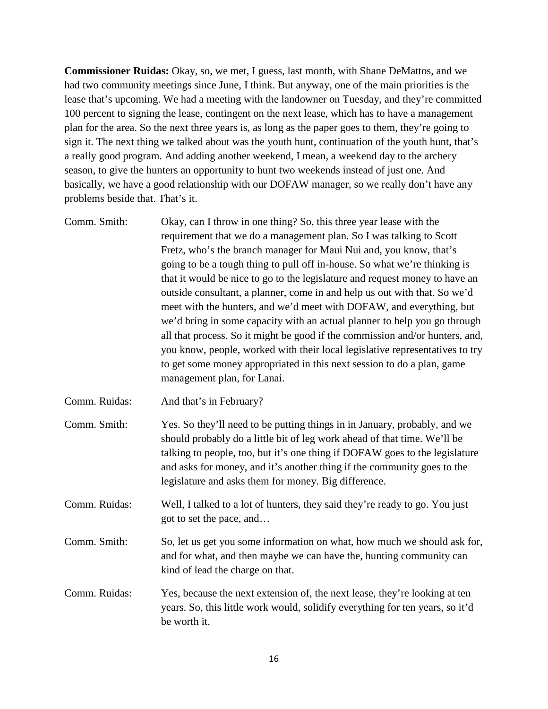**Commissioner Ruidas:** Okay, so, we met, I guess, last month, with Shane DeMattos, and we had two community meetings since June, I think. But anyway, one of the main priorities is the lease that's upcoming. We had a meeting with the landowner on Tuesday, and they're committed 100 percent to signing the lease, contingent on the next lease, which has to have a management plan for the area. So the next three years is, as long as the paper goes to them, they're going to sign it. The next thing we talked about was the youth hunt, continuation of the youth hunt, that's a really good program. And adding another weekend, I mean, a weekend day to the archery season, to give the hunters an opportunity to hunt two weekends instead of just one. And basically, we have a good relationship with our DOFAW manager, so we really don't have any problems beside that. That's it.

- Comm. Smith: Okay, can I throw in one thing? So, this three year lease with the requirement that we do a management plan. So I was talking to Scott Fretz, who's the branch manager for Maui Nui and, you know, that's going to be a tough thing to pull off in-house. So what we're thinking is that it would be nice to go to the legislature and request money to have an outside consultant, a planner, come in and help us out with that. So we'd meet with the hunters, and we'd meet with DOFAW, and everything, but we'd bring in some capacity with an actual planner to help you go through all that process. So it might be good if the commission and/or hunters, and, you know, people, worked with their local legislative representatives to try to get some money appropriated in this next session to do a plan, game management plan, for Lanai.
- Comm. Ruidas: And that's in February?
- Comm. Smith: Yes. So they'll need to be putting things in in January, probably, and we should probably do a little bit of leg work ahead of that time. We'll be talking to people, too, but it's one thing if DOFAW goes to the legislature and asks for money, and it's another thing if the community goes to the legislature and asks them for money. Big difference.

Comm. Ruidas: Well, I talked to a lot of hunters, they said they're ready to go. You just got to set the pace, and…

- Comm. Smith: So, let us get you some information on what, how much we should ask for, and for what, and then maybe we can have the, hunting community can kind of lead the charge on that.
- Comm. Ruidas: Yes, because the next extension of, the next lease, they're looking at ten years. So, this little work would, solidify everything for ten years, so it'd be worth it.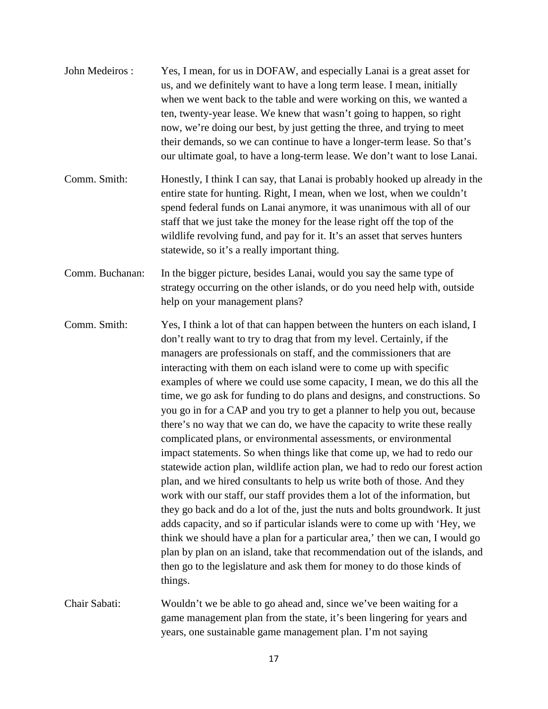| John Medeiros:  | Yes, I mean, for us in DOFAW, and especially Lanai is a great asset for<br>us, and we definitely want to have a long term lease. I mean, initially<br>when we went back to the table and were working on this, we wanted a<br>ten, twenty-year lease. We knew that wasn't going to happen, so right<br>now, we're doing our best, by just getting the three, and trying to meet<br>their demands, so we can continue to have a longer-term lease. So that's<br>our ultimate goal, to have a long-term lease. We don't want to lose Lanai.                                                                                                                                                                                                                                                                                                                                                                                                                                                                                                                                                                                                                                                                                                                                                                                                                                                                                         |
|-----------------|-----------------------------------------------------------------------------------------------------------------------------------------------------------------------------------------------------------------------------------------------------------------------------------------------------------------------------------------------------------------------------------------------------------------------------------------------------------------------------------------------------------------------------------------------------------------------------------------------------------------------------------------------------------------------------------------------------------------------------------------------------------------------------------------------------------------------------------------------------------------------------------------------------------------------------------------------------------------------------------------------------------------------------------------------------------------------------------------------------------------------------------------------------------------------------------------------------------------------------------------------------------------------------------------------------------------------------------------------------------------------------------------------------------------------------------|
| Comm. Smith:    | Honestly, I think I can say, that Lanai is probably hooked up already in the<br>entire state for hunting. Right, I mean, when we lost, when we couldn't<br>spend federal funds on Lanai anymore, it was unanimous with all of our<br>staff that we just take the money for the lease right off the top of the<br>wildlife revolving fund, and pay for it. It's an asset that serves hunters<br>statewide, so it's a really important thing.                                                                                                                                                                                                                                                                                                                                                                                                                                                                                                                                                                                                                                                                                                                                                                                                                                                                                                                                                                                       |
| Comm. Buchanan: | In the bigger picture, besides Lanai, would you say the same type of<br>strategy occurring on the other islands, or do you need help with, outside<br>help on your management plans?                                                                                                                                                                                                                                                                                                                                                                                                                                                                                                                                                                                                                                                                                                                                                                                                                                                                                                                                                                                                                                                                                                                                                                                                                                              |
| Comm. Smith:    | Yes, I think a lot of that can happen between the hunters on each island, I<br>don't really want to try to drag that from my level. Certainly, if the<br>managers are professionals on staff, and the commissioners that are<br>interacting with them on each island were to come up with specific<br>examples of where we could use some capacity, I mean, we do this all the<br>time, we go ask for funding to do plans and designs, and constructions. So<br>you go in for a CAP and you try to get a planner to help you out, because<br>there's no way that we can do, we have the capacity to write these really<br>complicated plans, or environmental assessments, or environmental<br>impact statements. So when things like that come up, we had to redo our<br>statewide action plan, wildlife action plan, we had to redo our forest action<br>plan, and we hired consultants to help us write both of those. And they<br>work with our staff, our staff provides them a lot of the information, but<br>they go back and do a lot of the, just the nuts and bolts groundwork. It just<br>adds capacity, and so if particular islands were to come up with 'Hey, we<br>think we should have a plan for a particular area,' then we can, I would go<br>plan by plan on an island, take that recommendation out of the islands, and<br>then go to the legislature and ask them for money to do those kinds of<br>things. |
| Chair Sabati:   | Wouldn't we be able to go ahead and, since we've been waiting for a<br>game management plan from the state, it's been lingering for years and<br>years, one sustainable game management plan. I'm not saying                                                                                                                                                                                                                                                                                                                                                                                                                                                                                                                                                                                                                                                                                                                                                                                                                                                                                                                                                                                                                                                                                                                                                                                                                      |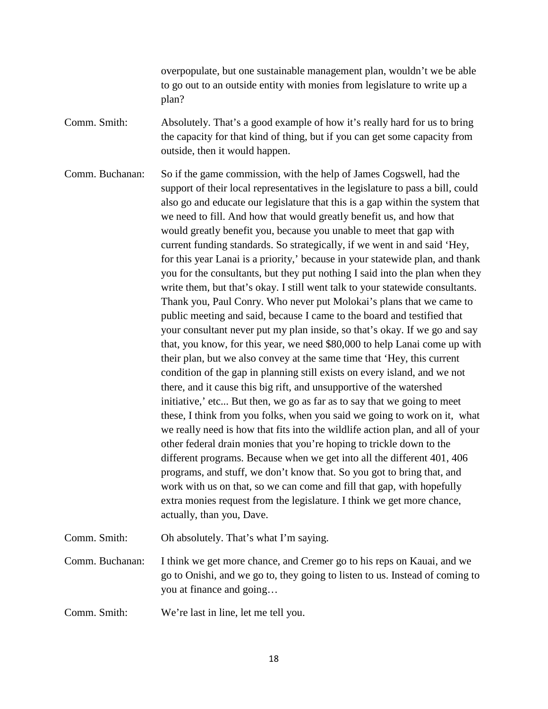overpopulate, but one sustainable management plan, wouldn't we be able to go out to an outside entity with monies from legislature to write up a plan?

Comm. Smith: Absolutely. That's a good example of how it's really hard for us to bring the capacity for that kind of thing, but if you can get some capacity from outside, then it would happen.

Comm. Buchanan: So if the game commission, with the help of James Cogswell, had the support of their local representatives in the legislature to pass a bill, could also go and educate our legislature that this is a gap within the system that we need to fill. And how that would greatly benefit us, and how that would greatly benefit you, because you unable to meet that gap with current funding standards. So strategically, if we went in and said 'Hey, for this year Lanai is a priority,' because in your statewide plan, and thank you for the consultants, but they put nothing I said into the plan when they write them, but that's okay. I still went talk to your statewide consultants. Thank you, Paul Conry. Who never put Molokai's plans that we came to public meeting and said, because I came to the board and testified that your consultant never put my plan inside, so that's okay. If we go and say that, you know, for this year, we need \$80,000 to help Lanai come up with their plan, but we also convey at the same time that 'Hey, this current condition of the gap in planning still exists on every island, and we not there, and it cause this big rift, and unsupportive of the watershed initiative,' etc... But then, we go as far as to say that we going to meet these, I think from you folks, when you said we going to work on it, what we really need is how that fits into the wildlife action plan, and all of your other federal drain monies that you're hoping to trickle down to the different programs. Because when we get into all the different 401, 406 programs, and stuff, we don't know that. So you got to bring that, and work with us on that, so we can come and fill that gap, with hopefully extra monies request from the legislature. I think we get more chance, actually, than you, Dave.

Comm. Smith: Oh absolutely. That's what I'm saying.

Comm. Buchanan: I think we get more chance, and Cremer go to his reps on Kauai, and we go to Onishi, and we go to, they going to listen to us. Instead of coming to you at finance and going…

Comm. Smith: We're last in line, let me tell you.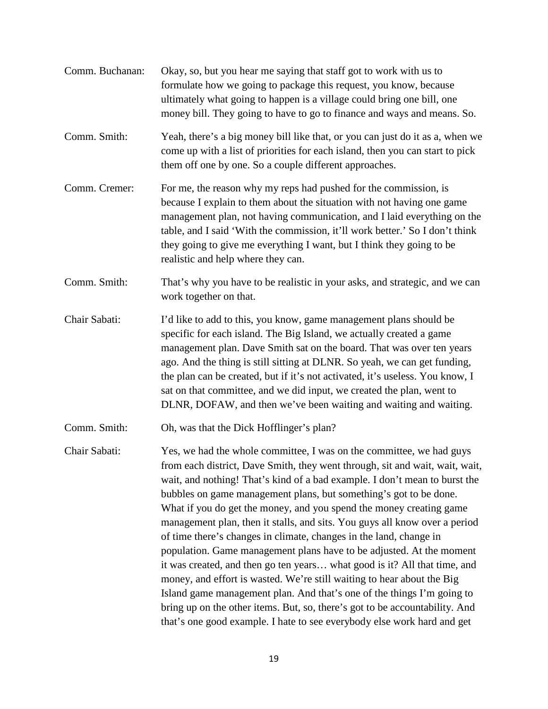Comm. Buchanan: Okay, so, but you hear me saying that staff got to work with us to formulate how we going to package this request, you know, because ultimately what going to happen is a village could bring one bill, one money bill. They going to have to go to finance and ways and means. So. Comm. Smith: Yeah, there's a big money bill like that, or you can just do it as a, when we come up with a list of priorities for each island, then you can start to pick them off one by one. So a couple different approaches. Comm. Cremer: For me, the reason why my reps had pushed for the commission, is because I explain to them about the situation with not having one game management plan, not having communication, and I laid everything on the table, and I said 'With the commission, it'll work better.' So I don't think they going to give me everything I want, but I think they going to be realistic and help where they can. Comm. Smith: That's why you have to be realistic in your asks, and strategic, and we can work together on that. Chair Sabati: I'd like to add to this, you know, game management plans should be specific for each island. The Big Island, we actually created a game management plan. Dave Smith sat on the board. That was over ten years ago. And the thing is still sitting at DLNR. So yeah, we can get funding, the plan can be created, but if it's not activated, it's useless. You know, I sat on that committee, and we did input, we created the plan, went to DLNR, DOFAW, and then we've been waiting and waiting and waiting. Comm. Smith: Oh, was that the Dick Hofflinger's plan? Chair Sabati: Yes, we had the whole committee, I was on the committee, we had guys from each district, Dave Smith, they went through, sit and wait, wait, wait, wait, and nothing! That's kind of a bad example. I don't mean to burst the bubbles on game management plans, but something's got to be done. What if you do get the money, and you spend the money creating game management plan, then it stalls, and sits. You guys all know over a period of time there's changes in climate, changes in the land, change in population. Game management plans have to be adjusted. At the moment it was created, and then go ten years… what good is it? All that time, and money, and effort is wasted. We're still waiting to hear about the Big Island game management plan. And that's one of the things I'm going to bring up on the other items. But, so, there's got to be accountability. And that's one good example. I hate to see everybody else work hard and get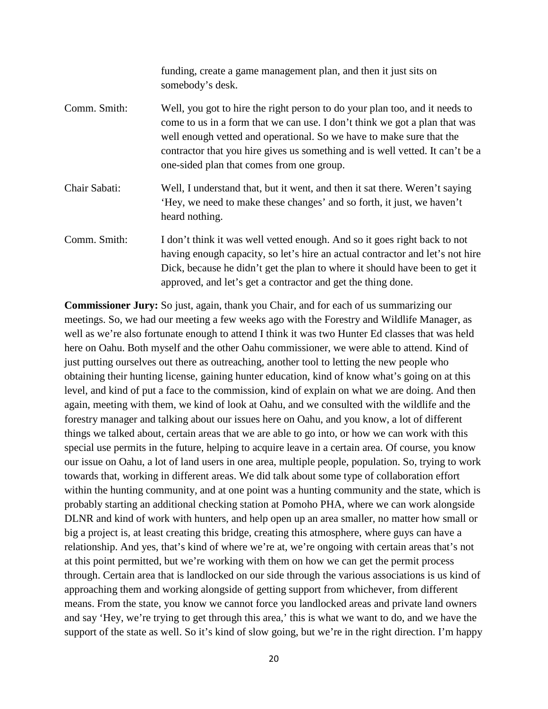|               | funding, create a game management plan, and then it just sits on<br>somebody's desk.                                                                                                                                                                                                                                                                            |
|---------------|-----------------------------------------------------------------------------------------------------------------------------------------------------------------------------------------------------------------------------------------------------------------------------------------------------------------------------------------------------------------|
| Comm. Smith:  | Well, you got to hire the right person to do your plan too, and it needs to<br>come to us in a form that we can use. I don't think we got a plan that was<br>well enough vetted and operational. So we have to make sure that the<br>contractor that you hire gives us something and is well vetted. It can't be a<br>one-sided plan that comes from one group. |
| Chair Sabati: | Well, I understand that, but it went, and then it sat there. Weren't saying<br>'Hey, we need to make these changes' and so forth, it just, we haven't<br>heard nothing.                                                                                                                                                                                         |
| Comm. Smith:  | I don't think it was well vetted enough. And so it goes right back to not<br>having enough capacity, so let's hire an actual contractor and let's not hire<br>Dick, because he didn't get the plan to where it should have been to get it<br>approved, and let's get a contractor and get the thing done.                                                       |

**Commissioner Jury:** So just, again, thank you Chair, and for each of us summarizing our meetings. So, we had our meeting a few weeks ago with the Forestry and Wildlife Manager, as well as we're also fortunate enough to attend I think it was two Hunter Ed classes that was held here on Oahu. Both myself and the other Oahu commissioner, we were able to attend. Kind of just putting ourselves out there as outreaching, another tool to letting the new people who obtaining their hunting license, gaining hunter education, kind of know what's going on at this level, and kind of put a face to the commission, kind of explain on what we are doing. And then again, meeting with them, we kind of look at Oahu, and we consulted with the wildlife and the forestry manager and talking about our issues here on Oahu, and you know, a lot of different things we talked about, certain areas that we are able to go into, or how we can work with this special use permits in the future, helping to acquire leave in a certain area. Of course, you know our issue on Oahu, a lot of land users in one area, multiple people, population. So, trying to work towards that, working in different areas. We did talk about some type of collaboration effort within the hunting community, and at one point was a hunting community and the state, which is probably starting an additional checking station at Pomoho PHA, where we can work alongside DLNR and kind of work with hunters, and help open up an area smaller, no matter how small or big a project is, at least creating this bridge, creating this atmosphere, where guys can have a relationship. And yes, that's kind of where we're at, we're ongoing with certain areas that's not at this point permitted, but we're working with them on how we can get the permit process through. Certain area that is landlocked on our side through the various associations is us kind of approaching them and working alongside of getting support from whichever, from different means. From the state, you know we cannot force you landlocked areas and private land owners and say 'Hey, we're trying to get through this area,' this is what we want to do, and we have the support of the state as well. So it's kind of slow going, but we're in the right direction. I'm happy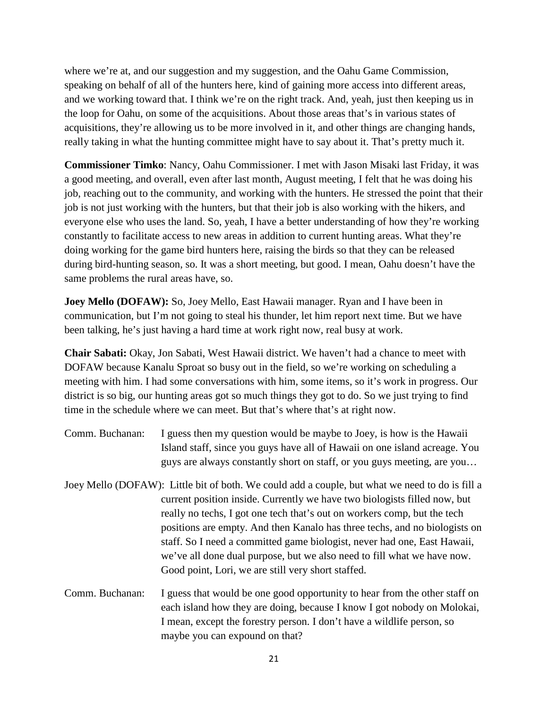where we're at, and our suggestion and my suggestion, and the Oahu Game Commission, speaking on behalf of all of the hunters here, kind of gaining more access into different areas, and we working toward that. I think we're on the right track. And, yeah, just then keeping us in the loop for Oahu, on some of the acquisitions. About those areas that's in various states of acquisitions, they're allowing us to be more involved in it, and other things are changing hands, really taking in what the hunting committee might have to say about it. That's pretty much it.

**Commissioner Timko**: Nancy, Oahu Commissioner. I met with Jason Misaki last Friday, it was a good meeting, and overall, even after last month, August meeting, I felt that he was doing his job, reaching out to the community, and working with the hunters. He stressed the point that their job is not just working with the hunters, but that their job is also working with the hikers, and everyone else who uses the land. So, yeah, I have a better understanding of how they're working constantly to facilitate access to new areas in addition to current hunting areas. What they're doing working for the game bird hunters here, raising the birds so that they can be released during bird-hunting season, so. It was a short meeting, but good. I mean, Oahu doesn't have the same problems the rural areas have, so.

**Joey Mello (DOFAW):** So, Joey Mello, East Hawaii manager. Ryan and I have been in communication, but I'm not going to steal his thunder, let him report next time. But we have been talking, he's just having a hard time at work right now, real busy at work.

**Chair Sabati:** Okay, Jon Sabati, West Hawaii district. We haven't had a chance to meet with DOFAW because Kanalu Sproat so busy out in the field, so we're working on scheduling a meeting with him. I had some conversations with him, some items, so it's work in progress. Our district is so big, our hunting areas got so much things they got to do. So we just trying to find time in the schedule where we can meet. But that's where that's at right now.

- Comm. Buchanan: I guess then my question would be maybe to Joey, is how is the Hawaii Island staff, since you guys have all of Hawaii on one island acreage. You guys are always constantly short on staff, or you guys meeting, are you…
- Joey Mello (DOFAW): Little bit of both. We could add a couple, but what we need to do is fill a current position inside. Currently we have two biologists filled now, but really no techs, I got one tech that's out on workers comp, but the tech positions are empty. And then Kanalo has three techs, and no biologists on staff. So I need a committed game biologist, never had one, East Hawaii, we've all done dual purpose, but we also need to fill what we have now. Good point, Lori, we are still very short staffed.
- Comm. Buchanan: I guess that would be one good opportunity to hear from the other staff on each island how they are doing, because I know I got nobody on Molokai, I mean, except the forestry person. I don't have a wildlife person, so maybe you can expound on that?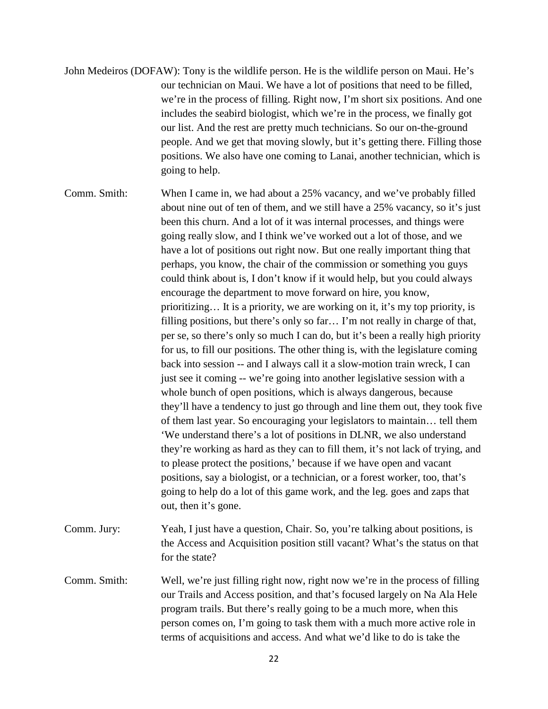- John Medeiros (DOFAW): Tony is the wildlife person. He is the wildlife person on Maui. He's our technician on Maui. We have a lot of positions that need to be filled, we're in the process of filling. Right now, I'm short six positions. And one includes the seabird biologist, which we're in the process, we finally got our list. And the rest are pretty much technicians. So our on-the-ground people. And we get that moving slowly, but it's getting there. Filling those positions. We also have one coming to Lanai, another technician, which is going to help.
- Comm. Smith: When I came in, we had about a 25% vacancy, and we've probably filled about nine out of ten of them, and we still have a 25% vacancy, so it's just been this churn. And a lot of it was internal processes, and things were going really slow, and I think we've worked out a lot of those, and we have a lot of positions out right now. But one really important thing that perhaps, you know, the chair of the commission or something you guys could think about is, I don't know if it would help, but you could always encourage the department to move forward on hire, you know, prioritizing… It is a priority, we are working on it, it's my top priority, is filling positions, but there's only so far… I'm not really in charge of that, per se, so there's only so much I can do, but it's been a really high priority for us, to fill our positions. The other thing is, with the legislature coming back into session -- and I always call it a slow-motion train wreck, I can just see it coming -- we're going into another legislative session with a whole bunch of open positions, which is always dangerous, because they'll have a tendency to just go through and line them out, they took five of them last year. So encouraging your legislators to maintain… tell them 'We understand there's a lot of positions in DLNR, we also understand they're working as hard as they can to fill them, it's not lack of trying, and to please protect the positions,' because if we have open and vacant positions, say a biologist, or a technician, or a forest worker, too, that's going to help do a lot of this game work, and the leg. goes and zaps that out, then it's gone.
- Comm. Jury: Yeah, I just have a question, Chair. So, you're talking about positions, is the Access and Acquisition position still vacant? What's the status on that for the state?
- Comm. Smith: Well, we're just filling right now, right now we're in the process of filling our Trails and Access position, and that's focused largely on Na Ala Hele program trails. But there's really going to be a much more, when this person comes on, I'm going to task them with a much more active role in terms of acquisitions and access. And what we'd like to do is take the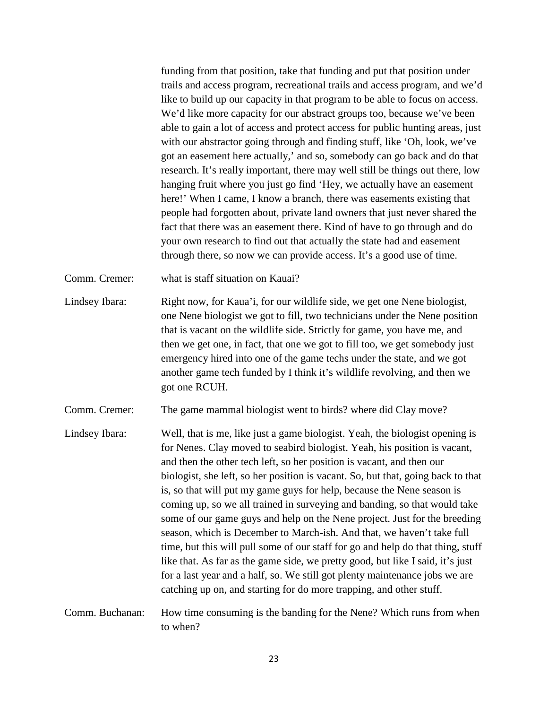funding from that position, take that funding and put that position under trails and access program, recreational trails and access program, and we'd like to build up our capacity in that program to be able to focus on access. We'd like more capacity for our abstract groups too, because we've been able to gain a lot of access and protect access for public hunting areas, just with our abstractor going through and finding stuff, like 'Oh, look, we've got an easement here actually,' and so, somebody can go back and do that research. It's really important, there may well still be things out there, low hanging fruit where you just go find 'Hey, we actually have an easement here!' When I came, I know a branch, there was easements existing that people had forgotten about, private land owners that just never shared the fact that there was an easement there. Kind of have to go through and do your own research to find out that actually the state had and easement through there, so now we can provide access. It's a good use of time.

- Comm. Cremer: what is staff situation on Kauai?
- Lindsey Ibara: Right now, for Kaua'i, for our wildlife side, we get one Nene biologist, one Nene biologist we got to fill, two technicians under the Nene position that is vacant on the wildlife side. Strictly for game, you have me, and then we get one, in fact, that one we got to fill too, we get somebody just emergency hired into one of the game techs under the state, and we got another game tech funded by I think it's wildlife revolving, and then we got one RCUH.
- Comm. Cremer: The game mammal biologist went to birds? where did Clay move?
- Lindsey Ibara: Well, that is me, like just a game biologist. Yeah, the biologist opening is for Nenes. Clay moved to seabird biologist. Yeah, his position is vacant, and then the other tech left, so her position is vacant, and then our biologist, she left, so her position is vacant. So, but that, going back to that is, so that will put my game guys for help, because the Nene season is coming up, so we all trained in surveying and banding, so that would take some of our game guys and help on the Nene project. Just for the breeding season, which is December to March-ish. And that, we haven't take full time, but this will pull some of our staff for go and help do that thing, stuff like that. As far as the game side, we pretty good, but like I said, it's just for a last year and a half, so. We still got plenty maintenance jobs we are catching up on, and starting for do more trapping, and other stuff.
- Comm. Buchanan: How time consuming is the banding for the Nene? Which runs from when to when?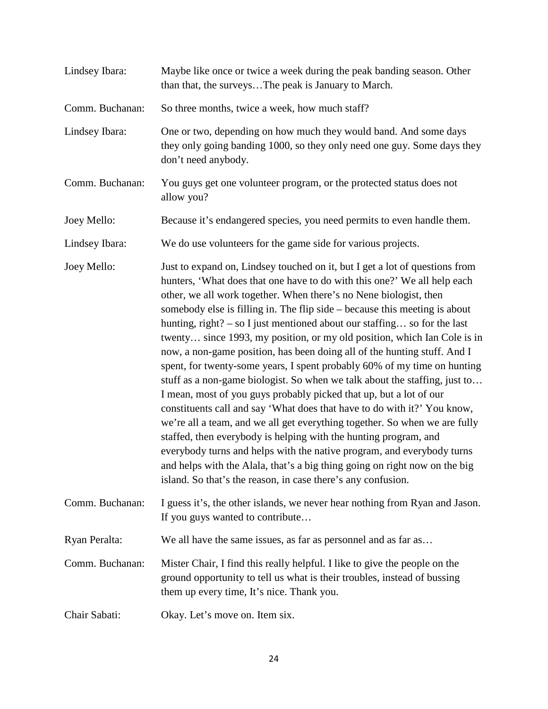| Lindsey Ibara:  | Maybe like once or twice a week during the peak banding season. Other<br>than that, the surveysThe peak is January to March.                                                                                                                                                                                                                                                                                                                                                                                                                                                                                                                                                                                                                                                                                                                                                                                                                                                                                                                                                                                                                                                                                                         |
|-----------------|--------------------------------------------------------------------------------------------------------------------------------------------------------------------------------------------------------------------------------------------------------------------------------------------------------------------------------------------------------------------------------------------------------------------------------------------------------------------------------------------------------------------------------------------------------------------------------------------------------------------------------------------------------------------------------------------------------------------------------------------------------------------------------------------------------------------------------------------------------------------------------------------------------------------------------------------------------------------------------------------------------------------------------------------------------------------------------------------------------------------------------------------------------------------------------------------------------------------------------------|
| Comm. Buchanan: | So three months, twice a week, how much staff?                                                                                                                                                                                                                                                                                                                                                                                                                                                                                                                                                                                                                                                                                                                                                                                                                                                                                                                                                                                                                                                                                                                                                                                       |
| Lindsey Ibara:  | One or two, depending on how much they would band. And some days<br>they only going banding 1000, so they only need one guy. Some days they<br>don't need anybody.                                                                                                                                                                                                                                                                                                                                                                                                                                                                                                                                                                                                                                                                                                                                                                                                                                                                                                                                                                                                                                                                   |
| Comm. Buchanan: | You guys get one volunteer program, or the protected status does not<br>allow you?                                                                                                                                                                                                                                                                                                                                                                                                                                                                                                                                                                                                                                                                                                                                                                                                                                                                                                                                                                                                                                                                                                                                                   |
| Joey Mello:     | Because it's endangered species, you need permits to even handle them.                                                                                                                                                                                                                                                                                                                                                                                                                                                                                                                                                                                                                                                                                                                                                                                                                                                                                                                                                                                                                                                                                                                                                               |
| Lindsey Ibara:  | We do use volunteers for the game side for various projects.                                                                                                                                                                                                                                                                                                                                                                                                                                                                                                                                                                                                                                                                                                                                                                                                                                                                                                                                                                                                                                                                                                                                                                         |
| Joey Mello:     | Just to expand on, Lindsey touched on it, but I get a lot of questions from<br>hunters, 'What does that one have to do with this one?' We all help each<br>other, we all work together. When there's no Nene biologist, then<br>somebody else is filling in. The flip side – because this meeting is about<br>hunting, right? – so I just mentioned about our staffing so for the last<br>twenty since 1993, my position, or my old position, which Ian Cole is in<br>now, a non-game position, has been doing all of the hunting stuff. And I<br>spent, for twenty-some years, I spent probably 60% of my time on hunting<br>stuff as a non-game biologist. So when we talk about the staffing, just to<br>I mean, most of you guys probably picked that up, but a lot of our<br>constituents call and say 'What does that have to do with it?' You know,<br>we're all a team, and we all get everything together. So when we are fully<br>staffed, then everybody is helping with the hunting program, and<br>everybody turns and helps with the native program, and everybody turns<br>and helps with the Alala, that's a big thing going on right now on the big<br>island. So that's the reason, in case there's any confusion. |
| Comm. Buchanan: | I guess it's, the other islands, we never hear nothing from Ryan and Jason.<br>If you guys wanted to contribute                                                                                                                                                                                                                                                                                                                                                                                                                                                                                                                                                                                                                                                                                                                                                                                                                                                                                                                                                                                                                                                                                                                      |
| Ryan Peralta:   | We all have the same issues, as far as personnel and as far as                                                                                                                                                                                                                                                                                                                                                                                                                                                                                                                                                                                                                                                                                                                                                                                                                                                                                                                                                                                                                                                                                                                                                                       |
| Comm. Buchanan: | Mister Chair, I find this really helpful. I like to give the people on the<br>ground opportunity to tell us what is their troubles, instead of bussing<br>them up every time, It's nice. Thank you.                                                                                                                                                                                                                                                                                                                                                                                                                                                                                                                                                                                                                                                                                                                                                                                                                                                                                                                                                                                                                                  |
| Chair Sabati:   | Okay. Let's move on. Item six.                                                                                                                                                                                                                                                                                                                                                                                                                                                                                                                                                                                                                                                                                                                                                                                                                                                                                                                                                                                                                                                                                                                                                                                                       |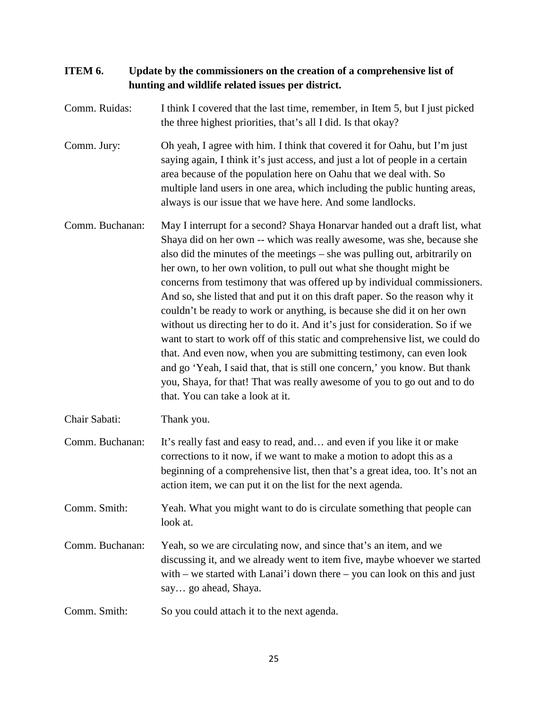# **ITEM 6. Update by the commissioners on the creation of a comprehensive list of hunting and wildlife related issues per district.**

- Comm. Ruidas: I think I covered that the last time, remember, in Item 5, but I just picked the three highest priorities, that's all I did. Is that okay?
- Comm. Jury: Oh yeah, I agree with him. I think that covered it for Oahu, but I'm just saying again, I think it's just access, and just a lot of people in a certain area because of the population here on Oahu that we deal with. So multiple land users in one area, which including the public hunting areas, always is our issue that we have here. And some landlocks.
- Comm. Buchanan: May I interrupt for a second? Shaya Honarvar handed out a draft list, what Shaya did on her own -- which was really awesome, was she, because she also did the minutes of the meetings – she was pulling out, arbitrarily on her own, to her own volition, to pull out what she thought might be concerns from testimony that was offered up by individual commissioners. And so, she listed that and put it on this draft paper. So the reason why it couldn't be ready to work or anything, is because she did it on her own without us directing her to do it. And it's just for consideration. So if we want to start to work off of this static and comprehensive list, we could do that. And even now, when you are submitting testimony, can even look and go 'Yeah, I said that, that is still one concern,' you know. But thank you, Shaya, for that! That was really awesome of you to go out and to do that. You can take a look at it.
- Chair Sabati: Thank you.
- Comm. Buchanan: It's really fast and easy to read, and… and even if you like it or make corrections to it now, if we want to make a motion to adopt this as a beginning of a comprehensive list, then that's a great idea, too. It's not an action item, we can put it on the list for the next agenda.
- Comm. Smith: Yeah. What you might want to do is circulate something that people can look at.
- Comm. Buchanan: Yeah, so we are circulating now, and since that's an item, and we discussing it, and we already went to item five, maybe whoever we started with – we started with Lanai'i down there – you can look on this and just say… go ahead, Shaya.
- Comm. Smith: So you could attach it to the next agenda.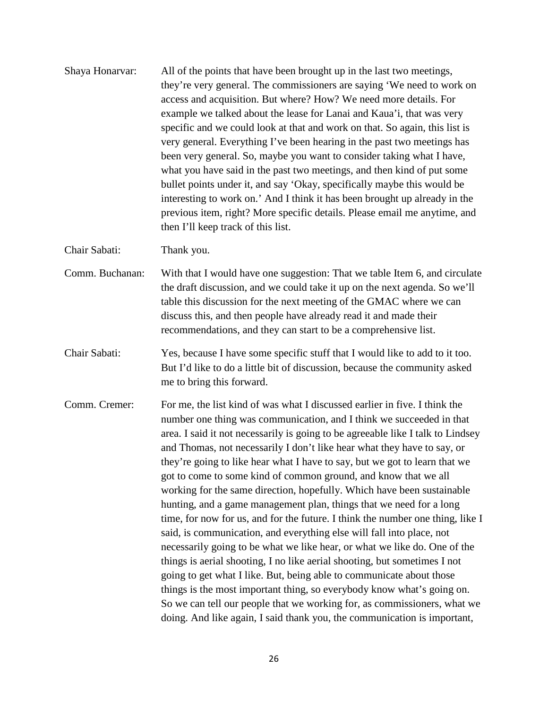Shaya Honarvar: All of the points that have been brought up in the last two meetings, they're very general. The commissioners are saying 'We need to work on access and acquisition. But where? How? We need more details. For example we talked about the lease for Lanai and Kaua'i, that was very specific and we could look at that and work on that. So again, this list is very general. Everything I've been hearing in the past two meetings has been very general. So, maybe you want to consider taking what I have, what you have said in the past two meetings, and then kind of put some bullet points under it, and say 'Okay, specifically maybe this would be interesting to work on.' And I think it has been brought up already in the previous item, right? More specific details. Please email me anytime, and then I'll keep track of this list.

Chair Sabati: Thank you.

- Comm. Buchanan: With that I would have one suggestion: That we table Item 6, and circulate the draft discussion, and we could take it up on the next agenda. So we'll table this discussion for the next meeting of the GMAC where we can discuss this, and then people have already read it and made their recommendations, and they can start to be a comprehensive list.
- Chair Sabati: Yes, because I have some specific stuff that I would like to add to it too. But I'd like to do a little bit of discussion, because the community asked me to bring this forward.
- Comm. Cremer: For me, the list kind of was what I discussed earlier in five. I think the number one thing was communication, and I think we succeeded in that area. I said it not necessarily is going to be agreeable like I talk to Lindsey and Thomas, not necessarily I don't like hear what they have to say, or they're going to like hear what I have to say, but we got to learn that we got to come to some kind of common ground, and know that we all working for the same direction, hopefully. Which have been sustainable hunting, and a game management plan, things that we need for a long time, for now for us, and for the future. I think the number one thing, like I said, is communication, and everything else will fall into place, not necessarily going to be what we like hear, or what we like do. One of the things is aerial shooting, I no like aerial shooting, but sometimes I not going to get what I like. But, being able to communicate about those things is the most important thing, so everybody know what's going on. So we can tell our people that we working for, as commissioners, what we doing. And like again, I said thank you, the communication is important,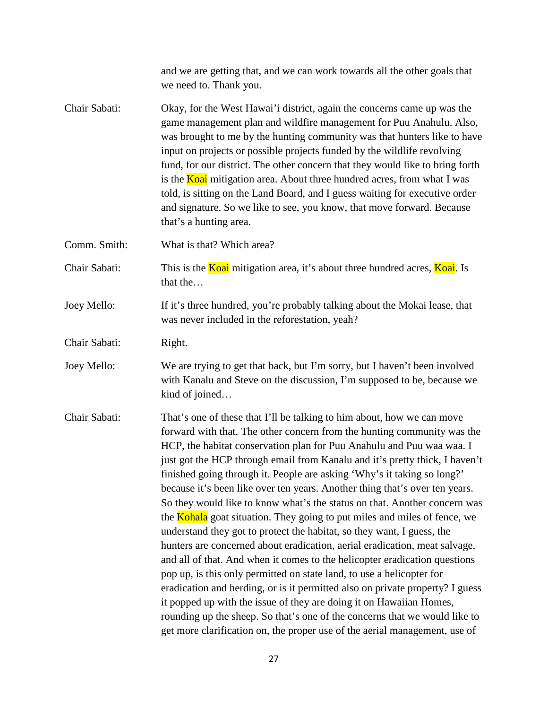|               | and we are getting that, and we can work towards all the other goals that<br>we need to. Thank you.                                                                                                                                                                                                                                                                                                                                                                                                                                                                                                                                                                                                                                                                                                                                                                                                                                                                                                                                                                                                                                                                                                                                                                     |
|---------------|-------------------------------------------------------------------------------------------------------------------------------------------------------------------------------------------------------------------------------------------------------------------------------------------------------------------------------------------------------------------------------------------------------------------------------------------------------------------------------------------------------------------------------------------------------------------------------------------------------------------------------------------------------------------------------------------------------------------------------------------------------------------------------------------------------------------------------------------------------------------------------------------------------------------------------------------------------------------------------------------------------------------------------------------------------------------------------------------------------------------------------------------------------------------------------------------------------------------------------------------------------------------------|
| Chair Sabati: | Okay, for the West Hawai'i district, again the concerns came up was the<br>game management plan and wildfire management for Puu Anahulu. Also,<br>was brought to me by the hunting community was that hunters like to have<br>input on projects or possible projects funded by the wildlife revolving<br>fund, for our district. The other concern that they would like to bring forth<br>is the <b>Koai</b> mitigation area. About three hundred acres, from what I was<br>told, is sitting on the Land Board, and I guess waiting for executive order<br>and signature. So we like to see, you know, that move forward. Because<br>that's a hunting area.                                                                                                                                                                                                                                                                                                                                                                                                                                                                                                                                                                                                             |
| Comm. Smith:  | What is that? Which area?                                                                                                                                                                                                                                                                                                                                                                                                                                                                                                                                                                                                                                                                                                                                                                                                                                                                                                                                                                                                                                                                                                                                                                                                                                               |
| Chair Sabati: | This is the <b>Koai</b> mitigation area, it's about three hundred acres, <b>Koai</b> . Is<br>that the                                                                                                                                                                                                                                                                                                                                                                                                                                                                                                                                                                                                                                                                                                                                                                                                                                                                                                                                                                                                                                                                                                                                                                   |
| Joey Mello:   | If it's three hundred, you're probably talking about the Mokai lease, that<br>was never included in the reforestation, yeah?                                                                                                                                                                                                                                                                                                                                                                                                                                                                                                                                                                                                                                                                                                                                                                                                                                                                                                                                                                                                                                                                                                                                            |
| Chair Sabati: | Right.                                                                                                                                                                                                                                                                                                                                                                                                                                                                                                                                                                                                                                                                                                                                                                                                                                                                                                                                                                                                                                                                                                                                                                                                                                                                  |
| Joey Mello:   | We are trying to get that back, but I'm sorry, but I haven't been involved<br>with Kanalu and Steve on the discussion, I'm supposed to be, because we<br>kind of joined                                                                                                                                                                                                                                                                                                                                                                                                                                                                                                                                                                                                                                                                                                                                                                                                                                                                                                                                                                                                                                                                                                 |
| Chair Sabati: | That's one of these that I'll be talking to him about, how we can move<br>forward with that. The other concern from the hunting community was the<br>HCP, the habitat conservation plan for Puu Anahulu and Puu waa waa. I<br>just got the HCP through email from Kanalu and it's pretty thick, I haven't<br>finished going through it. People are asking 'Why's it taking so long?'<br>because it's been like over ten years. Another thing that's over ten years.<br>So they would like to know what's the status on that. Another concern was<br>the <b>Kohala</b> goat situation. They going to put miles and miles of fence, we<br>understand they got to protect the habitat, so they want, I guess, the<br>hunters are concerned about eradication, aerial eradication, meat salvage,<br>and all of that. And when it comes to the helicopter eradication questions<br>pop up, is this only permitted on state land, to use a helicopter for<br>eradication and herding, or is it permitted also on private property? I guess<br>it popped up with the issue of they are doing it on Hawaiian Homes,<br>rounding up the sheep. So that's one of the concerns that we would like to<br>get more clarification on, the proper use of the aerial management, use of |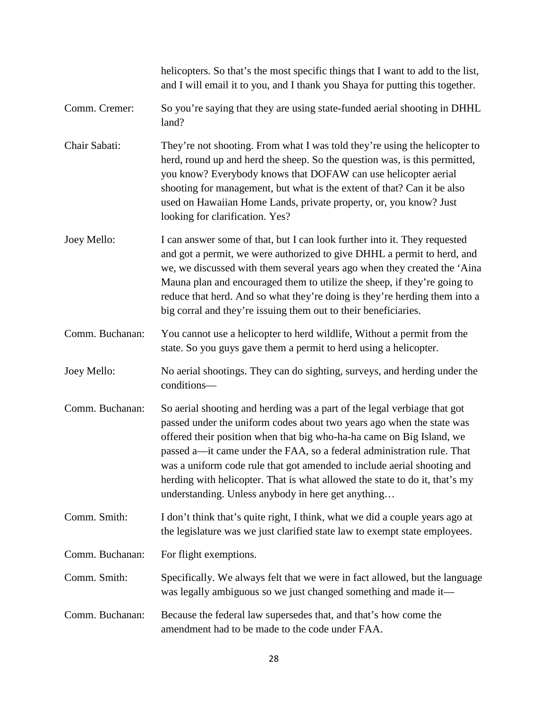|                 | helicopters. So that's the most specific things that I want to add to the list,<br>and I will email it to you, and I thank you Shaya for putting this together.                                                                                                                                                                                                                                                                                                                                                      |
|-----------------|----------------------------------------------------------------------------------------------------------------------------------------------------------------------------------------------------------------------------------------------------------------------------------------------------------------------------------------------------------------------------------------------------------------------------------------------------------------------------------------------------------------------|
| Comm. Cremer:   | So you're saying that they are using state-funded aerial shooting in DHHL<br>land?                                                                                                                                                                                                                                                                                                                                                                                                                                   |
| Chair Sabati:   | They're not shooting. From what I was told they're using the helicopter to<br>herd, round up and herd the sheep. So the question was, is this permitted,<br>you know? Everybody knows that DOFAW can use helicopter aerial<br>shooting for management, but what is the extent of that? Can it be also<br>used on Hawaiian Home Lands, private property, or, you know? Just<br>looking for clarification. Yes?                                                                                                        |
| Joey Mello:     | I can answer some of that, but I can look further into it. They requested<br>and got a permit, we were authorized to give DHHL a permit to herd, and<br>we, we discussed with them several years ago when they created the 'Aina<br>Mauna plan and encouraged them to utilize the sheep, if they're going to<br>reduce that herd. And so what they're doing is they're herding them into a<br>big corral and they're issuing them out to their beneficiaries.                                                        |
| Comm. Buchanan: | You cannot use a helicopter to herd wildlife, Without a permit from the<br>state. So you guys gave them a permit to herd using a helicopter.                                                                                                                                                                                                                                                                                                                                                                         |
| Joey Mello:     | No aerial shootings. They can do sighting, surveys, and herding under the<br>conditions-                                                                                                                                                                                                                                                                                                                                                                                                                             |
| Comm. Buchanan: | So aerial shooting and herding was a part of the legal verbiage that got<br>passed under the uniform codes about two years ago when the state was<br>offered their position when that big who-ha-ha came on Big Island, we<br>passed a-it came under the FAA, so a federal administration rule. That<br>was a uniform code rule that got amended to include aerial shooting and<br>herding with helicopter. That is what allowed the state to do it, that's my<br>understanding. Unless anybody in here get anything |
| Comm. Smith:    | I don't think that's quite right, I think, what we did a couple years ago at<br>the legislature was we just clarified state law to exempt state employees.                                                                                                                                                                                                                                                                                                                                                           |
| Comm. Buchanan: | For flight exemptions.                                                                                                                                                                                                                                                                                                                                                                                                                                                                                               |
| Comm. Smith:    | Specifically. We always felt that we were in fact allowed, but the language<br>was legally ambiguous so we just changed something and made it—                                                                                                                                                                                                                                                                                                                                                                       |
| Comm. Buchanan: | Because the federal law supersedes that, and that's how come the<br>amendment had to be made to the code under FAA.                                                                                                                                                                                                                                                                                                                                                                                                  |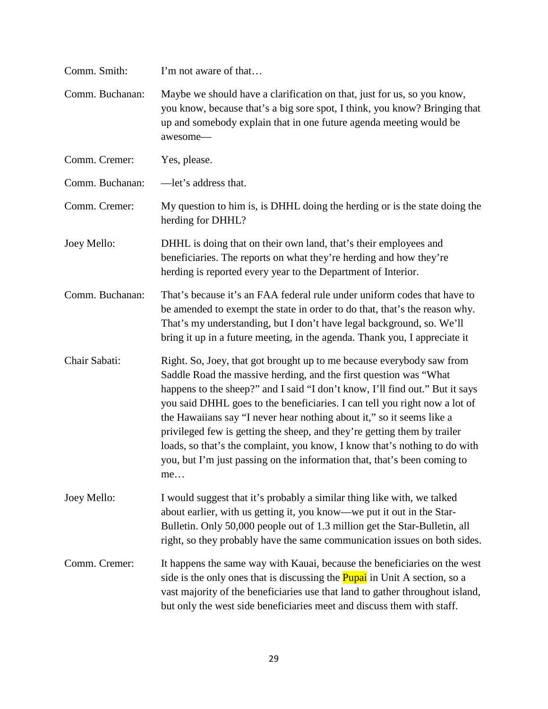| Comm. Smith:    | I'm not aware of that                                                                                                                                                                                                                                                                                                                                                                                                                                                                                                                                                                                                         |
|-----------------|-------------------------------------------------------------------------------------------------------------------------------------------------------------------------------------------------------------------------------------------------------------------------------------------------------------------------------------------------------------------------------------------------------------------------------------------------------------------------------------------------------------------------------------------------------------------------------------------------------------------------------|
| Comm. Buchanan: | Maybe we should have a clarification on that, just for us, so you know,<br>you know, because that's a big sore spot, I think, you know? Bringing that<br>up and somebody explain that in one future agenda meeting would be<br>awesome-                                                                                                                                                                                                                                                                                                                                                                                       |
| Comm. Cremer:   | Yes, please.                                                                                                                                                                                                                                                                                                                                                                                                                                                                                                                                                                                                                  |
| Comm. Buchanan: | -let's address that.                                                                                                                                                                                                                                                                                                                                                                                                                                                                                                                                                                                                          |
| Comm. Cremer:   | My question to him is, is DHHL doing the herding or is the state doing the<br>herding for DHHL?                                                                                                                                                                                                                                                                                                                                                                                                                                                                                                                               |
| Joey Mello:     | DHHL is doing that on their own land, that's their employees and<br>beneficiaries. The reports on what they're herding and how they're<br>herding is reported every year to the Department of Interior.                                                                                                                                                                                                                                                                                                                                                                                                                       |
| Comm. Buchanan: | That's because it's an FAA federal rule under uniform codes that have to<br>be amended to exempt the state in order to do that, that's the reason why.<br>That's my understanding, but I don't have legal background, so. We'll<br>bring it up in a future meeting, in the agenda. Thank you, I appreciate it                                                                                                                                                                                                                                                                                                                 |
| Chair Sabati:   | Right. So, Joey, that got brought up to me because everybody saw from<br>Saddle Road the massive herding, and the first question was "What<br>happens to the sheep?" and I said "I don't know, I'll find out." But it says<br>you said DHHL goes to the beneficiaries. I can tell you right now a lot of<br>the Hawaiians say "I never hear nothing about it," so it seems like a<br>privileged few is getting the sheep, and they're getting them by trailer<br>loads, so that's the complaint, you know, I know that's nothing to do with<br>you, but I'm just passing on the information that, that's been coming to<br>me |
| Joey Mello:     | I would suggest that it's probably a similar thing like with, we talked<br>about earlier, with us getting it, you know—we put it out in the Star-<br>Bulletin. Only 50,000 people out of 1.3 million get the Star-Bulletin, all<br>right, so they probably have the same communication issues on both sides.                                                                                                                                                                                                                                                                                                                  |
| Comm. Cremer:   | It happens the same way with Kauai, because the beneficiaries on the west<br>side is the only ones that is discussing the <b>Pupai</b> in Unit A section, so a<br>vast majority of the beneficiaries use that land to gather throughout island,<br>but only the west side beneficiaries meet and discuss them with staff.                                                                                                                                                                                                                                                                                                     |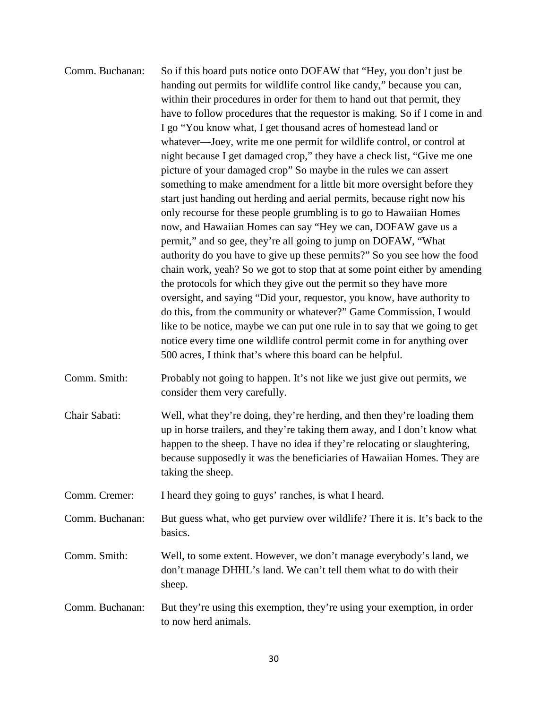| Comm. Buchanan: | So if this board puts notice onto DOFAW that "Hey, you don't just be        |
|-----------------|-----------------------------------------------------------------------------|
|                 | handing out permits for wildlife control like candy," because you can,      |
|                 | within their procedures in order for them to hand out that permit, they     |
|                 | have to follow procedures that the requestor is making. So if I come in and |
|                 | I go "You know what, I get thousand acres of homestead land or              |
|                 | whatever—Joey, write me one permit for wildlife control, or control at      |
|                 | night because I get damaged crop," they have a check list, "Give me one     |
|                 | picture of your damaged crop" So maybe in the rules we can assert           |
|                 | something to make amendment for a little bit more oversight before they     |
|                 | start just handing out herding and aerial permits, because right now his    |
|                 | only recourse for these people grumbling is to go to Hawaiian Homes         |
|                 | now, and Hawaiian Homes can say "Hey we can, DOFAW gave us a                |
|                 | permit," and so gee, they're all going to jump on DOFAW, "What              |
|                 | authority do you have to give up these permits?" So you see how the food    |
|                 | chain work, yeah? So we got to stop that at some point either by amending   |
|                 | the protocols for which they give out the permit so they have more          |
|                 | oversight, and saying "Did your, requestor, you know, have authority to     |
|                 | do this, from the community or whatever?" Game Commission, I would          |
|                 | like to be notice, maybe we can put one rule in to say that we going to get |
|                 | notice every time one wildlife control permit come in for anything over     |
|                 | 500 acres, I think that's where this board can be helpful.                  |
| Comm. Smith:    | Probably not going to happen. It's not like we just give out permits, we    |
|                 | consider them very carefully.                                               |
| Chair Sabati:   | Well, what they're doing, they're herding, and then they're loading them    |
|                 | up in horse trailers, and they're taking them away, and I don't know what   |
|                 | happen to the sheep. I have no idea if they're relocating or slaughtering,  |
|                 | because supposedly it was the beneficiaries of Hawaiian Homes. They are     |

Comm. Cremer: I heard they going to guys' ranches, is what I heard.

taking the sheep.

Comm. Buchanan: But guess what, who get purview over wildlife? There it is. It's back to the basics.

Comm. Smith: Well, to some extent. However, we don't manage everybody's land, we don't manage DHHL's land. We can't tell them what to do with their sheep.

Comm. Buchanan: But they're using this exemption, they're using your exemption, in order to now herd animals.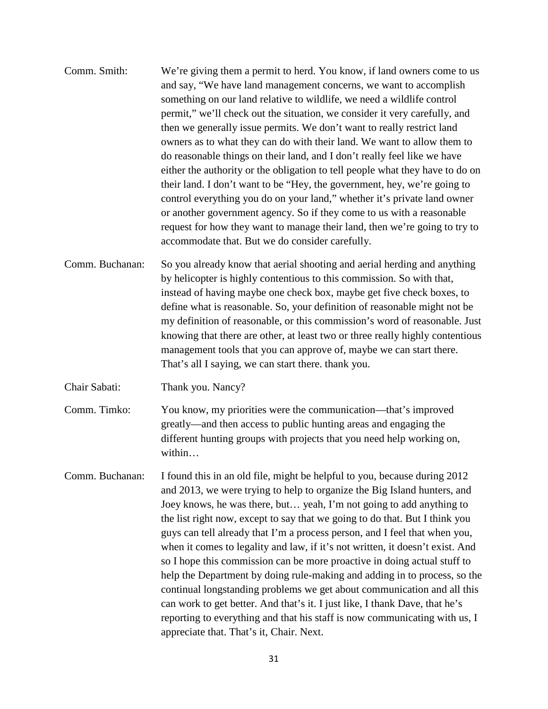- Comm. Smith: We're giving them a permit to herd. You know, if land owners come to us and say, "We have land management concerns, we want to accomplish something on our land relative to wildlife, we need a wildlife control permit," we'll check out the situation, we consider it very carefully, and then we generally issue permits. We don't want to really restrict land owners as to what they can do with their land. We want to allow them to do reasonable things on their land, and I don't really feel like we have either the authority or the obligation to tell people what they have to do on their land. I don't want to be "Hey, the government, hey, we're going to control everything you do on your land," whether it's private land owner or another government agency. So if they come to us with a reasonable request for how they want to manage their land, then we're going to try to accommodate that. But we do consider carefully.
- Comm. Buchanan: So you already know that aerial shooting and aerial herding and anything by helicopter is highly contentious to this commission. So with that, instead of having maybe one check box, maybe get five check boxes, to define what is reasonable. So, your definition of reasonable might not be my definition of reasonable, or this commission's word of reasonable. Just knowing that there are other, at least two or three really highly contentious management tools that you can approve of, maybe we can start there. That's all I saying, we can start there. thank you.

Chair Sabati: Thank you. Nancy?

Comm. Timko: You know, my priorities were the communication—that's improved greatly—and then access to public hunting areas and engaging the different hunting groups with projects that you need help working on, within…

Comm. Buchanan: I found this in an old file, might be helpful to you, because during 2012 and 2013, we were trying to help to organize the Big Island hunters, and Joey knows, he was there, but… yeah, I'm not going to add anything to the list right now, except to say that we going to do that. But I think you guys can tell already that I'm a process person, and I feel that when you, when it comes to legality and law, if it's not written, it doesn't exist. And so I hope this commission can be more proactive in doing actual stuff to help the Department by doing rule-making and adding in to process, so the continual longstanding problems we get about communication and all this can work to get better. And that's it. I just like, I thank Dave, that he's reporting to everything and that his staff is now communicating with us, I appreciate that. That's it, Chair. Next.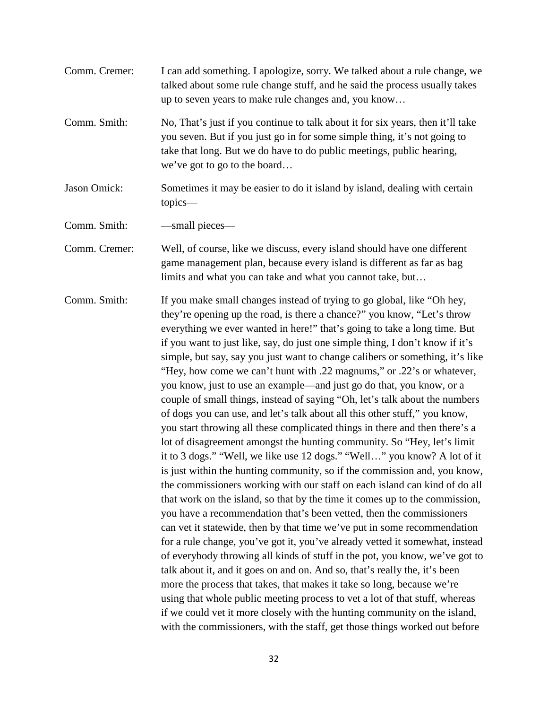| Comm. Cremer: | I can add something. I apologize, sorry. We talked about a rule change, we<br>talked about some rule change stuff, and he said the process usually takes<br>up to seven years to make rule changes and, you know                                                                                                                                                                                                                                                                                                                                                                                                                                                                                                                                                                                                                                                                                                                                                                                                                                                                                                                                                                                                                                                                                                                                                                                                                                                                                                                                                                                                                                                                                                                                                                                                                                                                                                     |
|---------------|----------------------------------------------------------------------------------------------------------------------------------------------------------------------------------------------------------------------------------------------------------------------------------------------------------------------------------------------------------------------------------------------------------------------------------------------------------------------------------------------------------------------------------------------------------------------------------------------------------------------------------------------------------------------------------------------------------------------------------------------------------------------------------------------------------------------------------------------------------------------------------------------------------------------------------------------------------------------------------------------------------------------------------------------------------------------------------------------------------------------------------------------------------------------------------------------------------------------------------------------------------------------------------------------------------------------------------------------------------------------------------------------------------------------------------------------------------------------------------------------------------------------------------------------------------------------------------------------------------------------------------------------------------------------------------------------------------------------------------------------------------------------------------------------------------------------------------------------------------------------------------------------------------------------|
| Comm. Smith:  | No, That's just if you continue to talk about it for six years, then it'll take<br>you seven. But if you just go in for some simple thing, it's not going to<br>take that long. But we do have to do public meetings, public hearing,<br>we've got to go to the board                                                                                                                                                                                                                                                                                                                                                                                                                                                                                                                                                                                                                                                                                                                                                                                                                                                                                                                                                                                                                                                                                                                                                                                                                                                                                                                                                                                                                                                                                                                                                                                                                                                |
| Jason Omick:  | Sometimes it may be easier to do it island by island, dealing with certain<br>topics-                                                                                                                                                                                                                                                                                                                                                                                                                                                                                                                                                                                                                                                                                                                                                                                                                                                                                                                                                                                                                                                                                                                                                                                                                                                                                                                                                                                                                                                                                                                                                                                                                                                                                                                                                                                                                                |
| Comm. Smith:  | -small pieces-                                                                                                                                                                                                                                                                                                                                                                                                                                                                                                                                                                                                                                                                                                                                                                                                                                                                                                                                                                                                                                                                                                                                                                                                                                                                                                                                                                                                                                                                                                                                                                                                                                                                                                                                                                                                                                                                                                       |
| Comm. Cremer: | Well, of course, like we discuss, every island should have one different<br>game management plan, because every island is different as far as bag<br>limits and what you can take and what you cannot take, but                                                                                                                                                                                                                                                                                                                                                                                                                                                                                                                                                                                                                                                                                                                                                                                                                                                                                                                                                                                                                                                                                                                                                                                                                                                                                                                                                                                                                                                                                                                                                                                                                                                                                                      |
| Comm. Smith:  | If you make small changes instead of trying to go global, like "Oh hey,<br>they're opening up the road, is there a chance?" you know, "Let's throw<br>everything we ever wanted in here!" that's going to take a long time. But<br>if you want to just like, say, do just one simple thing, I don't know if it's<br>simple, but say, say you just want to change calibers or something, it's like<br>"Hey, how come we can't hunt with .22 magnums," or .22's or whatever,<br>you know, just to use an example—and just go do that, you know, or a<br>couple of small things, instead of saying "Oh, let's talk about the numbers<br>of dogs you can use, and let's talk about all this other stuff," you know,<br>you start throwing all these complicated things in there and then there's a<br>lot of disagreement amongst the hunting community. So "Hey, let's limit<br>it to 3 dogs." "Well, we like use 12 dogs." "Well" you know? A lot of it<br>is just within the hunting community, so if the commission and, you know,<br>the commissioners working with our staff on each island can kind of do all<br>that work on the island, so that by the time it comes up to the commission,<br>you have a recommendation that's been vetted, then the commissioners<br>can vet it statewide, then by that time we've put in some recommendation<br>for a rule change, you've got it, you've already vetted it somewhat, instead<br>of everybody throwing all kinds of stuff in the pot, you know, we've got to<br>talk about it, and it goes on and on. And so, that's really the, it's been<br>more the process that takes, that makes it take so long, because we're<br>using that whole public meeting process to vet a lot of that stuff, whereas<br>if we could vet it more closely with the hunting community on the island,<br>with the commissioners, with the staff, get those things worked out before |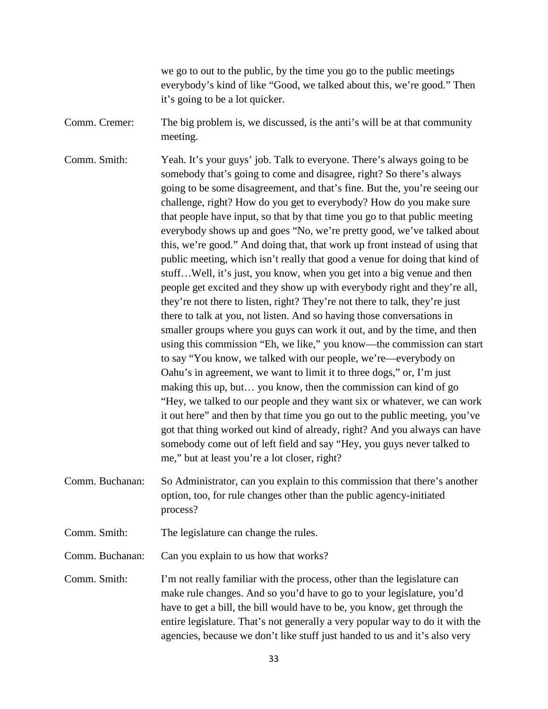we go to out to the public, by the time you go to the public meetings everybody's kind of like "Good, we talked about this, we're good." Then it's going to be a lot quicker.

Comm. Cremer: The big problem is, we discussed, is the anti's will be at that community meeting.

Comm. Smith: Yeah. It's your guys' job. Talk to everyone. There's always going to be somebody that's going to come and disagree, right? So there's always going to be some disagreement, and that's fine. But the, you're seeing our challenge, right? How do you get to everybody? How do you make sure that people have input, so that by that time you go to that public meeting everybody shows up and goes "No, we're pretty good, we've talked about this, we're good." And doing that, that work up front instead of using that public meeting, which isn't really that good a venue for doing that kind of stuff…Well, it's just, you know, when you get into a big venue and then people get excited and they show up with everybody right and they're all, they're not there to listen, right? They're not there to talk, they're just there to talk at you, not listen. And so having those conversations in smaller groups where you guys can work it out, and by the time, and then using this commission "Eh, we like," you know—the commission can start to say "You know, we talked with our people, we're—everybody on Oahu's in agreement, we want to limit it to three dogs," or, I'm just making this up, but… you know, then the commission can kind of go "Hey, we talked to our people and they want six or whatever, we can work it out here" and then by that time you go out to the public meeting, you've got that thing worked out kind of already, right? And you always can have somebody come out of left field and say "Hey, you guys never talked to me," but at least you're a lot closer, right?

Comm. Buchanan: So Administrator, can you explain to this commission that there's another option, too, for rule changes other than the public agency-initiated process?

Comm. Smith: The legislature can change the rules.

Comm. Buchanan: Can you explain to us how that works?

Comm. Smith: I'm not really familiar with the process, other than the legislature can make rule changes. And so you'd have to go to your legislature, you'd have to get a bill, the bill would have to be, you know, get through the entire legislature. That's not generally a very popular way to do it with the agencies, because we don't like stuff just handed to us and it's also very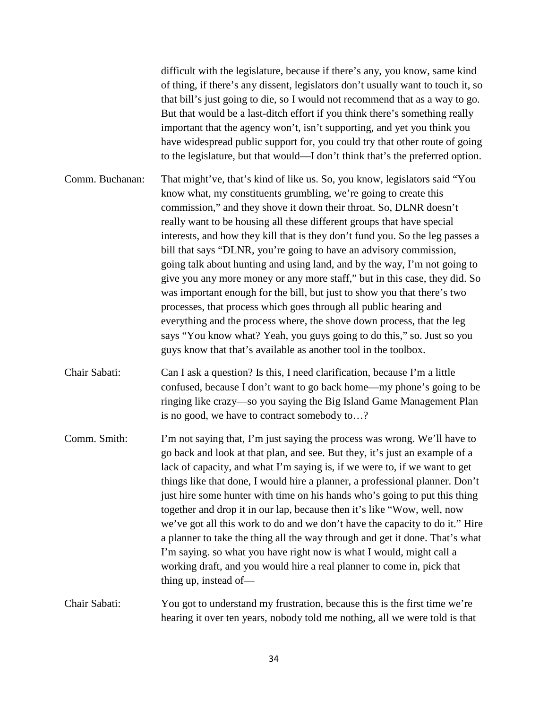difficult with the legislature, because if there's any, you know, same kind of thing, if there's any dissent, legislators don't usually want to touch it, so that bill's just going to die, so I would not recommend that as a way to go. But that would be a last-ditch effort if you think there's something really important that the agency won't, isn't supporting, and yet you think you have widespread public support for, you could try that other route of going to the legislature, but that would—I don't think that's the preferred option.

- Comm. Buchanan: That might've, that's kind of like us. So, you know, legislators said "You know what, my constituents grumbling, we're going to create this commission," and they shove it down their throat. So, DLNR doesn't really want to be housing all these different groups that have special interests, and how they kill that is they don't fund you. So the leg passes a bill that says "DLNR, you're going to have an advisory commission, going talk about hunting and using land, and by the way, I'm not going to give you any more money or any more staff," but in this case, they did. So was important enough for the bill, but just to show you that there's two processes, that process which goes through all public hearing and everything and the process where, the shove down process, that the leg says "You know what? Yeah, you guys going to do this," so. Just so you guys know that that's available as another tool in the toolbox.
- Chair Sabati: Can I ask a question? Is this, I need clarification, because I'm a little confused, because I don't want to go back home—my phone's going to be ringing like crazy—so you saying the Big Island Game Management Plan is no good, we have to contract somebody to…?
- Comm. Smith: I'm not saying that, I'm just saying the process was wrong. We'll have to go back and look at that plan, and see. But they, it's just an example of a lack of capacity, and what I'm saying is, if we were to, if we want to get things like that done, I would hire a planner, a professional planner. Don't just hire some hunter with time on his hands who's going to put this thing together and drop it in our lap, because then it's like "Wow, well, now we've got all this work to do and we don't have the capacity to do it." Hire a planner to take the thing all the way through and get it done. That's what I'm saying. so what you have right now is what I would, might call a working draft, and you would hire a real planner to come in, pick that thing up, instead of—
- Chair Sabati: You got to understand my frustration, because this is the first time we're hearing it over ten years, nobody told me nothing, all we were told is that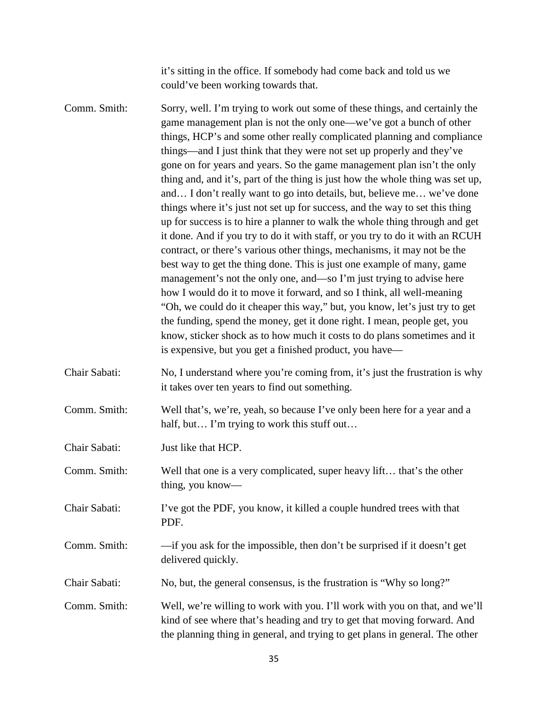it's sitting in the office. If somebody had come back and told us we could've been working towards that.

Comm. Smith: Sorry, well. I'm trying to work out some of these things, and certainly the game management plan is not the only one—we've got a bunch of other things, HCP's and some other really complicated planning and compliance things—and I just think that they were not set up properly and they've gone on for years and years. So the game management plan isn't the only thing and, and it's, part of the thing is just how the whole thing was set up, and… I don't really want to go into details, but, believe me… we've done things where it's just not set up for success, and the way to set this thing up for success is to hire a planner to walk the whole thing through and get it done. And if you try to do it with staff, or you try to do it with an RCUH contract, or there's various other things, mechanisms, it may not be the best way to get the thing done. This is just one example of many, game management's not the only one, and—so I'm just trying to advise here how I would do it to move it forward, and so I think, all well-meaning "Oh, we could do it cheaper this way," but, you know, let's just try to get the funding, spend the money, get it done right. I mean, people get, you know, sticker shock as to how much it costs to do plans sometimes and it is expensive, but you get a finished product, you have— Chair Sabati: No, I understand where you're coming from, it's just the frustration is why it takes over ten years to find out something. Comm. Smith: Well that's, we're, yeah, so because I've only been here for a year and a

Chair Sabati: Just like that HCP.

Comm. Smith: Well that one is a very complicated, super heavy lift… that's the other thing, you know—

half, but... I'm trying to work this stuff out...

Chair Sabati: I've got the PDF, you know, it killed a couple hundred trees with that PDF.

Comm. Smith: —if you ask for the impossible, then don't be surprised if it doesn't get delivered quickly.

Chair Sabati: No, but, the general consensus, is the frustration is "Why so long?"

Comm. Smith: Well, we're willing to work with you. I'll work with you on that, and we'll kind of see where that's heading and try to get that moving forward. And the planning thing in general, and trying to get plans in general. The other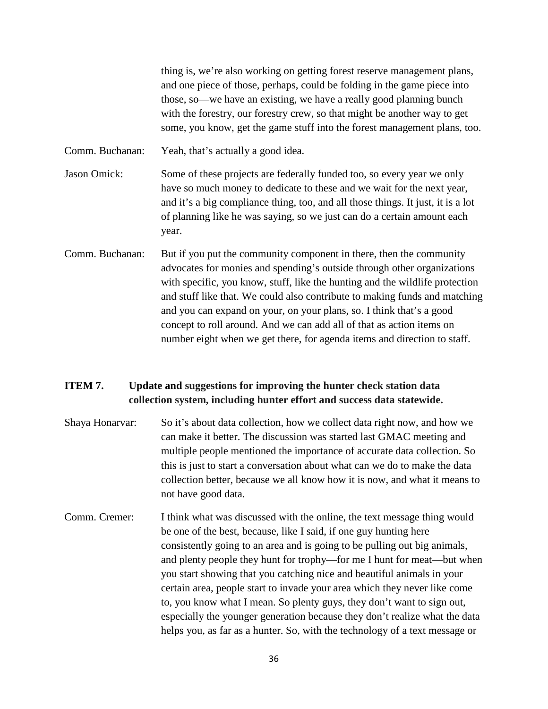thing is, we're also working on getting forest reserve management plans, and one piece of those, perhaps, could be folding in the game piece into those, so—we have an existing, we have a really good planning bunch with the forestry, our forestry crew, so that might be another way to get some, you know, get the game stuff into the forest management plans, too.

Comm. Buchanan: Yeah, that's actually a good idea.

Jason Omick: Some of these projects are federally funded too, so every year we only have so much money to dedicate to these and we wait for the next year, and it's a big compliance thing, too, and all those things. It just, it is a lot of planning like he was saying, so we just can do a certain amount each year.

Comm. Buchanan: But if you put the community component in there, then the community advocates for monies and spending's outside through other organizations with specific, you know, stuff, like the hunting and the wildlife protection and stuff like that. We could also contribute to making funds and matching and you can expand on your, on your plans, so. I think that's a good concept to roll around. And we can add all of that as action items on number eight when we get there, for agenda items and direction to staff.

## **ITEM 7. Update and suggestions for improving the hunter check station data collection system, including hunter effort and success data statewide.**

- Shaya Honarvar: So it's about data collection, how we collect data right now, and how we can make it better. The discussion was started last GMAC meeting and multiple people mentioned the importance of accurate data collection. So this is just to start a conversation about what can we do to make the data collection better, because we all know how it is now, and what it means to not have good data.
- Comm. Cremer: I think what was discussed with the online, the text message thing would be one of the best, because, like I said, if one guy hunting here consistently going to an area and is going to be pulling out big animals, and plenty people they hunt for trophy—for me I hunt for meat—but when you start showing that you catching nice and beautiful animals in your certain area, people start to invade your area which they never like come to, you know what I mean. So plenty guys, they don't want to sign out, especially the younger generation because they don't realize what the data helps you, as far as a hunter. So, with the technology of a text message or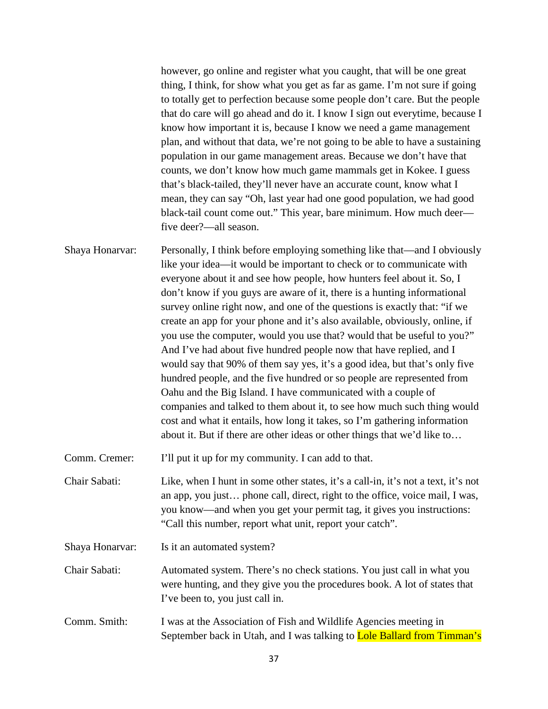however, go online and register what you caught, that will be one great thing, I think, for show what you get as far as game. I'm not sure if going to totally get to perfection because some people don't care. But the people that do care will go ahead and do it. I know I sign out everytime, because I know how important it is, because I know we need a game management plan, and without that data, we're not going to be able to have a sustaining population in our game management areas. Because we don't have that counts, we don't know how much game mammals get in Kokee. I guess that's black-tailed, they'll never have an accurate count, know what I mean, they can say "Oh, last year had one good population, we had good black-tail count come out." This year, bare minimum. How much deer five deer?—all season.

Shaya Honarvar: Personally, I think before employing something like that—and I obviously like your idea—it would be important to check or to communicate with everyone about it and see how people, how hunters feel about it. So, I don't know if you guys are aware of it, there is a hunting informational survey online right now, and one of the questions is exactly that: "if we create an app for your phone and it's also available, obviously, online, if you use the computer, would you use that? would that be useful to you?" And I've had about five hundred people now that have replied, and I would say that 90% of them say yes, it's a good idea, but that's only five hundred people, and the five hundred or so people are represented from Oahu and the Big Island. I have communicated with a couple of companies and talked to them about it, to see how much such thing would cost and what it entails, how long it takes, so I'm gathering information about it. But if there are other ideas or other things that we'd like to…

Comm. Cremer: I'll put it up for my community. I can add to that.

Chair Sabati: Like, when I hunt in some other states, it's a call-in, it's not a text, it's not an app, you just… phone call, direct, right to the office, voice mail, I was, you know—and when you get your permit tag, it gives you instructions: "Call this number, report what unit, report your catch".

Shaya Honarvar: Is it an automated system?

Chair Sabati: Automated system. There's no check stations. You just call in what you were hunting, and they give you the procedures book. A lot of states that I've been to, you just call in.

Comm. Smith: I was at the Association of Fish and Wildlife Agencies meeting in September back in Utah, and I was talking to Lole Ballard from Timman's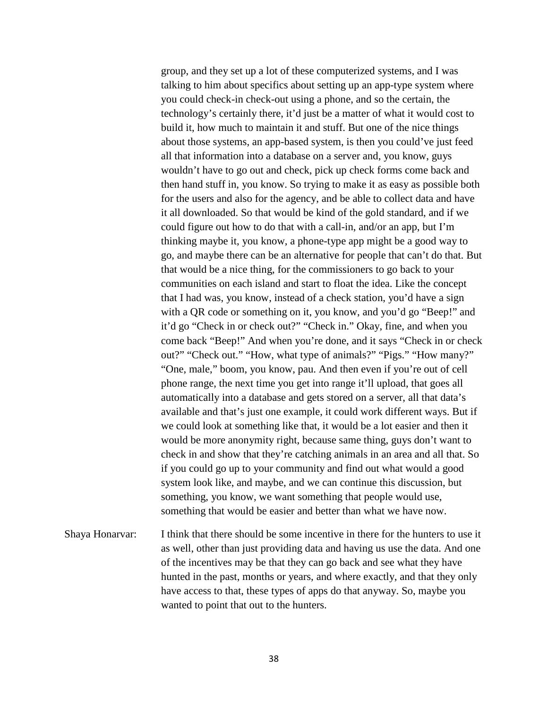group, and they set up a lot of these computerized systems, and I was talking to him about specifics about setting up an app-type system where you could check-in check-out using a phone, and so the certain, the technology's certainly there, it'd just be a matter of what it would cost to build it, how much to maintain it and stuff. But one of the nice things about those systems, an app-based system, is then you could've just feed all that information into a database on a server and, you know, guys wouldn't have to go out and check, pick up check forms come back and then hand stuff in, you know. So trying to make it as easy as possible both for the users and also for the agency, and be able to collect data and have it all downloaded. So that would be kind of the gold standard, and if we could figure out how to do that with a call-in, and/or an app, but I'm thinking maybe it, you know, a phone-type app might be a good way to go, and maybe there can be an alternative for people that can't do that. But that would be a nice thing, for the commissioners to go back to your communities on each island and start to float the idea. Like the concept that I had was, you know, instead of a check station, you'd have a sign with a QR code or something on it, you know, and you'd go "Beep!" and it'd go "Check in or check out?" "Check in." Okay, fine, and when you come back "Beep!" And when you're done, and it says "Check in or check out?" "Check out." "How, what type of animals?" "Pigs." "How many?" "One, male," boom, you know, pau. And then even if you're out of cell phone range, the next time you get into range it'll upload, that goes all automatically into a database and gets stored on a server, all that data's available and that's just one example, it could work different ways. But if we could look at something like that, it would be a lot easier and then it would be more anonymity right, because same thing, guys don't want to check in and show that they're catching animals in an area and all that. So if you could go up to your community and find out what would a good system look like, and maybe, and we can continue this discussion, but something, you know, we want something that people would use, something that would be easier and better than what we have now.

Shaya Honarvar: I think that there should be some incentive in there for the hunters to use it as well, other than just providing data and having us use the data. And one of the incentives may be that they can go back and see what they have hunted in the past, months or years, and where exactly, and that they only have access to that, these types of apps do that anyway. So, maybe you wanted to point that out to the hunters.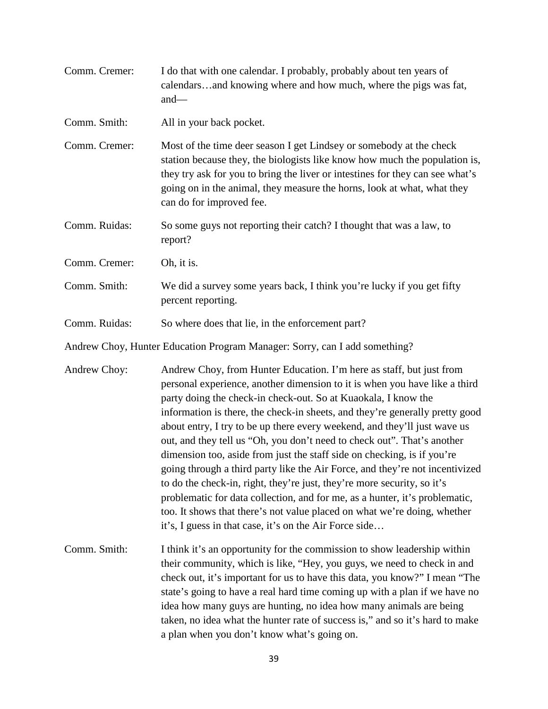| Comm. Cremer: | I do that with one calendar. I probably, probably about ten years of<br>calendarsand knowing where and how much, where the pigs was fat,<br>and $-$                                                                                                                                                                                                                                                                                                                                                                                                                                                                                                                                                                                                                                                                                                                                                                     |
|---------------|-------------------------------------------------------------------------------------------------------------------------------------------------------------------------------------------------------------------------------------------------------------------------------------------------------------------------------------------------------------------------------------------------------------------------------------------------------------------------------------------------------------------------------------------------------------------------------------------------------------------------------------------------------------------------------------------------------------------------------------------------------------------------------------------------------------------------------------------------------------------------------------------------------------------------|
| Comm. Smith:  | All in your back pocket.                                                                                                                                                                                                                                                                                                                                                                                                                                                                                                                                                                                                                                                                                                                                                                                                                                                                                                |
| Comm. Cremer: | Most of the time deer season I get Lindsey or somebody at the check<br>station because they, the biologists like know how much the population is,<br>they try ask for you to bring the liver or intestines for they can see what's<br>going on in the animal, they measure the horns, look at what, what they<br>can do for improved fee.                                                                                                                                                                                                                                                                                                                                                                                                                                                                                                                                                                               |
| Comm. Ruidas: | So some guys not reporting their catch? I thought that was a law, to<br>report?                                                                                                                                                                                                                                                                                                                                                                                                                                                                                                                                                                                                                                                                                                                                                                                                                                         |
| Comm. Cremer: | Oh, it is.                                                                                                                                                                                                                                                                                                                                                                                                                                                                                                                                                                                                                                                                                                                                                                                                                                                                                                              |
| Comm. Smith:  | We did a survey some years back, I think you're lucky if you get fifty<br>percent reporting.                                                                                                                                                                                                                                                                                                                                                                                                                                                                                                                                                                                                                                                                                                                                                                                                                            |
| Comm. Ruidas: | So where does that lie, in the enforcement part?                                                                                                                                                                                                                                                                                                                                                                                                                                                                                                                                                                                                                                                                                                                                                                                                                                                                        |
|               | Andrew Choy, Hunter Education Program Manager: Sorry, can I add something?                                                                                                                                                                                                                                                                                                                                                                                                                                                                                                                                                                                                                                                                                                                                                                                                                                              |
| Andrew Choy:  | Andrew Choy, from Hunter Education. I'm here as staff, but just from<br>personal experience, another dimension to it is when you have like a third<br>party doing the check-in check-out. So at Kuaokala, I know the<br>information is there, the check-in sheets, and they're generally pretty good<br>about entry, I try to be up there every weekend, and they'll just wave us<br>out, and they tell us "Oh, you don't need to check out". That's another<br>dimension too, aside from just the staff side on checking, is if you're<br>going through a third party like the Air Force, and they're not incentivized<br>to do the check-in, right, they're just, they're more security, so it's<br>problematic for data collection, and for me, as a hunter, it's problematic,<br>too. It shows that there's not value placed on what we're doing, whether<br>it's, I guess in that case, it's on the Air Force side |
| Comm. Smith:  | I think it's an opportunity for the commission to show leadership within<br>their community, which is like, "Hey, you guys, we need to check in and<br>check out, it's important for us to have this data, you know?" I mean "The<br>state's going to have a real hard time coming up with a plan if we have no<br>idea how many guys are hunting, no idea how many animals are being<br>taken, no idea what the hunter rate of success is," and so it's hard to make<br>a plan when you don't know what's going on.                                                                                                                                                                                                                                                                                                                                                                                                    |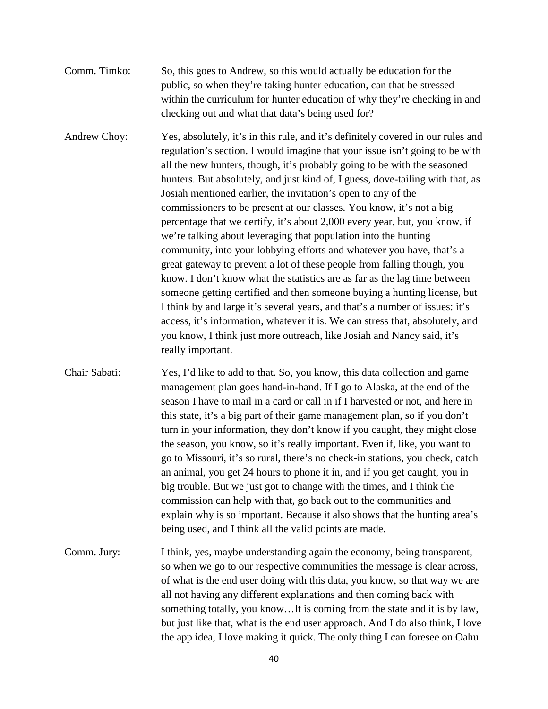Comm. Timko: So, this goes to Andrew, so this would actually be education for the public, so when they're taking hunter education, can that be stressed within the curriculum for hunter education of why they're checking in and checking out and what that data's being used for?

Andrew Choy: Yes, absolutely, it's in this rule, and it's definitely covered in our rules and regulation's section. I would imagine that your issue isn't going to be with all the new hunters, though, it's probably going to be with the seasoned hunters. But absolutely, and just kind of, I guess, dove-tailing with that, as Josiah mentioned earlier, the invitation's open to any of the commissioners to be present at our classes. You know, it's not a big percentage that we certify, it's about 2,000 every year, but, you know, if we're talking about leveraging that population into the hunting community, into your lobbying efforts and whatever you have, that's a great gateway to prevent a lot of these people from falling though, you know. I don't know what the statistics are as far as the lag time between someone getting certified and then someone buying a hunting license, but I think by and large it's several years, and that's a number of issues: it's access, it's information, whatever it is. We can stress that, absolutely, and you know, I think just more outreach, like Josiah and Nancy said, it's really important.

- Chair Sabati: Yes, I'd like to add to that. So, you know, this data collection and game management plan goes hand-in-hand. If I go to Alaska, at the end of the season I have to mail in a card or call in if I harvested or not, and here in this state, it's a big part of their game management plan, so if you don't turn in your information, they don't know if you caught, they might close the season, you know, so it's really important. Even if, like, you want to go to Missouri, it's so rural, there's no check-in stations, you check, catch an animal, you get 24 hours to phone it in, and if you get caught, you in big trouble. But we just got to change with the times, and I think the commission can help with that, go back out to the communities and explain why is so important. Because it also shows that the hunting area's being used, and I think all the valid points are made.
- Comm. Jury: I think, yes, maybe understanding again the economy, being transparent, so when we go to our respective communities the message is clear across, of what is the end user doing with this data, you know, so that way we are all not having any different explanations and then coming back with something totally, you know…It is coming from the state and it is by law, but just like that, what is the end user approach. And I do also think, I love the app idea, I love making it quick. The only thing I can foresee on Oahu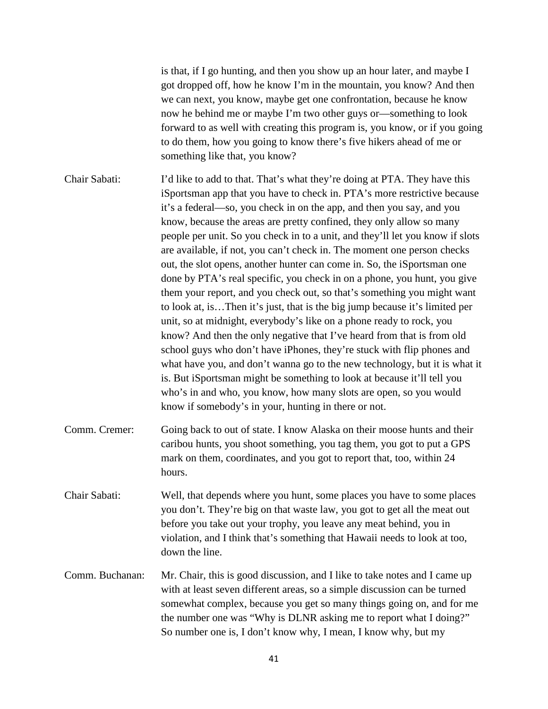is that, if I go hunting, and then you show up an hour later, and maybe I got dropped off, how he know I'm in the mountain, you know? And then we can next, you know, maybe get one confrontation, because he know now he behind me or maybe I'm two other guys or—something to look forward to as well with creating this program is, you know, or if you going to do them, how you going to know there's five hikers ahead of me or something like that, you know?

Chair Sabati: I'd like to add to that. That's what they're doing at PTA. They have this iSportsman app that you have to check in. PTA's more restrictive because it's a federal—so, you check in on the app, and then you say, and you know, because the areas are pretty confined, they only allow so many people per unit. So you check in to a unit, and they'll let you know if slots are available, if not, you can't check in. The moment one person checks out, the slot opens, another hunter can come in. So, the iSportsman one done by PTA's real specific, you check in on a phone, you hunt, you give them your report, and you check out, so that's something you might want to look at, is…Then it's just, that is the big jump because it's limited per unit, so at midnight, everybody's like on a phone ready to rock, you know? And then the only negative that I've heard from that is from old school guys who don't have iPhones, they're stuck with flip phones and what have you, and don't wanna go to the new technology, but it is what it is. But iSportsman might be something to look at because it'll tell you who's in and who, you know, how many slots are open, so you would know if somebody's in your, hunting in there or not.

- Comm. Cremer: Going back to out of state. I know Alaska on their moose hunts and their caribou hunts, you shoot something, you tag them, you got to put a GPS mark on them, coordinates, and you got to report that, too, within 24 hours.
- Chair Sabati: Well, that depends where you hunt, some places you have to some places you don't. They're big on that waste law, you got to get all the meat out before you take out your trophy, you leave any meat behind, you in violation, and I think that's something that Hawaii needs to look at too, down the line.
- Comm. Buchanan: Mr. Chair, this is good discussion, and I like to take notes and I came up with at least seven different areas, so a simple discussion can be turned somewhat complex, because you get so many things going on, and for me the number one was "Why is DLNR asking me to report what I doing?" So number one is, I don't know why, I mean, I know why, but my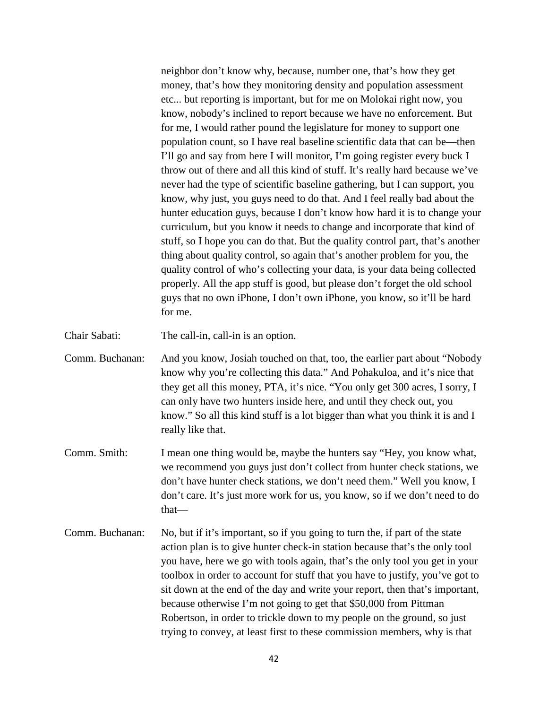neighbor don't know why, because, number one, that's how they get money, that's how they monitoring density and population assessment etc... but reporting is important, but for me on Molokai right now, you know, nobody's inclined to report because we have no enforcement. But for me, I would rather pound the legislature for money to support one population count, so I have real baseline scientific data that can be—then I'll go and say from here I will monitor, I'm going register every buck I throw out of there and all this kind of stuff. It's really hard because we've never had the type of scientific baseline gathering, but I can support, you know, why just, you guys need to do that. And I feel really bad about the hunter education guys, because I don't know how hard it is to change your curriculum, but you know it needs to change and incorporate that kind of stuff, so I hope you can do that. But the quality control part, that's another thing about quality control, so again that's another problem for you, the quality control of who's collecting your data, is your data being collected properly. All the app stuff is good, but please don't forget the old school guys that no own iPhone, I don't own iPhone, you know, so it'll be hard for me.

Chair Sabati: The call-in, call-in is an option.

Comm. Buchanan: And you know, Josiah touched on that, too, the earlier part about "Nobody know why you're collecting this data." And Pohakuloa, and it's nice that they get all this money, PTA, it's nice. "You only get 300 acres, I sorry, I can only have two hunters inside here, and until they check out, you know." So all this kind stuff is a lot bigger than what you think it is and I really like that.

- Comm. Smith: I mean one thing would be, maybe the hunters say "Hey, you know what, we recommend you guys just don't collect from hunter check stations, we don't have hunter check stations, we don't need them." Well you know, I don't care. It's just more work for us, you know, so if we don't need to do that—
- Comm. Buchanan: No, but if it's important, so if you going to turn the, if part of the state action plan is to give hunter check-in station because that's the only tool you have, here we go with tools again, that's the only tool you get in your toolbox in order to account for stuff that you have to justify, you've got to sit down at the end of the day and write your report, then that's important, because otherwise I'm not going to get that \$50,000 from Pittman Robertson, in order to trickle down to my people on the ground, so just trying to convey, at least first to these commission members, why is that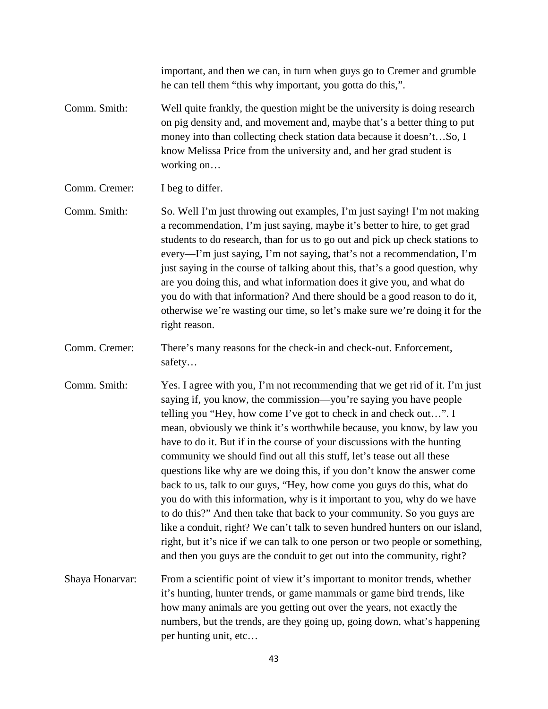important, and then we can, in turn when guys go to Cremer and grumble he can tell them "this why important, you gotta do this,".

- Comm. Smith: Well quite frankly, the question might be the university is doing research on pig density and, and movement and, maybe that's a better thing to put money into than collecting check station data because it doesn't…So, I know Melissa Price from the university and, and her grad student is working on…
- Comm. Cremer: I beg to differ.
- Comm. Smith: So. Well I'm just throwing out examples, I'm just saying! I'm not making a recommendation, I'm just saying, maybe it's better to hire, to get grad students to do research, than for us to go out and pick up check stations to every—I'm just saying, I'm not saying, that's not a recommendation, I'm just saying in the course of talking about this, that's a good question, why are you doing this, and what information does it give you, and what do you do with that information? And there should be a good reason to do it, otherwise we're wasting our time, so let's make sure we're doing it for the right reason.
- Comm. Cremer: There's many reasons for the check-in and check-out. Enforcement, safety…
- Comm. Smith: Yes. I agree with you, I'm not recommending that we get rid of it. I'm just saying if, you know, the commission—you're saying you have people telling you "Hey, how come I've got to check in and check out…". I mean, obviously we think it's worthwhile because, you know, by law you have to do it. But if in the course of your discussions with the hunting community we should find out all this stuff, let's tease out all these questions like why are we doing this, if you don't know the answer come back to us, talk to our guys, "Hey, how come you guys do this, what do you do with this information, why is it important to you, why do we have to do this?" And then take that back to your community. So you guys are like a conduit, right? We can't talk to seven hundred hunters on our island, right, but it's nice if we can talk to one person or two people or something, and then you guys are the conduit to get out into the community, right?
- Shaya Honarvar: From a scientific point of view it's important to monitor trends, whether it's hunting, hunter trends, or game mammals or game bird trends, like how many animals are you getting out over the years, not exactly the numbers, but the trends, are they going up, going down, what's happening per hunting unit, etc…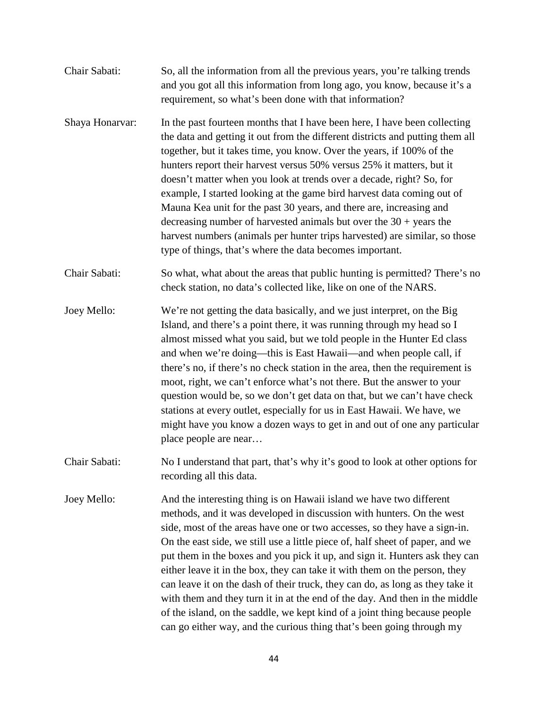| Chair Sabati:   | So, all the information from all the previous years, you're talking trends<br>and you got all this information from long ago, you know, because it's a<br>requirement, so what's been done with that information?                                                                                                                                                                                                                                                                                                                                                                                                                                                                                                                                              |
|-----------------|----------------------------------------------------------------------------------------------------------------------------------------------------------------------------------------------------------------------------------------------------------------------------------------------------------------------------------------------------------------------------------------------------------------------------------------------------------------------------------------------------------------------------------------------------------------------------------------------------------------------------------------------------------------------------------------------------------------------------------------------------------------|
| Shaya Honarvar: | In the past fourteen months that I have been here, I have been collecting<br>the data and getting it out from the different districts and putting them all<br>together, but it takes time, you know. Over the years, if 100% of the<br>hunters report their harvest versus 50% versus 25% it matters, but it<br>doesn't matter when you look at trends over a decade, right? So, for<br>example, I started looking at the game bird harvest data coming out of<br>Mauna Kea unit for the past 30 years, and there are, increasing and<br>decreasing number of harvested animals but over the $30 + \text{years}$ the<br>harvest numbers (animals per hunter trips harvested) are similar, so those<br>type of things, that's where the data becomes important. |
| Chair Sabati:   | So what, what about the areas that public hunting is permitted? There's no<br>check station, no data's collected like, like on one of the NARS.                                                                                                                                                                                                                                                                                                                                                                                                                                                                                                                                                                                                                |
| Joey Mello:     | We're not getting the data basically, and we just interpret, on the Big<br>Island, and there's a point there, it was running through my head so I<br>almost missed what you said, but we told people in the Hunter Ed class<br>and when we're doing—this is East Hawaii—and when people call, if<br>there's no, if there's no check station in the area, then the requirement is<br>moot, right, we can't enforce what's not there. But the answer to your<br>question would be, so we don't get data on that, but we can't have check<br>stations at every outlet, especially for us in East Hawaii. We have, we<br>might have you know a dozen ways to get in and out of one any particular<br>place people are near                                         |
| Chair Sabati:   | No I understand that part, that's why it's good to look at other options for<br>recording all this data.                                                                                                                                                                                                                                                                                                                                                                                                                                                                                                                                                                                                                                                       |
| Joey Mello:     | And the interesting thing is on Hawaii island we have two different<br>methods, and it was developed in discussion with hunters. On the west<br>side, most of the areas have one or two accesses, so they have a sign-in.<br>On the east side, we still use a little piece of, half sheet of paper, and we<br>put them in the boxes and you pick it up, and sign it. Hunters ask they can<br>either leave it in the box, they can take it with them on the person, they<br>can leave it on the dash of their truck, they can do, as long as they take it<br>with them and they turn it in at the end of the day. And then in the middle<br>of the island, on the saddle, we kept kind of a joint thing because people                                          |

can go either way, and the curious thing that's been going through my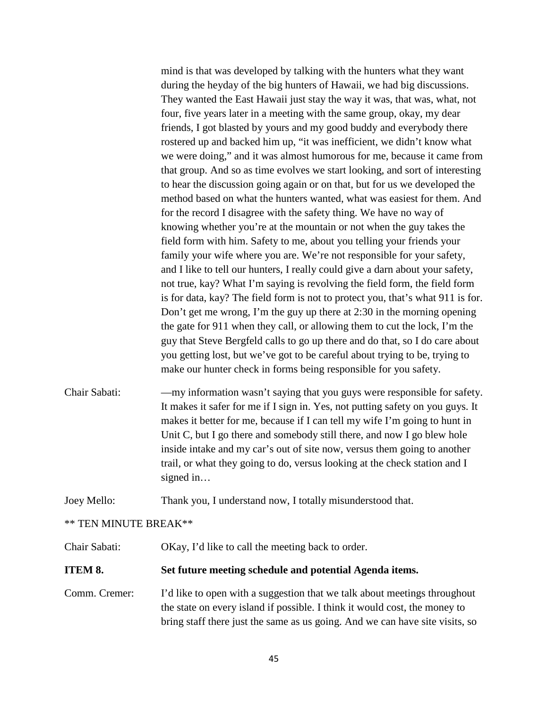mind is that was developed by talking with the hunters what they want during the heyday of the big hunters of Hawaii, we had big discussions. They wanted the East Hawaii just stay the way it was, that was, what, not four, five years later in a meeting with the same group, okay, my dear friends, I got blasted by yours and my good buddy and everybody there rostered up and backed him up, "it was inefficient, we didn't know what we were doing," and it was almost humorous for me, because it came from that group. And so as time evolves we start looking, and sort of interesting to hear the discussion going again or on that, but for us we developed the method based on what the hunters wanted, what was easiest for them. And for the record I disagree with the safety thing. We have no way of knowing whether you're at the mountain or not when the guy takes the field form with him. Safety to me, about you telling your friends your family your wife where you are. We're not responsible for your safety, and I like to tell our hunters, I really could give a darn about your safety, not true, kay? What I'm saying is revolving the field form, the field form is for data, kay? The field form is not to protect you, that's what 911 is for. Don't get me wrong, I'm the guy up there at 2:30 in the morning opening the gate for 911 when they call, or allowing them to cut the lock, I'm the guy that Steve Bergfeld calls to go up there and do that, so I do care about you getting lost, but we've got to be careful about trying to be, trying to make our hunter check in forms being responsible for you safety.

Chair Sabati: —my information wasn't saying that you guys were responsible for safety. It makes it safer for me if I sign in. Yes, not putting safety on you guys. It makes it better for me, because if I can tell my wife I'm going to hunt in Unit C, but I go there and somebody still there, and now I go blew hole inside intake and my car's out of site now, versus them going to another trail, or what they going to do, versus looking at the check station and I signed in…

Joey Mello: Thank you, I understand now, I totally misunderstood that.

### \*\* TEN MINUTE BREAK\*\*

Chair Sabati: OKay, I'd like to call the meeting back to order.

### **ITEM 8. Set future meeting schedule and potential Agenda items.**

Comm. Cremer: I'd like to open with a suggestion that we talk about meetings throughout the state on every island if possible. I think it would cost, the money to bring staff there just the same as us going. And we can have site visits, so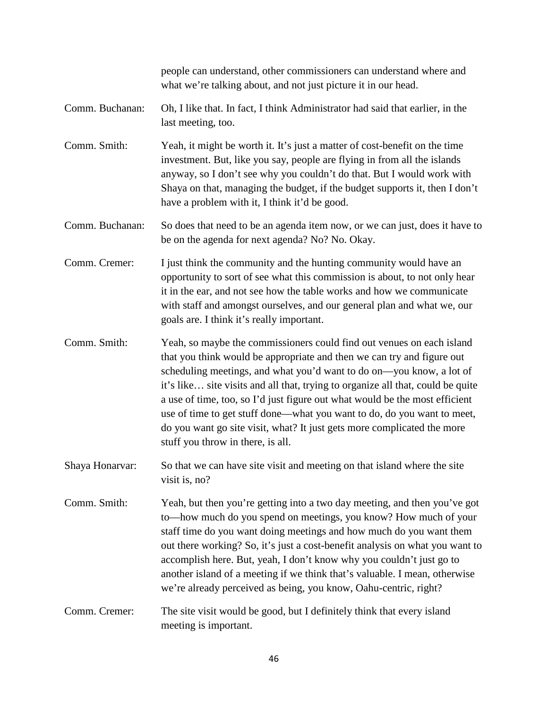|                 | people can understand, other commissioners can understand where and<br>what we're talking about, and not just picture it in our head.                                                                                                                                                                                                                                                                                                                                                                                                                                                |
|-----------------|--------------------------------------------------------------------------------------------------------------------------------------------------------------------------------------------------------------------------------------------------------------------------------------------------------------------------------------------------------------------------------------------------------------------------------------------------------------------------------------------------------------------------------------------------------------------------------------|
| Comm. Buchanan: | Oh, I like that. In fact, I think Administrator had said that earlier, in the<br>last meeting, too.                                                                                                                                                                                                                                                                                                                                                                                                                                                                                  |
| Comm. Smith:    | Yeah, it might be worth it. It's just a matter of cost-benefit on the time<br>investment. But, like you say, people are flying in from all the islands<br>anyway, so I don't see why you couldn't do that. But I would work with<br>Shaya on that, managing the budget, if the budget supports it, then I don't<br>have a problem with it, I think it'd be good.                                                                                                                                                                                                                     |
| Comm. Buchanan: | So does that need to be an agenda item now, or we can just, does it have to<br>be on the agenda for next agenda? No? No. Okay.                                                                                                                                                                                                                                                                                                                                                                                                                                                       |
| Comm. Cremer:   | I just think the community and the hunting community would have an<br>opportunity to sort of see what this commission is about, to not only hear<br>it in the ear, and not see how the table works and how we communicate<br>with staff and amongst ourselves, and our general plan and what we, our<br>goals are. I think it's really important.                                                                                                                                                                                                                                    |
| Comm. Smith:    | Yeah, so maybe the commissioners could find out venues on each island<br>that you think would be appropriate and then we can try and figure out<br>scheduling meetings, and what you'd want to do on—you know, a lot of<br>it's like site visits and all that, trying to organize all that, could be quite<br>a use of time, too, so I'd just figure out what would be the most efficient<br>use of time to get stuff done-what you want to do, do you want to meet,<br>do you want go site visit, what? It just gets more complicated the more<br>stuff you throw in there, is all. |
| Shaya Honarvar: | So that we can have site visit and meeting on that island where the site<br>visit is, no?                                                                                                                                                                                                                                                                                                                                                                                                                                                                                            |
| Comm. Smith:    | Yeah, but then you're getting into a two day meeting, and then you've got<br>to—how much do you spend on meetings, you know? How much of your<br>staff time do you want doing meetings and how much do you want them<br>out there working? So, it's just a cost-benefit analysis on what you want to<br>accomplish here. But, yeah, I don't know why you couldn't just go to<br>another island of a meeting if we think that's valuable. I mean, otherwise<br>we're already perceived as being, you know, Oahu-centric, right?                                                       |
| Comm. Cremer:   | The site visit would be good, but I definitely think that every island<br>meeting is important.                                                                                                                                                                                                                                                                                                                                                                                                                                                                                      |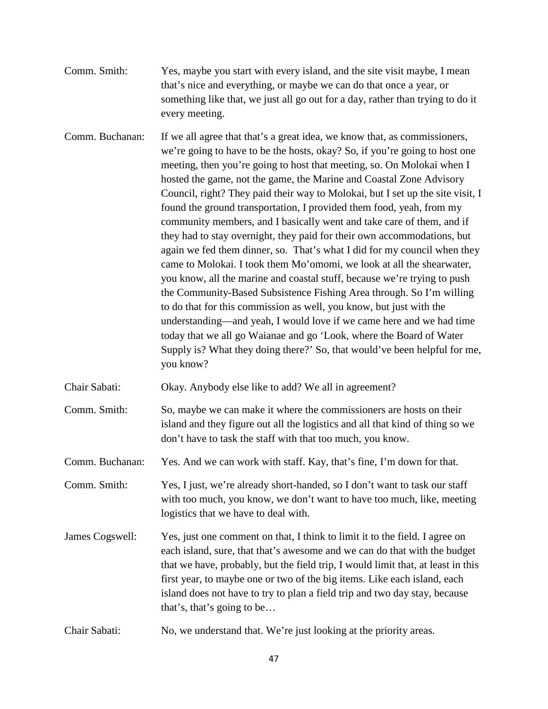Comm. Smith: Yes, maybe you start with every island, and the site visit maybe, I mean that's nice and everything, or maybe we can do that once a year, or something like that, we just all go out for a day, rather than trying to do it every meeting.

Comm. Buchanan: If we all agree that that's a great idea, we know that, as commissioners, we're going to have to be the hosts, okay? So, if you're going to host one meeting, then you're going to host that meeting, so. On Molokai when I hosted the game, not the game, the Marine and Coastal Zone Advisory Council, right? They paid their way to Molokai, but I set up the site visit, I found the ground transportation, I provided them food, yeah, from my community members, and I basically went and take care of them, and if they had to stay overnight, they paid for their own accommodations, but again we fed them dinner, so. That's what I did for my council when they came to Molokai. I took them Mo'omomi, we look at all the shearwater, you know, all the marine and coastal stuff, because we're trying to push the Community-Based Subsistence Fishing Area through. So I'm willing to do that for this commission as well, you know, but just with the understanding—and yeah, I would love if we came here and we had time today that we all go Waianae and go 'Look, where the Board of Water Supply is? What they doing there?' So, that would've been helpful for me, you know?

Chair Sabati: Okay. Anybody else like to add? We all in agreement?

Comm. Smith: So, maybe we can make it where the commissioners are hosts on their island and they figure out all the logistics and all that kind of thing so we don't have to task the staff with that too much, you know.

Comm. Buchanan: Yes. And we can work with staff. Kay, that's fine, I'm down for that.

Comm. Smith: Yes, I just, we're already short-handed, so I don't want to task our staff with too much, you know, we don't want to have too much, like, meeting logistics that we have to deal with.

- James Cogswell: Yes, just one comment on that, I think to limit it to the field. I agree on each island, sure, that that's awesome and we can do that with the budget that we have, probably, but the field trip, I would limit that, at least in this first year, to maybe one or two of the big items. Like each island, each island does not have to try to plan a field trip and two day stay, because that's, that's going to be…
- Chair Sabati: No, we understand that. We're just looking at the priority areas.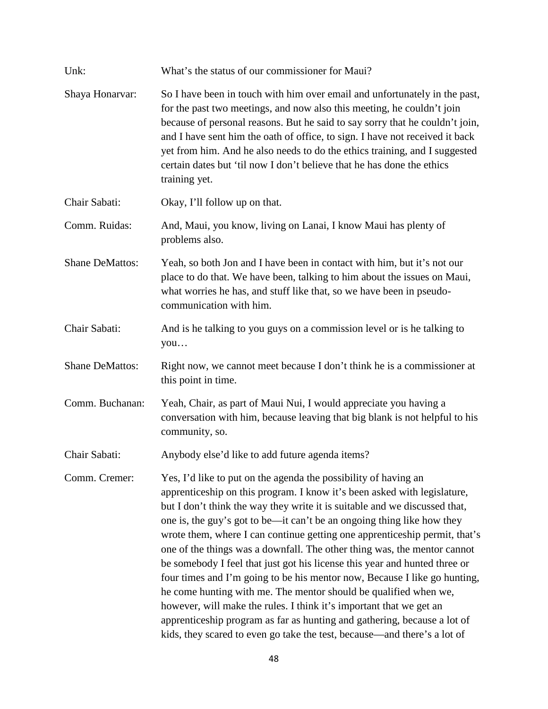| Unk:                   | What's the status of our commissioner for Maui?                                                                                                                                                                                                                                                                                                                                                                                                                                                                                                                                                                                                                                                                                                                                                                                                                                                                             |
|------------------------|-----------------------------------------------------------------------------------------------------------------------------------------------------------------------------------------------------------------------------------------------------------------------------------------------------------------------------------------------------------------------------------------------------------------------------------------------------------------------------------------------------------------------------------------------------------------------------------------------------------------------------------------------------------------------------------------------------------------------------------------------------------------------------------------------------------------------------------------------------------------------------------------------------------------------------|
| Shaya Honarvar:        | So I have been in touch with him over email and unfortunately in the past,<br>for the past two meetings, and now also this meeting, he couldn't join<br>because of personal reasons. But he said to say sorry that he couldn't join,<br>and I have sent him the oath of office, to sign. I have not received it back<br>yet from him. And he also needs to do the ethics training, and I suggested<br>certain dates but 'til now I don't believe that he has done the ethics<br>training yet.                                                                                                                                                                                                                                                                                                                                                                                                                               |
| Chair Sabati:          | Okay, I'll follow up on that.                                                                                                                                                                                                                                                                                                                                                                                                                                                                                                                                                                                                                                                                                                                                                                                                                                                                                               |
| Comm. Ruidas:          | And, Maui, you know, living on Lanai, I know Maui has plenty of<br>problems also.                                                                                                                                                                                                                                                                                                                                                                                                                                                                                                                                                                                                                                                                                                                                                                                                                                           |
| <b>Shane DeMattos:</b> | Yeah, so both Jon and I have been in contact with him, but it's not our<br>place to do that. We have been, talking to him about the issues on Maui,<br>what worries he has, and stuff like that, so we have been in pseudo-<br>communication with him.                                                                                                                                                                                                                                                                                                                                                                                                                                                                                                                                                                                                                                                                      |
| Chair Sabati:          | And is he talking to you guys on a commission level or is he talking to<br>you                                                                                                                                                                                                                                                                                                                                                                                                                                                                                                                                                                                                                                                                                                                                                                                                                                              |
| <b>Shane DeMattos:</b> | Right now, we cannot meet because I don't think he is a commissioner at<br>this point in time.                                                                                                                                                                                                                                                                                                                                                                                                                                                                                                                                                                                                                                                                                                                                                                                                                              |
| Comm. Buchanan:        | Yeah, Chair, as part of Maui Nui, I would appreciate you having a<br>conversation with him, because leaving that big blank is not helpful to his<br>community, so.                                                                                                                                                                                                                                                                                                                                                                                                                                                                                                                                                                                                                                                                                                                                                          |
| Chair Sabati:          | Anybody else'd like to add future agenda items?                                                                                                                                                                                                                                                                                                                                                                                                                                                                                                                                                                                                                                                                                                                                                                                                                                                                             |
| Comm. Cremer:          | Yes, I'd like to put on the agenda the possibility of having an<br>apprenticeship on this program. I know it's been asked with legislature,<br>but I don't think the way they write it is suitable and we discussed that,<br>one is, the guy's got to be—it can't be an ongoing thing like how they<br>wrote them, where I can continue getting one apprenticeship permit, that's<br>one of the things was a downfall. The other thing was, the mentor cannot<br>be somebody I feel that just got his license this year and hunted three or<br>four times and I'm going to be his mentor now, Because I like go hunting,<br>he come hunting with me. The mentor should be qualified when we,<br>however, will make the rules. I think it's important that we get an<br>apprenticeship program as far as hunting and gathering, because a lot of<br>kids, they scared to even go take the test, because—and there's a lot of |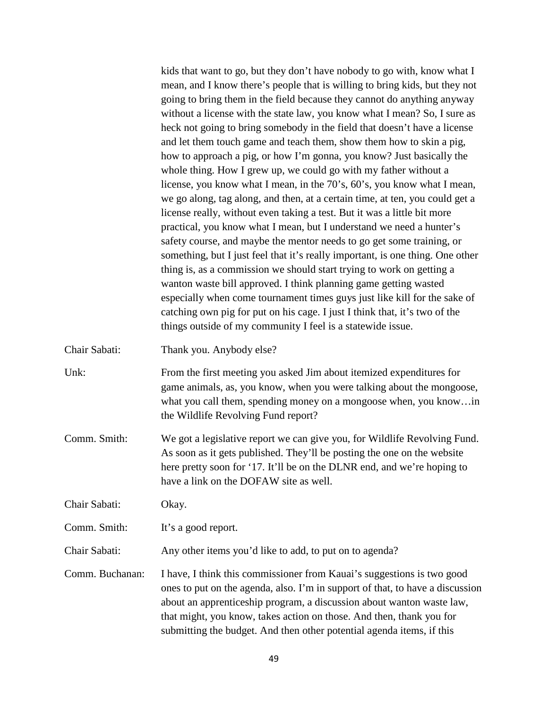kids that want to go, but they don't have nobody to go with, know what I mean, and I know there's people that is willing to bring kids, but they not going to bring them in the field because they cannot do anything anyway without a license with the state law, you know what I mean? So, I sure as heck not going to bring somebody in the field that doesn't have a license and let them touch game and teach them, show them how to skin a pig, how to approach a pig, or how I'm gonna, you know? Just basically the whole thing. How I grew up, we could go with my father without a license, you know what I mean, in the 70's, 60's, you know what I mean, we go along, tag along, and then, at a certain time, at ten, you could get a license really, without even taking a test. But it was a little bit more practical, you know what I mean, but I understand we need a hunter's safety course, and maybe the mentor needs to go get some training, or something, but I just feel that it's really important, is one thing. One other thing is, as a commission we should start trying to work on getting a wanton waste bill approved. I think planning game getting wasted especially when come tournament times guys just like kill for the sake of catching own pig for put on his cage. I just I think that, it's two of the things outside of my community I feel is a statewide issue.

- Chair Sabati: Thank you. Anybody else?
- Unk: From the first meeting you asked Jim about itemized expenditures for game animals, as, you know, when you were talking about the mongoose, what you call them, spending money on a mongoose when, you know…in the Wildlife Revolving Fund report?
- Comm. Smith: We got a legislative report we can give you, for Wildlife Revolving Fund. As soon as it gets published. They'll be posting the one on the website here pretty soon for '17. It'll be on the DLNR end, and we're hoping to have a link on the DOFAW site as well.

Chair Sabati: Okay.

Comm. Smith: It's a good report.

Chair Sabati: Any other items you'd like to add, to put on to agenda?

Comm. Buchanan: I have, I think this commissioner from Kauai's suggestions is two good ones to put on the agenda, also. I'm in support of that, to have a discussion about an apprenticeship program, a discussion about wanton waste law, that might, you know, takes action on those. And then, thank you for submitting the budget. And then other potential agenda items, if this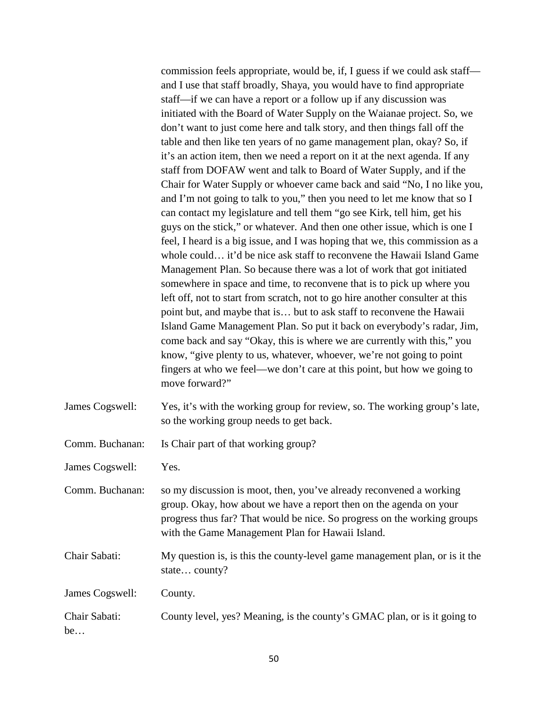commission feels appropriate, would be, if, I guess if we could ask staff and I use that staff broadly, Shaya, you would have to find appropriate staff—if we can have a report or a follow up if any discussion was initiated with the Board of Water Supply on the Waianae project. So, we don't want to just come here and talk story, and then things fall off the table and then like ten years of no game management plan, okay? So, if it's an action item, then we need a report on it at the next agenda. If any staff from DOFAW went and talk to Board of Water Supply, and if the Chair for Water Supply or whoever came back and said "No, I no like you, and I'm not going to talk to you," then you need to let me know that so I can contact my legislature and tell them "go see Kirk, tell him, get his guys on the stick," or whatever. And then one other issue, which is one I feel, I heard is a big issue, and I was hoping that we, this commission as a whole could… it'd be nice ask staff to reconvene the Hawaii Island Game Management Plan. So because there was a lot of work that got initiated somewhere in space and time, to reconvene that is to pick up where you left off, not to start from scratch, not to go hire another consulter at this point but, and maybe that is… but to ask staff to reconvene the Hawaii Island Game Management Plan. So put it back on everybody's radar, Jim, come back and say "Okay, this is where we are currently with this," you know, "give plenty to us, whatever, whoever, we're not going to point fingers at who we feel—we don't care at this point, but how we going to move forward?"

- James Cogswell: Yes, it's with the working group for review, so. The working group's late, so the working group needs to get back.
- Comm. Buchanan: Is Chair part of that working group?

James Cogswell: Yes.

- Comm. Buchanan: so my discussion is moot, then, you've already reconvened a working group. Okay, how about we have a report then on the agenda on your progress thus far? That would be nice. So progress on the working groups with the Game Management Plan for Hawaii Island.
- Chair Sabati: My question is, is this the county-level game management plan, or is it the state… county?
- James Cogswell: County. Chair Sabati: County level, yes? Meaning, is the county's GMAC plan, or is it going to be…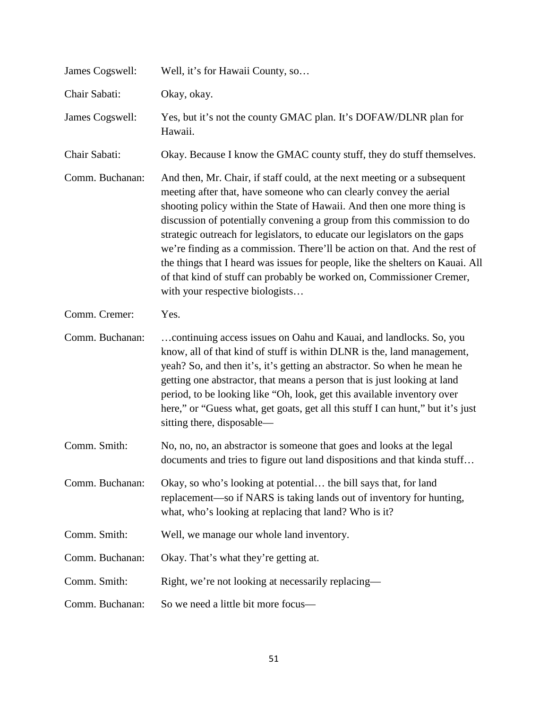| James Cogswell: | Well, it's for Hawaii County, so                                                                                                                                                                                                                                                                                                                                                                                                                                                                                                                                                                                                                             |
|-----------------|--------------------------------------------------------------------------------------------------------------------------------------------------------------------------------------------------------------------------------------------------------------------------------------------------------------------------------------------------------------------------------------------------------------------------------------------------------------------------------------------------------------------------------------------------------------------------------------------------------------------------------------------------------------|
| Chair Sabati:   | Okay, okay.                                                                                                                                                                                                                                                                                                                                                                                                                                                                                                                                                                                                                                                  |
| James Cogswell: | Yes, but it's not the county GMAC plan. It's DOFAW/DLNR plan for<br>Hawaii.                                                                                                                                                                                                                                                                                                                                                                                                                                                                                                                                                                                  |
| Chair Sabati:   | Okay. Because I know the GMAC county stuff, they do stuff themselves.                                                                                                                                                                                                                                                                                                                                                                                                                                                                                                                                                                                        |
| Comm. Buchanan: | And then, Mr. Chair, if staff could, at the next meeting or a subsequent<br>meeting after that, have someone who can clearly convey the aerial<br>shooting policy within the State of Hawaii. And then one more thing is<br>discussion of potentially convening a group from this commission to do<br>strategic outreach for legislators, to educate our legislators on the gaps<br>we're finding as a commission. There'll be action on that. And the rest of<br>the things that I heard was issues for people, like the shelters on Kauai. All<br>of that kind of stuff can probably be worked on, Commissioner Cremer,<br>with your respective biologists |
| Comm. Cremer:   | Yes.                                                                                                                                                                                                                                                                                                                                                                                                                                                                                                                                                                                                                                                         |
| Comm. Buchanan: | continuing access issues on Oahu and Kauai, and landlocks. So, you<br>know, all of that kind of stuff is within DLNR is the, land management,<br>yeah? So, and then it's, it's getting an abstractor. So when he mean he<br>getting one abstractor, that means a person that is just looking at land<br>period, to be looking like "Oh, look, get this available inventory over<br>here," or "Guess what, get goats, get all this stuff I can hunt," but it's just<br>sitting there, disposable—                                                                                                                                                             |
| Comm. Smith:    | No, no, no, an abstractor is someone that goes and looks at the legal<br>documents and tries to figure out land dispositions and that kinda stuff                                                                                                                                                                                                                                                                                                                                                                                                                                                                                                            |
| Comm. Buchanan: | Okay, so who's looking at potential the bill says that, for land<br>replacement—so if NARS is taking lands out of inventory for hunting,<br>what, who's looking at replacing that land? Who is it?                                                                                                                                                                                                                                                                                                                                                                                                                                                           |
| Comm. Smith:    | Well, we manage our whole land inventory.                                                                                                                                                                                                                                                                                                                                                                                                                                                                                                                                                                                                                    |
| Comm. Buchanan: | Okay. That's what they're getting at.                                                                                                                                                                                                                                                                                                                                                                                                                                                                                                                                                                                                                        |
| Comm. Smith:    | Right, we're not looking at necessarily replacing—                                                                                                                                                                                                                                                                                                                                                                                                                                                                                                                                                                                                           |
| Comm. Buchanan: | So we need a little bit more focus-                                                                                                                                                                                                                                                                                                                                                                                                                                                                                                                                                                                                                          |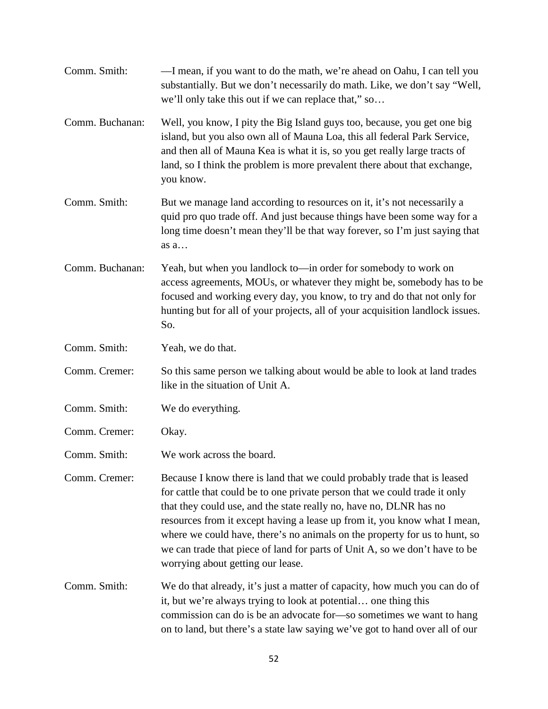| Comm. Smith:    | —I mean, if you want to do the math, we're ahead on Oahu, I can tell you<br>substantially. But we don't necessarily do math. Like, we don't say "Well,<br>we'll only take this out if we can replace that," so                                                                                                                                                                                                                                                                                              |
|-----------------|-------------------------------------------------------------------------------------------------------------------------------------------------------------------------------------------------------------------------------------------------------------------------------------------------------------------------------------------------------------------------------------------------------------------------------------------------------------------------------------------------------------|
| Comm. Buchanan: | Well, you know, I pity the Big Island guys too, because, you get one big<br>island, but you also own all of Mauna Loa, this all federal Park Service,<br>and then all of Mauna Kea is what it is, so you get really large tracts of<br>land, so I think the problem is more prevalent there about that exchange,<br>you know.                                                                                                                                                                               |
| Comm. Smith:    | But we manage land according to resources on it, it's not necessarily a<br>quid pro quo trade off. And just because things have been some way for a<br>long time doesn't mean they'll be that way forever, so I'm just saying that<br>as a                                                                                                                                                                                                                                                                  |
| Comm. Buchanan: | Yeah, but when you landlock to—in order for somebody to work on<br>access agreements, MOUs, or whatever they might be, somebody has to be<br>focused and working every day, you know, to try and do that not only for<br>hunting but for all of your projects, all of your acquisition landlock issues.<br>So.                                                                                                                                                                                              |
| Comm. Smith:    | Yeah, we do that.                                                                                                                                                                                                                                                                                                                                                                                                                                                                                           |
| Comm. Cremer:   | So this same person we talking about would be able to look at land trades<br>like in the situation of Unit A.                                                                                                                                                                                                                                                                                                                                                                                               |
| Comm. Smith:    | We do everything.                                                                                                                                                                                                                                                                                                                                                                                                                                                                                           |
| Comm. Cremer:   | Okay.                                                                                                                                                                                                                                                                                                                                                                                                                                                                                                       |
| Comm. Smith:    | We work across the board.                                                                                                                                                                                                                                                                                                                                                                                                                                                                                   |
| Comm. Cremer:   | Because I know there is land that we could probably trade that is leased<br>for cattle that could be to one private person that we could trade it only<br>that they could use, and the state really no, have no, DLNR has no<br>resources from it except having a lease up from it, you know what I mean,<br>where we could have, there's no animals on the property for us to hunt, so<br>we can trade that piece of land for parts of Unit A, so we don't have to be<br>worrying about getting our lease. |
| Comm. Smith:    | We do that already, it's just a matter of capacity, how much you can do of<br>it, but we're always trying to look at potential one thing this<br>commission can do is be an advocate for-so sometimes we want to hang<br>on to land, but there's a state law saying we've got to hand over all of our                                                                                                                                                                                                       |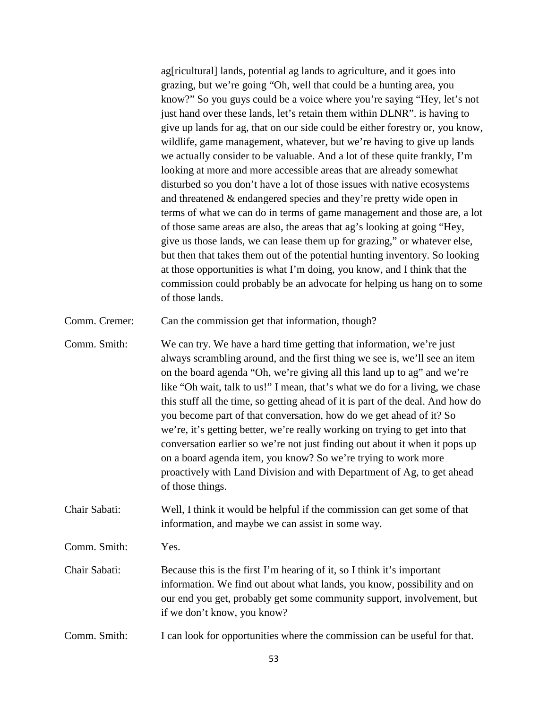ag[ricultural] lands, potential ag lands to agriculture, and it goes into grazing, but we're going "Oh, well that could be a hunting area, you know?" So you guys could be a voice where you're saying "Hey, let's not just hand over these lands, let's retain them within DLNR". is having to give up lands for ag, that on our side could be either forestry or, you know, wildlife, game management, whatever, but we're having to give up lands we actually consider to be valuable. And a lot of these quite frankly, I'm looking at more and more accessible areas that are already somewhat disturbed so you don't have a lot of those issues with native ecosystems and threatened & endangered species and they're pretty wide open in terms of what we can do in terms of game management and those are, a lot of those same areas are also, the areas that ag's looking at going "Hey, give us those lands, we can lease them up for grazing," or whatever else, but then that takes them out of the potential hunting inventory. So looking at those opportunities is what I'm doing, you know, and I think that the commission could probably be an advocate for helping us hang on to some of those lands.

Comm. Cremer: Can the commission get that information, though?

Comm. Smith: We can try. We have a hard time getting that information, we're just always scrambling around, and the first thing we see is, we'll see an item on the board agenda "Oh, we're giving all this land up to ag" and we're like "Oh wait, talk to us!" I mean, that's what we do for a living, we chase this stuff all the time, so getting ahead of it is part of the deal. And how do you become part of that conversation, how do we get ahead of it? So we're, it's getting better, we're really working on trying to get into that conversation earlier so we're not just finding out about it when it pops up on a board agenda item, you know? So we're trying to work more proactively with Land Division and with Department of Ag, to get ahead of those things.

Chair Sabati: Well, I think it would be helpful if the commission can get some of that information, and maybe we can assist in some way.

Comm. Smith: Yes.

- Chair Sabati: Because this is the first I'm hearing of it, so I think it's important information. We find out about what lands, you know, possibility and on our end you get, probably get some community support, involvement, but if we don't know, you know?
- Comm. Smith: I can look for opportunities where the commission can be useful for that.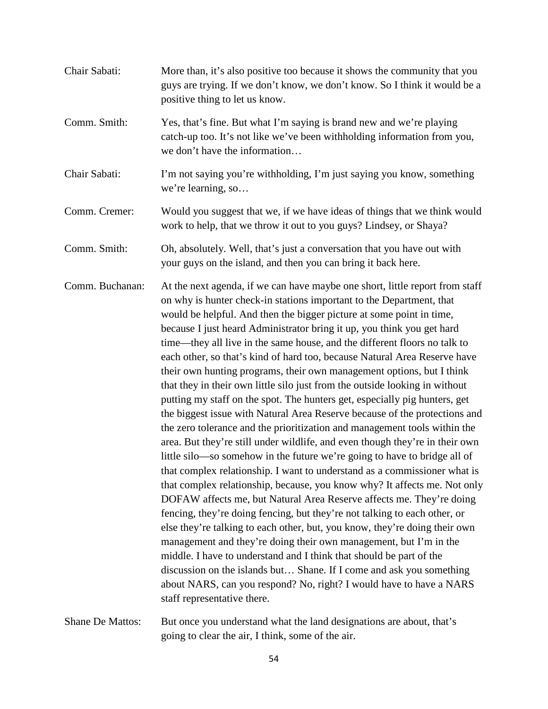| Chair Sabati:    | More than, it's also positive too because it shows the community that you<br>guys are trying. If we don't know, we don't know. So I think it would be a<br>positive thing to let us know.                                                                                                                                                                                                                                                                                                                                                                                                                                                                                                                                                                                                                                                                                                                                                                                                                                                                                                                                                                                                                                                                                                                                                                                                                                                                                                                                                                                                                                                                                                                                                             |
|------------------|-------------------------------------------------------------------------------------------------------------------------------------------------------------------------------------------------------------------------------------------------------------------------------------------------------------------------------------------------------------------------------------------------------------------------------------------------------------------------------------------------------------------------------------------------------------------------------------------------------------------------------------------------------------------------------------------------------------------------------------------------------------------------------------------------------------------------------------------------------------------------------------------------------------------------------------------------------------------------------------------------------------------------------------------------------------------------------------------------------------------------------------------------------------------------------------------------------------------------------------------------------------------------------------------------------------------------------------------------------------------------------------------------------------------------------------------------------------------------------------------------------------------------------------------------------------------------------------------------------------------------------------------------------------------------------------------------------------------------------------------------------|
| Comm. Smith:     | Yes, that's fine. But what I'm saying is brand new and we're playing<br>catch-up too. It's not like we've been withholding information from you,<br>we don't have the information                                                                                                                                                                                                                                                                                                                                                                                                                                                                                                                                                                                                                                                                                                                                                                                                                                                                                                                                                                                                                                                                                                                                                                                                                                                                                                                                                                                                                                                                                                                                                                     |
| Chair Sabati:    | I'm not saying you're withholding, I'm just saying you know, something<br>we're learning, so                                                                                                                                                                                                                                                                                                                                                                                                                                                                                                                                                                                                                                                                                                                                                                                                                                                                                                                                                                                                                                                                                                                                                                                                                                                                                                                                                                                                                                                                                                                                                                                                                                                          |
| Comm. Cremer:    | Would you suggest that we, if we have ideas of things that we think would<br>work to help, that we throw it out to you guys? Lindsey, or Shaya?                                                                                                                                                                                                                                                                                                                                                                                                                                                                                                                                                                                                                                                                                                                                                                                                                                                                                                                                                                                                                                                                                                                                                                                                                                                                                                                                                                                                                                                                                                                                                                                                       |
| Comm. Smith:     | Oh, absolutely. Well, that's just a conversation that you have out with<br>your guys on the island, and then you can bring it back here.                                                                                                                                                                                                                                                                                                                                                                                                                                                                                                                                                                                                                                                                                                                                                                                                                                                                                                                                                                                                                                                                                                                                                                                                                                                                                                                                                                                                                                                                                                                                                                                                              |
| Comm. Buchanan:  | At the next agenda, if we can have maybe one short, little report from staff<br>on why is hunter check-in stations important to the Department, that<br>would be helpful. And then the bigger picture at some point in time,<br>because I just heard Administrator bring it up, you think you get hard<br>time—they all live in the same house, and the different floors no talk to<br>each other, so that's kind of hard too, because Natural Area Reserve have<br>their own hunting programs, their own management options, but I think<br>that they in their own little silo just from the outside looking in without<br>putting my staff on the spot. The hunters get, especially pig hunters, get<br>the biggest issue with Natural Area Reserve because of the protections and<br>the zero tolerance and the prioritization and management tools within the<br>area. But they're still under wildlife, and even though they're in their own<br>little silo—so somehow in the future we're going to have to bridge all of<br>that complex relationship. I want to understand as a commissioner what is<br>that complex relationship, because, you know why? It affects me. Not only<br>DOFAW affects me, but Natural Area Reserve affects me. They're doing<br>fencing, they're doing fencing, but they're not talking to each other, or<br>else they're talking to each other, but, you know, they're doing their own<br>management and they're doing their own management, but I'm in the<br>middle. I have to understand and I think that should be part of the<br>discussion on the islands but Shane. If I come and ask you something<br>about NARS, can you respond? No, right? I would have to have a NARS<br>staff representative there. |
| Shane De Mattos: | But once you understand what the land designations are about, that's<br>going to clear the air, I think, some of the air.                                                                                                                                                                                                                                                                                                                                                                                                                                                                                                                                                                                                                                                                                                                                                                                                                                                                                                                                                                                                                                                                                                                                                                                                                                                                                                                                                                                                                                                                                                                                                                                                                             |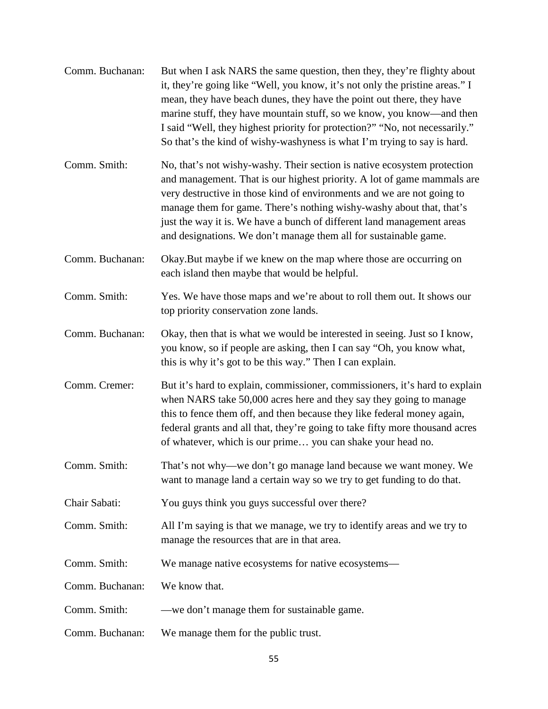| Comm. Buchanan: | But when I ask NARS the same question, then they, they're flighty about<br>it, they're going like "Well, you know, it's not only the pristine areas." I<br>mean, they have beach dunes, they have the point out there, they have<br>marine stuff, they have mountain stuff, so we know, you know—and then<br>I said "Well, they highest priority for protection?" "No, not necessarily."<br>So that's the kind of wishy-washyness is what I'm trying to say is hard. |
|-----------------|----------------------------------------------------------------------------------------------------------------------------------------------------------------------------------------------------------------------------------------------------------------------------------------------------------------------------------------------------------------------------------------------------------------------------------------------------------------------|
| Comm. Smith:    | No, that's not wishy-washy. Their section is native ecosystem protection<br>and management. That is our highest priority. A lot of game mammals are<br>very destructive in those kind of environments and we are not going to<br>manage them for game. There's nothing wishy-washy about that, that's<br>just the way it is. We have a bunch of different land management areas<br>and designations. We don't manage them all for sustainable game.                  |
| Comm. Buchanan: | Okay. But maybe if we knew on the map where those are occurring on<br>each island then maybe that would be helpful.                                                                                                                                                                                                                                                                                                                                                  |
| Comm. Smith:    | Yes. We have those maps and we're about to roll them out. It shows our<br>top priority conservation zone lands.                                                                                                                                                                                                                                                                                                                                                      |
| Comm. Buchanan: | Okay, then that is what we would be interested in seeing. Just so I know,<br>you know, so if people are asking, then I can say "Oh, you know what,<br>this is why it's got to be this way." Then I can explain.                                                                                                                                                                                                                                                      |
| Comm. Cremer:   | But it's hard to explain, commissioner, commissioners, it's hard to explain<br>when NARS take 50,000 acres here and they say they going to manage<br>this to fence them off, and then because they like federal money again,<br>federal grants and all that, they're going to take fifty more thousand acres<br>of whatever, which is our prime you can shake your head no.                                                                                          |
| Comm. Smith:    | That's not why—we don't go manage land because we want money. We<br>want to manage land a certain way so we try to get funding to do that.                                                                                                                                                                                                                                                                                                                           |
| Chair Sabati:   | You guys think you guys successful over there?                                                                                                                                                                                                                                                                                                                                                                                                                       |
| Comm. Smith:    | All I'm saying is that we manage, we try to identify areas and we try to<br>manage the resources that are in that area.                                                                                                                                                                                                                                                                                                                                              |
| Comm. Smith:    | We manage native ecosystems for native ecosystems-                                                                                                                                                                                                                                                                                                                                                                                                                   |
| Comm. Buchanan: | We know that.                                                                                                                                                                                                                                                                                                                                                                                                                                                        |
| Comm. Smith:    | —we don't manage them for sustainable game.                                                                                                                                                                                                                                                                                                                                                                                                                          |
| Comm. Buchanan: | We manage them for the public trust.                                                                                                                                                                                                                                                                                                                                                                                                                                 |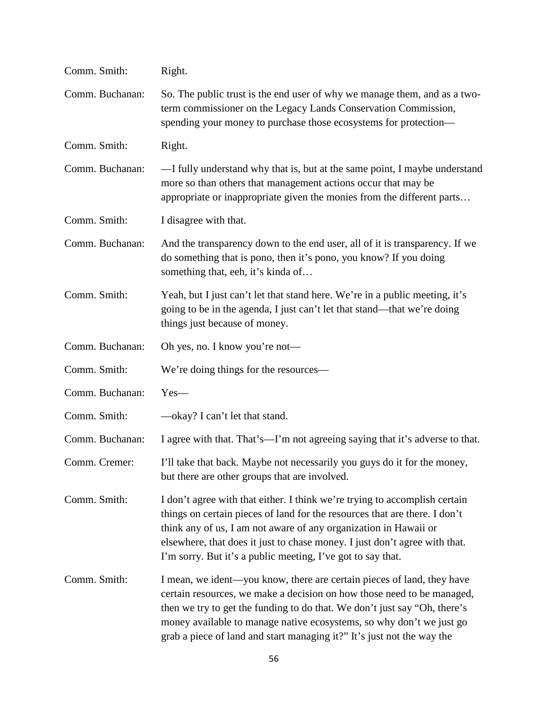| Comm. Smith:    | Right.                                                                                                                                                                                                                                                                                                                                                                          |
|-----------------|---------------------------------------------------------------------------------------------------------------------------------------------------------------------------------------------------------------------------------------------------------------------------------------------------------------------------------------------------------------------------------|
| Comm. Buchanan: | So. The public trust is the end user of why we manage them, and as a two-<br>term commissioner on the Legacy Lands Conservation Commission,<br>spending your money to purchase those ecosystems for protection-                                                                                                                                                                 |
| Comm. Smith:    | Right.                                                                                                                                                                                                                                                                                                                                                                          |
| Comm. Buchanan: | —I fully understand why that is, but at the same point, I maybe understand<br>more so than others that management actions occur that may be<br>appropriate or inappropriate given the monies from the different parts                                                                                                                                                           |
| Comm. Smith:    | I disagree with that.                                                                                                                                                                                                                                                                                                                                                           |
| Comm. Buchanan: | And the transparency down to the end user, all of it is transparency. If we<br>do something that is pono, then it's pono, you know? If you doing<br>something that, eeh, it's kinda of                                                                                                                                                                                          |
| Comm. Smith:    | Yeah, but I just can't let that stand here. We're in a public meeting, it's<br>going to be in the agenda, I just can't let that stand—that we're doing<br>things just because of money.                                                                                                                                                                                         |
| Comm. Buchanan: | Oh yes, no. I know you're not—                                                                                                                                                                                                                                                                                                                                                  |
| Comm. Smith:    | We're doing things for the resources—                                                                                                                                                                                                                                                                                                                                           |
| Comm. Buchanan: | $Yes-$                                                                                                                                                                                                                                                                                                                                                                          |
| Comm. Smith:    | —okay? I can't let that stand.                                                                                                                                                                                                                                                                                                                                                  |
| Comm. Buchanan: | I agree with that. That's—I'm not agreeing saying that it's adverse to that.                                                                                                                                                                                                                                                                                                    |
| Comm. Cremer:   | I'll take that back. Maybe not necessarily you guys do it for the money,<br>but there are other groups that are involved.                                                                                                                                                                                                                                                       |
| Comm. Smith:    | I don't agree with that either. I think we're trying to accomplish certain<br>things on certain pieces of land for the resources that are there. I don't<br>think any of us, I am not aware of any organization in Hawaii or<br>elsewhere, that does it just to chase money. I just don't agree with that.<br>I'm sorry. But it's a public meeting, I've got to say that.       |
| Comm. Smith:    | I mean, we ident—you know, there are certain pieces of land, they have<br>certain resources, we make a decision on how those need to be managed,<br>then we try to get the funding to do that. We don't just say "Oh, there's<br>money available to manage native ecosystems, so why don't we just go<br>grab a piece of land and start managing it?" It's just not the way the |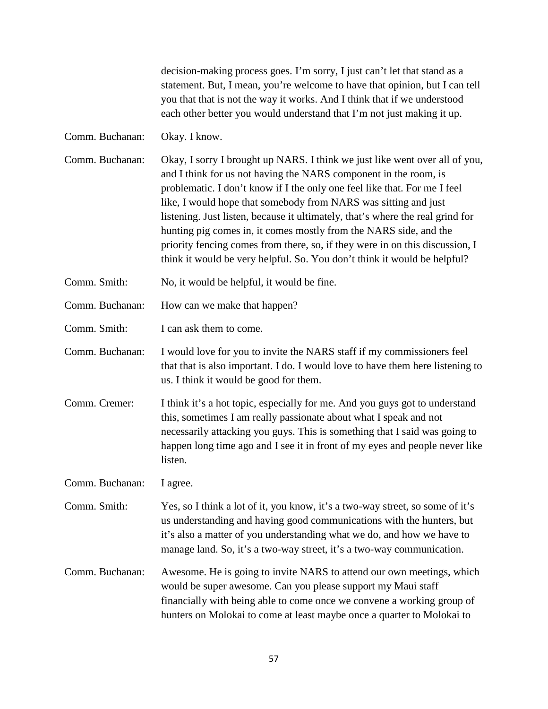decision-making process goes. I'm sorry, I just can't let that stand as a statement. But, I mean, you're welcome to have that opinion, but I can tell you that that is not the way it works. And I think that if we understood each other better you would understand that I'm not just making it up.

Comm. Buchanan: Okay. I know.

- Comm. Buchanan: Okay, I sorry I brought up NARS. I think we just like went over all of you, and I think for us not having the NARS component in the room, is problematic. I don't know if I the only one feel like that. For me I feel like, I would hope that somebody from NARS was sitting and just listening. Just listen, because it ultimately, that's where the real grind for hunting pig comes in, it comes mostly from the NARS side, and the priority fencing comes from there, so, if they were in on this discussion, I think it would be very helpful. So. You don't think it would be helpful?
- Comm. Smith: No, it would be helpful, it would be fine.

Comm. Buchanan: How can we make that happen?

Comm. Smith: I can ask them to come.

- Comm. Buchanan: I would love for you to invite the NARS staff if my commissioners feel that that is also important. I do. I would love to have them here listening to us. I think it would be good for them.
- Comm. Cremer: I think it's a hot topic, especially for me. And you guys got to understand this, sometimes I am really passionate about what I speak and not necessarily attacking you guys. This is something that I said was going to happen long time ago and I see it in front of my eyes and people never like listen.

Comm. Buchanan: I agree.

Comm. Smith: Yes, so I think a lot of it, you know, it's a two-way street, so some of it's us understanding and having good communications with the hunters, but it's also a matter of you understanding what we do, and how we have to manage land. So, it's a two-way street, it's a two-way communication.

Comm. Buchanan: Awesome. He is going to invite NARS to attend our own meetings, which would be super awesome. Can you please support my Maui staff financially with being able to come once we convene a working group of hunters on Molokai to come at least maybe once a quarter to Molokai to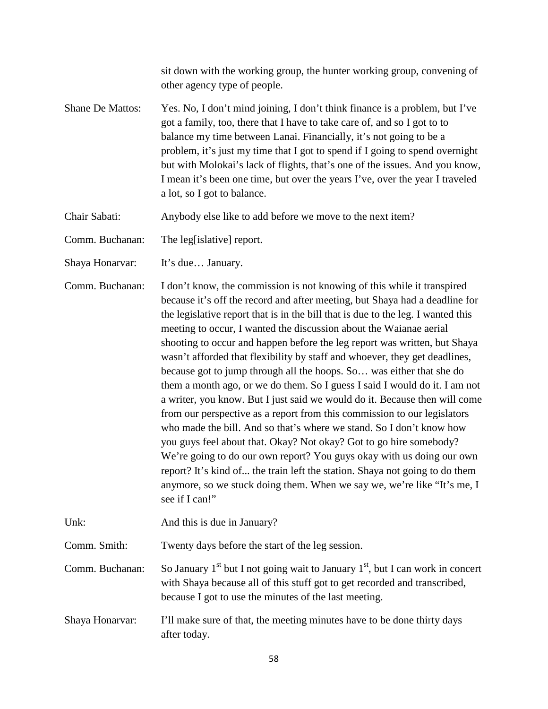sit down with the working group, the hunter working group, convening of other agency type of people. Shane De Mattos: Yes. No, I don't mind joining, I don't think finance is a problem, but I've got a family, too, there that I have to take care of, and so I got to to balance my time between Lanai. Financially, it's not going to be a problem, it's just my time that I got to spend if I going to spend overnight but with Molokai's lack of flights, that's one of the issues. And you know, I mean it's been one time, but over the years I've, over the year I traveled a lot, so I got to balance. Chair Sabati: Anybody else like to add before we move to the next item? Comm. Buchanan: The leg[islative] report. Shaya Honarvar: It's due... January. Comm. Buchanan: I don't know, the commission is not knowing of this while it transpired because it's off the record and after meeting, but Shaya had a deadline for the legislative report that is in the bill that is due to the leg. I wanted this meeting to occur, I wanted the discussion about the Waianae aerial shooting to occur and happen before the leg report was written, but Shaya wasn't afforded that flexibility by staff and whoever, they get deadlines, because got to jump through all the hoops. So… was either that she do them a month ago, or we do them. So I guess I said I would do it. I am not a writer, you know. But I just said we would do it. Because then will come from our perspective as a report from this commission to our legislators who made the bill. And so that's where we stand. So I don't know how you guys feel about that. Okay? Not okay? Got to go hire somebody? We're going to do our own report? You guys okay with us doing our own report? It's kind of... the train left the station. Shaya not going to do them anymore, so we stuck doing them. When we say we, we're like "It's me, I see if I can!" Unk: And this is due in January? Comm. Smith: Twenty days before the start of the leg session. Comm. Buchanan: So January  $1<sup>st</sup>$  but I not going wait to January  $1<sup>st</sup>$ , but I can work in concert with Shaya because all of this stuff got to get recorded and transcribed, because I got to use the minutes of the last meeting. Shaya Honarvar: I'll make sure of that, the meeting minutes have to be done thirty days after today.